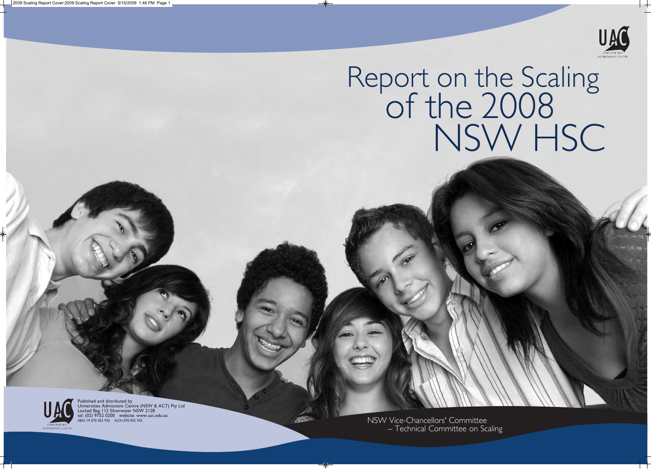

# Report on the Scaling<br>of the 2008 NSW HSC NSW HSC

You Your NSW Vice-Chancellors' Committee – Technical Committee on Scaling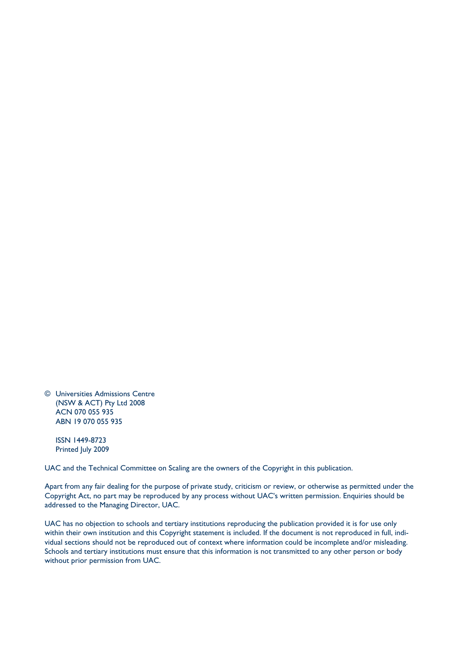© Universities Admissions Centre (NSW & ACT) Pty Ltd 2008 ACN 070 055 935 ABN 19 070 055 935

ISSN 1449-8723 Printed July 2009

UAC and the Technical Committee on Scaling are the owners of the Copyright in this publication.

Apart from any fair dealing for the purpose of private study, criticism or review, or otherwise as permitted under the Copyright Act, no part may be reproduced by any process without UAC's written permission. Enquiries should be addressed to the Managing Director, UAC.

UAC has no objection to schools and tertiary institutions reproducing the publication provided it is for use only within their own institution and this Copyright statement is included. If the document is not reproduced in full, individual sections should not be reproduced out of context where information could be incomplete and/or misleading. Schools and tertiary institutions must ensure that this information is not transmitted to any other person or body without prior permission from UAC.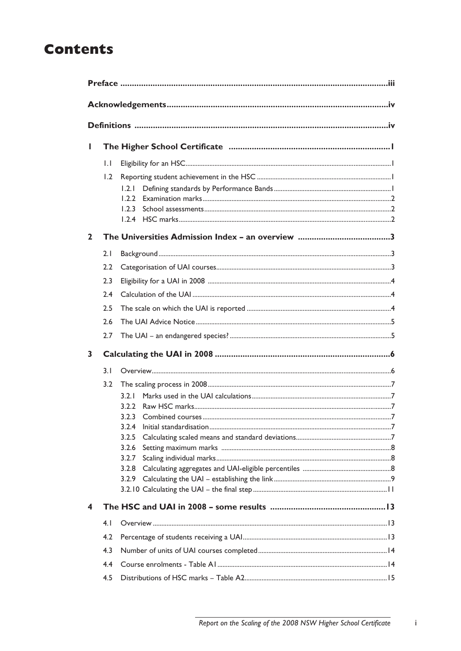# **Contents**

| Ш            |              |                                                             |  |  |  |  |  |
|--------------|--------------|-------------------------------------------------------------|--|--|--|--|--|
|              | $\mathsf{L}$ |                                                             |  |  |  |  |  |
|              | 1.2          | 1.2.1<br>1.2.2                                              |  |  |  |  |  |
| $\mathbf{2}$ |              |                                                             |  |  |  |  |  |
|              | 2.1<br>2.2   |                                                             |  |  |  |  |  |
|              | 2.3          |                                                             |  |  |  |  |  |
|              | 2.4          |                                                             |  |  |  |  |  |
|              | 2.5          |                                                             |  |  |  |  |  |
|              | 2.6          |                                                             |  |  |  |  |  |
|              | 2.7          |                                                             |  |  |  |  |  |
| 3            |              |                                                             |  |  |  |  |  |
|              | 3.1          |                                                             |  |  |  |  |  |
|              | 3.2          | 3.2.1<br>3.2.2<br>3.2.3<br>3.2.5<br>3.2.6<br>3.2.7<br>3.2.8 |  |  |  |  |  |
| 4            |              |                                                             |  |  |  |  |  |
|              | 4.1          |                                                             |  |  |  |  |  |
|              | 4.2          |                                                             |  |  |  |  |  |
|              | 4.3          |                                                             |  |  |  |  |  |
|              | 4.4<br>4.5   |                                                             |  |  |  |  |  |
|              |              |                                                             |  |  |  |  |  |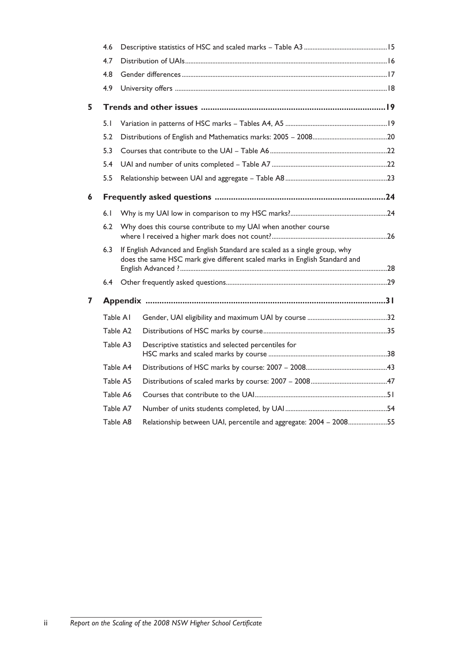|   | 4.6 |          |                                                                                                                                                          |  |
|---|-----|----------|----------------------------------------------------------------------------------------------------------------------------------------------------------|--|
|   | 4.7 |          |                                                                                                                                                          |  |
|   | 4.8 |          |                                                                                                                                                          |  |
|   | 4.9 |          |                                                                                                                                                          |  |
| 5 |     |          |                                                                                                                                                          |  |
|   | 5.1 |          |                                                                                                                                                          |  |
|   | 5.2 |          |                                                                                                                                                          |  |
|   | 5.3 |          |                                                                                                                                                          |  |
|   | 5.4 |          |                                                                                                                                                          |  |
|   | 5.5 |          |                                                                                                                                                          |  |
| 6 |     |          |                                                                                                                                                          |  |
|   | 6.1 |          |                                                                                                                                                          |  |
|   | 6.2 |          | Why does this course contribute to my UAI when another course                                                                                            |  |
|   | 6.3 |          | If English Advanced and English Standard are scaled as a single group, why<br>does the same HSC mark give different scaled marks in English Standard and |  |
|   | 6.4 |          |                                                                                                                                                          |  |
| 7 |     |          |                                                                                                                                                          |  |
|   |     | Table A1 |                                                                                                                                                          |  |
|   |     | Table A2 |                                                                                                                                                          |  |
|   |     | Table A3 | Descriptive statistics and selected percentiles for                                                                                                      |  |
|   |     | Table A4 |                                                                                                                                                          |  |
|   |     | Table A5 |                                                                                                                                                          |  |
|   |     | Table A6 |                                                                                                                                                          |  |
|   |     | Table A7 |                                                                                                                                                          |  |
|   |     | Table A8 | Relationship between UAI, percentile and aggregate: 2004 - 200855                                                                                        |  |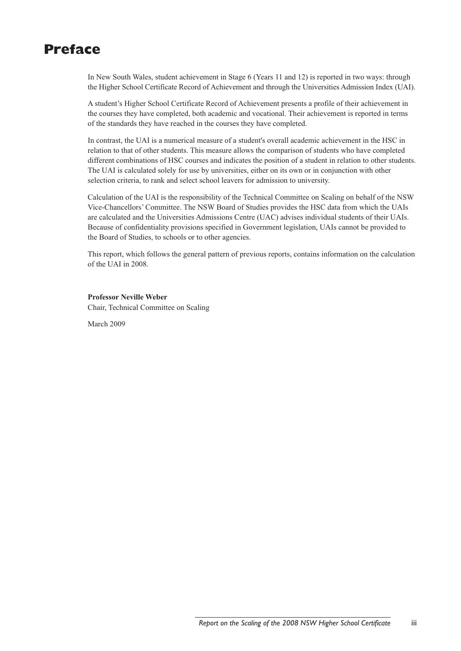# **Preface**

In New South Wales, student achievement in Stage 6 (Years 11 and 12) is reported in two ways: through the Higher School Certificate Record of Achievement and through the Universities Admission Index (UAI).

A student's Higher School Certificate Record of Achievement presents a profile of their achievement in the courses they have completed, both academic and vocational. Their achievement is reported in terms of the standards they have reached in the courses they have completed.

In contrast, the UAI is a numerical measure of a student's overall academic achievement in the HSC in relation to that of other students. This measure allows the comparison of students who have completed different combinations of HSC courses and indicates the position of a student in relation to other students. The UAI is calculated solely for use by universities, either on its own or in conjunction with other selection criteria, to rank and select school leavers for admission to university.

Calculation of the UAI is the responsibility of the Technical Committee on Scaling on behalf of the NSW Vice-Chancellors' Committee. The NSW Board of Studies provides the HSC data from which the UAIs are calculated and the Universities Admissions Centre (UAC) advises individual students of their UAIs. Because of confidentiality provisions specified in Government legislation, UAIs cannot be provided to the Board of Studies, to schools or to other agencies.

This report, which follows the general pattern of previous reports, contains information on the calculation of the UAI in 2008.

#### **Professor Neville Weber**

Chair, Technical Committee on Scaling

March 2009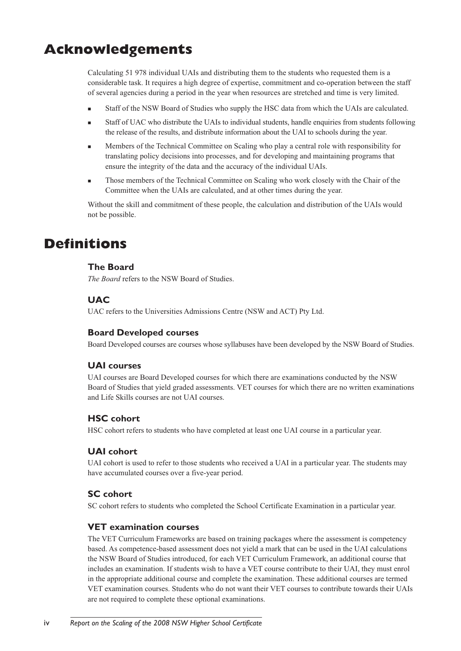# **Acknowledgements**

Calculating 51 978 individual UAIs and distributing them to the students who requested them is a considerable task. It requires a high degree of expertise, commitment and co-operation between the staff of several agencies during a period in the year when resources are stretched and time is very limited.

- <sup>n</sup> Staff of the NSW Board of Studies who supply the HSC data from which the UAIs are calculated.
- Staff of UAC who distribute the UAIs to individual students, handle enquiries from students following the release of the results, and distribute information about the UAI to schools during the year.
- <sup>n</sup> Members of the Technical Committee on Scaling who play a central role with responsibility for translating policy decisions into processes, and for developing and maintaining programs that ensure the integrity of the data and the accuracy of the individual UAIs.
- <sup>n</sup> Those members of the Technical Committee on Scaling who work closely with the Chair of the Committee when the UAIs are calculated, and at other times during the year.

Without the skill and commitment of these people, the calculation and distribution of the UAIs would not be possible.

# **Definitions**

# **The Board**

*The Board* refers to the NSW Board of Studies.

# **UAC**

UAC refers to the Universities Admissions Centre (NSW and ACT) Pty Ltd.

# **Board Developed courses**

Board Developed courses are courses whose syllabuses have been developed by the NSW Board of Studies.

# **UAI courses**

UAI courses are Board Developed courses for which there are examinations conducted by the NSW Board of Studies that yield graded assessments. VET courses for which there are no written examinations and Life Skills courses are not UAI courses.

# **HSC cohort**

HSC cohort refers to students who have completed at least one UAI course in a particular year.

# **UAI cohort**

UAI cohort is used to refer to those students who received a UAI in a particular year. The students may have accumulated courses over a five-year period.

# **SC cohort**

SC cohort refers to students who completed the School Certificate Examination in a particular year.

# **VET examination courses**

The VET Curriculum Frameworks are based on training packages where the assessment is competency based. As competence-based assessment does not yield a mark that can be used in the UAI calculations the NSW Board of Studies introduced, for each VET Curriculum Framework, an additional course that includes an examination. If students wish to have a VET course contribute to their UAI, they must enrol in the appropriate additional course and complete the examination. These additional courses are termed VET examination courses. Students who do not want their VET courses to contribute towards their UAIs are not required to complete these optional examinations.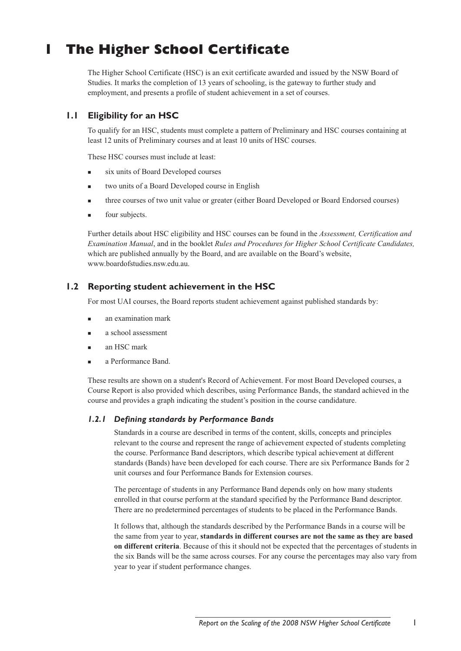# **1 The Higher School Certificate**

The Higher School Certificate (HSC) is an exit certificate awarded and issued by the NSW Board of Studies. It marks the completion of 13 years of schooling, is the gateway to further study and employment, and presents a profile of student achievement in a set of courses.

# **1.1 Eligibility for an HSC**

To qualify for an HSC, students must complete a pattern of Preliminary and HSC courses containing at least 12 units of Preliminary courses and at least 10 units of HSC courses.

These HSC courses must include at least:

- six units of Board Developed courses
- two units of a Board Developed course in English
- three courses of two unit value or greater (either Board Developed or Board Endorsed courses)
- four subjects.

Further details about HSC eligibility and HSC courses can be found in the *Assessment, Certification and Examination Manual*, and in the booklet *Rules and Procedures for Higher School Certificate Candidates,* which are published annually by the Board, and are available on the Board's website, www.boardofstudies.nsw.edu.au.

# **1.2 Reporting student achievement in the HSC**

For most UAI courses, the Board reports student achievement against published standards by:

- <sup>n</sup> an examination mark
- <sup>n</sup> a school assessment
- <sup>n</sup> an HSC mark
- a Performance Band.

These results are shown on a student's Record of Achievement. For most Board Developed courses, a Course Report is also provided which describes, using Performance Bands, the standard achieved in the course and provides a graph indicating the student's position in the course candidature.

# *1.2.1 Defining standards by Performance Bands*

Standards in a course are described in terms of the content, skills, concepts and principles relevant to the course and represent the range of achievement expected of students completing the course. Performance Band descriptors, which describe typical achievement at different standards (Bands) have been developed for each course. There are six Performance Bands for 2 unit courses and four Performance Bands for Extension courses.

The percentage of students in any Performance Band depends only on how many students enrolled in that course perform at the standard specified by the Performance Band descriptor. There are no predetermined percentages of students to be placed in the Performance Bands.

It follows that, although the standards described by the Performance Bands in a course will be the same from year to year, **standards in different courses are not the same as they are based on different criteria**. Because of this it should not be expected that the percentages of students in the six Bands will be the same across courses. For any course the percentages may also vary from year to year if student performance changes.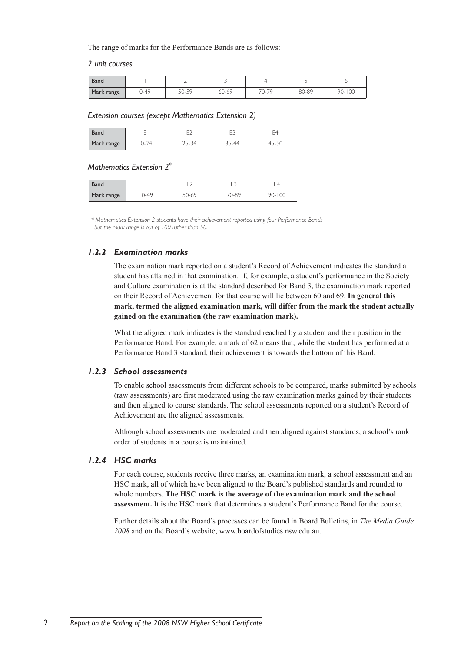The range of marks for the Performance Bands are as follows:

#### *2 unit courses*

| Band       |           |       |       |                  |       |            |
|------------|-----------|-------|-------|------------------|-------|------------|
| Mark range | $.1 - 49$ | 50-59 | 60-69 | 70.79<br>$U - I$ | 80-89 | $90 - 100$ |

#### *Extension courses (except Mathematics Extension 2)*

| Jand       |          | --    |  |
|------------|----------|-------|--|
| Mark range | $1 - 74$ | $-44$ |  |

## *Mathematics Extension 2\**

| <b>Band</b> | –<br>╌ |       | ⊢า<br>_<br>◡ | - 4        |
|-------------|--------|-------|--------------|------------|
| Mark range  | 49-ر   | 50-69 | 70-89        | $90 - 100$ |

*\* Mathematics Extension 2 students have their achievement reported using four Performance Bands but the mark range is out of 100 rather than 50.*

#### *1.2.2 Examination marks*

The examination mark reported on a student's Record of Achievement indicates the standard a student has attained in that examination. If, for example, a student's performance in the Society and Culture examination is at the standard described for Band 3, the examination mark reported on their Record of Achievement for that course will lie between 60 and 69. **In general this mark, termed the aligned examination mark, will differ from the mark the student actually gained on the examination (the raw examination mark).** 

What the aligned mark indicates is the standard reached by a student and their position in the Performance Band. For example, a mark of 62 means that, while the student has performed at a Performance Band 3 standard, their achievement is towards the bottom of this Band.

#### *1.2.3 School assessments*

To enable school assessments from different schools to be compared, marks submitted by schools (raw assessments) are first moderated using the raw examination marks gained by their students and then aligned to course standards. The school assessments reported on a student's Record of Achievement are the aligned assessments.

Although school assessments are moderated and then aligned against standards, a school's rank order of students in a course is maintained.

#### *1.2.4 HSC marks*

For each course, students receive three marks, an examination mark, a school assessment and an HSC mark, all of which have been aligned to the Board's published standards and rounded to whole numbers. **The HSC mark is the average of the examination mark and the school assessment.** It is the HSC mark that determines a student's Performance Band for the course.

Further details about the Board's processes can be found in Board Bulletins, in *The Media Guide 2008* and on the Board's website, www.boardofstudies.nsw.edu.au.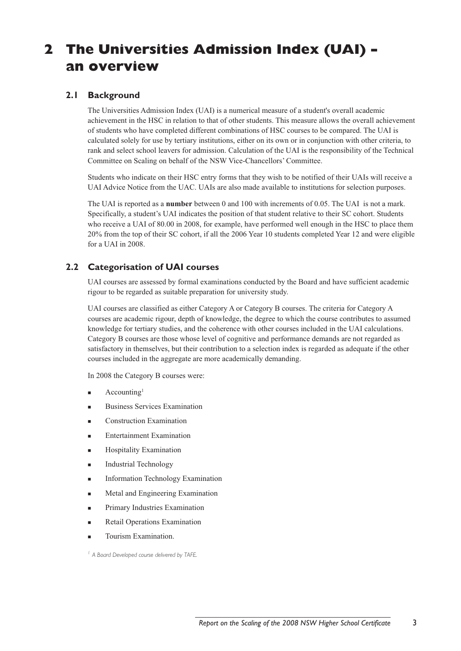# **2 The Universities Admission Index (UAI) – an overview**

# **2.1 Background**

The Universities Admission Index (UAI) is a numerical measure of a student's overall academic achievement in the HSC in relation to that of other students. This measure allows the overall achievement of students who have completed different combinations of HSC courses to be compared. The UAI is calculated solely for use by tertiary institutions, either on its own or in conjunction with other criteria, to rank and select school leavers for admission. Calculation of the UAI is the responsibility of the Technical Committee on Scaling on behalf of the NSW Vice-Chancellors' Committee.

Students who indicate on their HSC entry forms that they wish to be notified of their UAIs will receive a UAI Advice Notice from the UAC. UAIs are also made available to institutions for selection purposes.

The UAI is reported as a **number** between 0 and 100 with increments of 0.05. The UAI is not a mark. Specifically, a student's UAI indicates the position of that student relative to their SC cohort. Students who receive a UAI of 80.00 in 2008, for example, have performed well enough in the HSC to place them 20% from the top of their SC cohort, if all the 2006 Year 10 students completed Year 12 and were eligible for a UAI in 2008.

# **2.2 Categorisation of UAI courses**

UAI courses are assessed by formal examinations conducted by the Board and have sufficient academic rigour to be regarded as suitable preparation for university study.

UAI courses are classified as either Category A or Category B courses. The criteria for Category A courses are academic rigour, depth of knowledge, the degree to which the course contributes to assumed knowledge for tertiary studies, and the coherence with other courses included in the UAI calculations. Category B courses are those whose level of cognitive and performance demands are not regarded as satisfactory in themselves, but their contribution to a selection index is regarded as adequate if the other courses included in the aggregate are more academically demanding.

In 2008 the Category B courses were:

- $Accounting<sup>1</sup>$
- <sup>n</sup> Business Services Examination
- **Construction Examination**
- <sup>n</sup> Entertainment Examination
- Hospitality Examination
- Industrial Technology
- <sup>n</sup> Information Technology Examination
- <sup>n</sup> Metal and Engineering Examination
- Primary Industries Examination
- Retail Operations Examination
- Tourism Examination.

*<sup>1</sup> A Board Developed course delivered by TAFE.*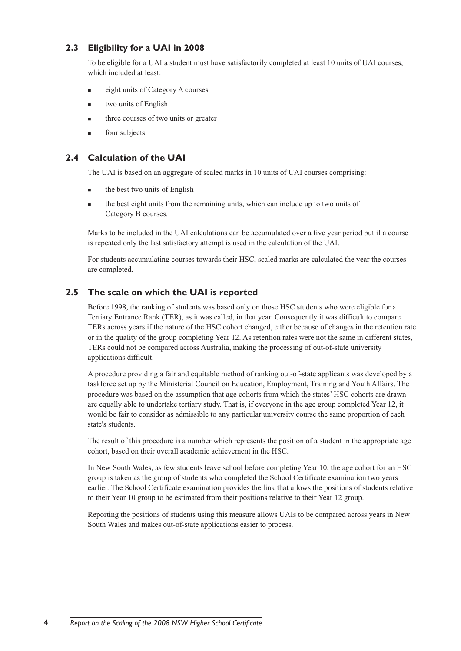# **2.3 Eligibility for a UAI in 2008**

To be eligible for a UAI a student must have satisfactorily completed at least 10 units of UAI courses, which included at least:

- <sup>n</sup> eight units of Category A courses
- <sup>n</sup> two units of English
- three courses of two units or greater
- four subjects.

# **2.4 Calculation of the UAI**

The UAI is based on an aggregate of scaled marks in 10 units of UAI courses comprising:

- $\blacksquare$  the best two units of English
- n the best eight units from the remaining units, which can include up to two units of Category B courses.

Marks to be included in the UAI calculations can be accumulated over a five year period but if a course is repeated only the last satisfactory attempt is used in the calculation of the UAI.

For students accumulating courses towards their HSC, scaled marks are calculated the year the courses are completed.

# **2.5 The scale on which the UAI is reported**

Before 1998, the ranking of students was based only on those HSC students who were eligible for a Tertiary Entrance Rank (TER), as it was called, in that year. Consequently it was difficult to compare TERs across years if the nature of the HSC cohort changed, either because of changes in the retention rate or in the quality of the group completing Year 12. As retention rates were not the same in different states, TERs could not be compared across Australia, making the processing of out-of-state university applications difficult.

A procedure providing a fair and equitable method of ranking out-of-state applicants was developed by a taskforce set up by the Ministerial Council on Education, Employment, Training and Youth Affairs. The procedure was based on the assumption that age cohorts from which the states' HSC cohorts are drawn are equally able to undertake tertiary study. That is, if everyone in the age group completed Year 12, it would be fair to consider as admissible to any particular university course the same proportion of each state's students.

The result of this procedure is a number which represents the position of a student in the appropriate age cohort, based on their overall academic achievement in the HSC.

In New South Wales, as few students leave school before completing Year 10, the age cohort for an HSC group is taken as the group of students who completed the School Certificate examination two years earlier. The School Certificate examination provides the link that allows the positions of students relative to their Year 10 group to be estimated from their positions relative to their Year 12 group.

Reporting the positions of students using this measure allows UAIs to be compared across years in New South Wales and makes out-of-state applications easier to process.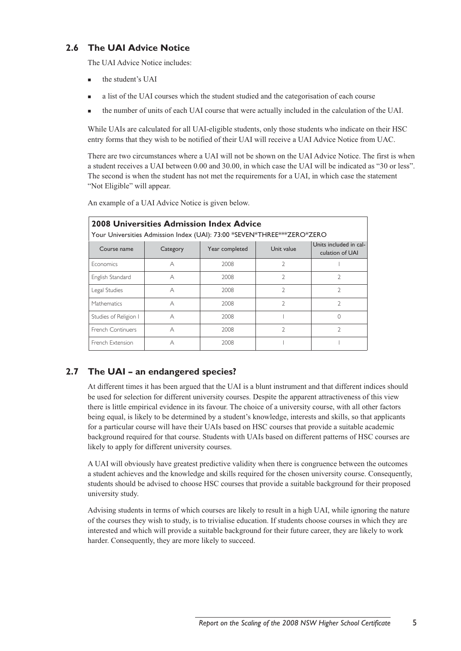# **2.6 The UAI Advice Notice**

The UAI Advice Notice includes:

- the student's UAI
- <sup>n</sup> a list of the UAI courses which the student studied and the categorisation of each course
- <sup>n</sup> the number of units of each UAI course that were actually included in the calculation of the UAI.

While UAIs are calculated for all UAI-eligible students, only those students who indicate on their HSC entry forms that they wish to be notified of their UAI will receive a UAI Advice Notice from UAC.

There are two circumstances where a UAI will not be shown on the UAI Advice Notice. The first is when a student receives a UAI between 0.00 and 30.00, in which case the UAI will be indicated as "30 or less". The second is when the student has not met the requirements for a UAI, in which case the statement "Not Eligible" will appear.

An example of a UAI Advice Notice is given below.

| <b>2008 Universities Admission Index Advice</b><br>Your Universities Admission Index (UAI): 73:00 *SEVEN*THREE***ZERO*ZERO |          |                |                |                                           |  |  |  |
|----------------------------------------------------------------------------------------------------------------------------|----------|----------------|----------------|-------------------------------------------|--|--|--|
| Course name                                                                                                                | Category | Year completed | Unit value     | Units included in cal-<br>culation of UAI |  |  |  |
| <b>Economics</b>                                                                                                           | А        | 2008           | $\mathfrak{D}$ |                                           |  |  |  |
| English Standard                                                                                                           | А        | 2008           | $\mathfrak{D}$ | $\mathfrak{D}$                            |  |  |  |
| Legal Studies                                                                                                              | А        | 2008           | $\mathcal{I}$  | 7                                         |  |  |  |
| <b>Mathematics</b>                                                                                                         | А        | 2008           | $\mathfrak{D}$ | $\mathfrak{D}$                            |  |  |  |
| Studies of Religion I                                                                                                      | А        | 2008           |                |                                           |  |  |  |
| French Continuers                                                                                                          | А        | 2008           | V              | V                                         |  |  |  |
| French Extension                                                                                                           | А        | 2008           |                |                                           |  |  |  |

# **2.7 The UAI – an endangered species?**

At different times it has been argued that the UAI is a blunt instrument and that different indices should be used for selection for different university courses. Despite the apparent attractiveness of this view there is little empirical evidence in its favour. The choice of a university course, with all other factors being equal, is likely to be determined by a student's knowledge, interests and skills, so that applicants for a particular course will have their UAIs based on HSC courses that provide a suitable academic background required for that course. Students with UAIs based on different patterns of HSC courses are likely to apply for different university courses.

A UAI will obviously have greatest predictive validity when there is congruence between the outcomes a student achieves and the knowledge and skills required for the chosen university course. Consequently, students should be advised to choose HSC courses that provide a suitable background for their proposed university study.

Advising students in terms of which courses are likely to result in a high UAI, while ignoring the nature of the courses they wish to study, is to trivialise education. If students choose courses in which they are interested and which will provide a suitable background for their future career, they are likely to work harder. Consequently, they are more likely to succeed.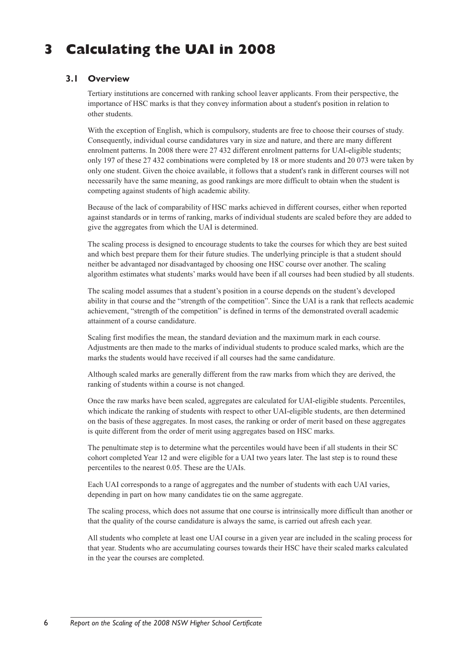# **3 Calculating the UAI in 2008**

# **3.1 Overview**

Tertiary institutions are concerned with ranking school leaver applicants. From their perspective, the importance of HSC marks is that they convey information about a student's position in relation to other students.

With the exception of English, which is compulsory, students are free to choose their courses of study. Consequently, individual course candidatures vary in size and nature, and there are many different enrolment patterns. In 2008 there were 27 432 different enrolment patterns for UAI-eligible students; only 197 of these 27 432 combinations were completed by 18 or more students and 20 073 were taken by only one student. Given the choice available, it follows that a student's rank in different courses will not necessarily have the same meaning, as good rankings are more difficult to obtain when the student is competing against students of high academic ability.

Because of the lack of comparability of HSC marks achieved in different courses, either when reported against standards or in terms of ranking, marks of individual students are scaled before they are added to give the aggregates from which the UAI is determined.

The scaling process is designed to encourage students to take the courses for which they are best suited and which best prepare them for their future studies. The underlying principle is that a student should neither be advantaged nor disadvantaged by choosing one HSC course over another. The scaling algorithm estimates what students' marks would have been if all courses had been studied by all students.

The scaling model assumes that a student's position in a course depends on the student's developed ability in that course and the "strength of the competition". Since the UAI is a rank that reflects academic achievement, "strength of the competition" is defined in terms of the demonstrated overall academic attainment of a course candidature.

Scaling first modifies the mean, the standard deviation and the maximum mark in each course. Adjustments are then made to the marks of individual students to produce scaled marks, which are the marks the students would have received if all courses had the same candidature.

Although scaled marks are generally different from the raw marks from which they are derived, the ranking of students within a course is not changed.

Once the raw marks have been scaled, aggregates are calculated for UAI-eligible students. Percentiles, which indicate the ranking of students with respect to other UAI-eligible students, are then determined on the basis of these aggregates. In most cases, the ranking or order of merit based on these aggregates is quite different from the order of merit using aggregates based on HSC marks.

The penultimate step is to determine what the percentiles would have been if all students in their SC cohort completed Year 12 and were eligible for a UAI two years later. The last step is to round these percentiles to the nearest 0.05. These are the UAIs.

Each UAI corresponds to a range of aggregates and the number of students with each UAI varies, depending in part on how many candidates tie on the same aggregate.

The scaling process, which does not assume that one course is intrinsically more difficult than another or that the quality of the course candidature is always the same, is carried out afresh each year.

All students who complete at least one UAI course in a given year are included in the scaling process for that year. Students who are accumulating courses towards their HSC have their scaled marks calculated in the year the courses are completed.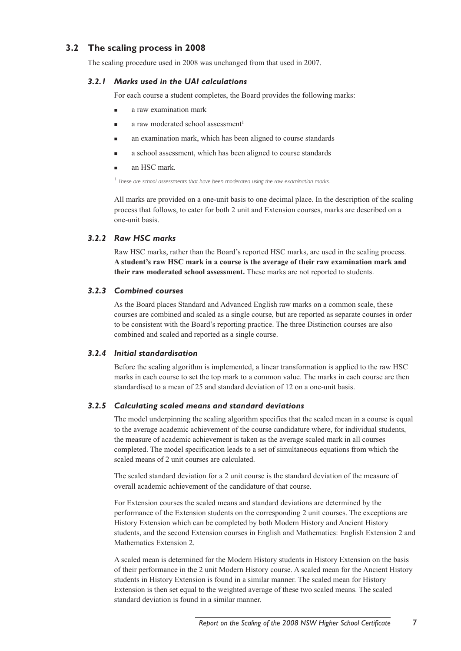# **3.2 The scaling process in 2008**

The scaling procedure used in 2008 was unchanged from that used in 2007.

#### *3.2.1 Marks used in the UAI calculations*

For each course a student completes, the Board provides the following marks:

- a raw examination mark
- a raw moderated school assessment<sup>1</sup>
- <sup>n</sup> an examination mark, which has been aligned to course standards
- <sup>n</sup> a school assessment, which has been aligned to course standards
- an HSC mark.

*<sup>1</sup> These are school assessments that have been moderated using the raw examination marks.*

All marks are provided on a one-unit basis to one decimal place. In the description of the scaling process that follows, to cater for both 2 unit and Extension courses, marks are described on a one-unit basis.

#### *3.2.2 Raw HSC marks*

Raw HSC marks, rather than the Board's reported HSC marks, are used in the scaling process. **A student's raw HSC mark in a course is the average of their raw examination mark and their raw moderated school assessment.** These marks are not reported to students.

#### *3.2.3 Combined courses*

As the Board places Standard and Advanced English raw marks on a common scale, these courses are combined and scaled as a single course, but are reported as separate courses in order to be consistent with the Board's reporting practice. The three Distinction courses are also combined and scaled and reported as a single course.

#### *3.2.4 Initial standardisation*

Before the scaling algorithm is implemented, a linear transformation is applied to the raw HSC marks in each course to set the top mark to a common value. The marks in each course are then standardised to a mean of 25 and standard deviation of 12 on a one-unit basis.

#### *3.2.5 Calculating scaled means and standard deviations*

The model underpinning the scaling algorithm specifies that the scaled mean in a course is equal to the average academic achievement of the course candidature where, for individual students, the measure of academic achievement is taken as the average scaled mark in all courses completed. The model specification leads to a set of simultaneous equations from which the scaled means of 2 unit courses are calculated.

The scaled standard deviation for a 2 unit course is the standard deviation of the measure of overall academic achievement of the candidature of that course.

For Extension courses the scaled means and standard deviations are determined by the performance of the Extension students on the corresponding 2 unit courses. The exceptions are History Extension which can be completed by both Modern History and Ancient History students, and the second Extension courses in English and Mathematics: English Extension 2 and Mathematics Extension 2.

A scaled mean is determined for the Modern History students in History Extension on the basis of their performance in the 2 unit Modern History course. A scaled mean for the Ancient History students in History Extension is found in a similar manner. The scaled mean for History Extension is then set equal to the weighted average of these two scaled means. The scaled standard deviation is found in a similar manner.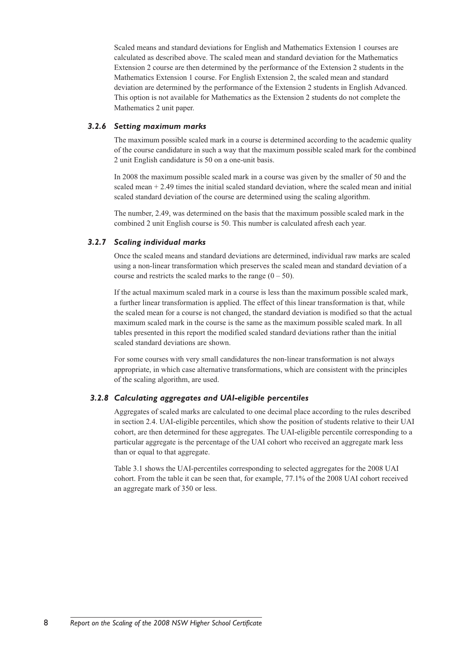Scaled means and standard deviations for English and Mathematics Extension 1 courses are calculated as described above. The scaled mean and standard deviation for the Mathematics Extension 2 course are then determined by the performance of the Extension 2 students in the Mathematics Extension 1 course. For English Extension 2, the scaled mean and standard deviation are determined by the performance of the Extension 2 students in English Advanced. This option is not available for Mathematics as the Extension 2 students do not complete the Mathematics 2 unit paper.

#### *3.2.6 Setting maximum marks*

The maximum possible scaled mark in a course is determined according to the academic quality of the course candidature in such a way that the maximum possible scaled mark for the combined 2 unit English candidature is 50 on a one-unit basis.

In 2008 the maximum possible scaled mark in a course was given by the smaller of 50 and the scaled mean  $+ 2.49$  times the initial scaled standard deviation, where the scaled mean and initial scaled standard deviation of the course are determined using the scaling algorithm.

The number, 2.49, was determined on the basis that the maximum possible scaled mark in the combined 2 unit English course is 50. This number is calculated afresh each year.

## *3.2.7 Scaling individual marks*

Once the scaled means and standard deviations are determined, individual raw marks are scaled using a non-linear transformation which preserves the scaled mean and standard deviation of a course and restricts the scaled marks to the range  $(0 - 50)$ .

If the actual maximum scaled mark in a course is less than the maximum possible scaled mark, a further linear transformation is applied. The effect of this linear transformation is that, while the scaled mean for a course is not changed, the standard deviation is modified so that the actual maximum scaled mark in the course is the same as the maximum possible scaled mark. In all tables presented in this report the modified scaled standard deviations rather than the initial scaled standard deviations are shown.

For some courses with very small candidatures the non-linear transformation is not always appropriate, in which case alternative transformations, which are consistent with the principles of the scaling algorithm, are used.

#### *3.2.8 Calculating aggregates and UAI-eligible percentiles*

Aggregates of scaled marks are calculated to one decimal place according to the rules described in section 2.4. UAI-eligible percentiles, which show the position of students relative to their UAI cohort, are then determined for these aggregates. The UAI-eligible percentile corresponding to a particular aggregate is the percentage of the UAI cohort who received an aggregate mark less than or equal to that aggregate.

Table 3.1 shows the UAI-percentiles corresponding to selected aggregates for the 2008 UAI cohort. From the table it can be seen that, for example, 77.1% of the 2008 UAI cohort received an aggregate mark of 350 or less.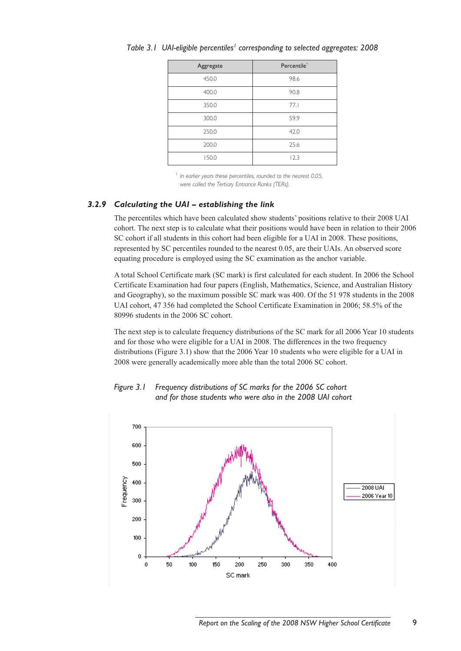| Aggregate | Percentile* |
|-----------|-------------|
| 450.0     | 98.6        |
| 400.0     | 90.8        |
| 350.0     | 77.1        |
| 300.0     | 59.9        |
| 250.0     | 42.0        |
| 200.0     | 25.6        |
| 150.0     | 12.3        |

Table 3.1 UAI-eligible percentiles<sup>1</sup> corresponding to selected aggregates: 2008

*<sup>1</sup> In earlier years these percentiles, rounded to the nearest 0.05, were called the Tertiary Entrance Ranks (TERs).*

#### *3.2.9 Calculating the UAI – establishing the link*

The percentiles which have been calculated show students' positions relative to their 2008 UAI cohort. The next step is to calculate what their positions would have been in relation to their 2006 SC cohort if all students in this cohort had been eligible for a UAI in 2008. These positions, represented by SC percentiles rounded to the nearest 0.05, are their UAIs. An observed score equating procedure is employed using the SC examination as the anchor variable.

A total School Certificate mark (SC mark) is first calculated for each student. In 2006 the School Certificate Examination had four papers (English, Mathematics, Science, and Australian History and Geography), so the maximum possible SC mark was 400. Of the 51 978 students in the 2008 UAI cohort, 47 356 had completed the School Certificate Examination in 2006; 58.5% of the 80996 students in the 2006 SC cohort.

The next step is to calculate frequency distributions of the SC mark for all 2006 Year 10 students and for those who were eligible for a UAI in 2008. The differences in the two frequency distributions (Figure 3.1) show that the 2006 Year 10 students who were eligible for a UAI in 2008 were generally academically more able than the total 2006 SC cohort.



*Figure 3.1 Frequency distributions of SC marks for the 2006 SC cohort and for those students who were also in the 2008 UAI cohort*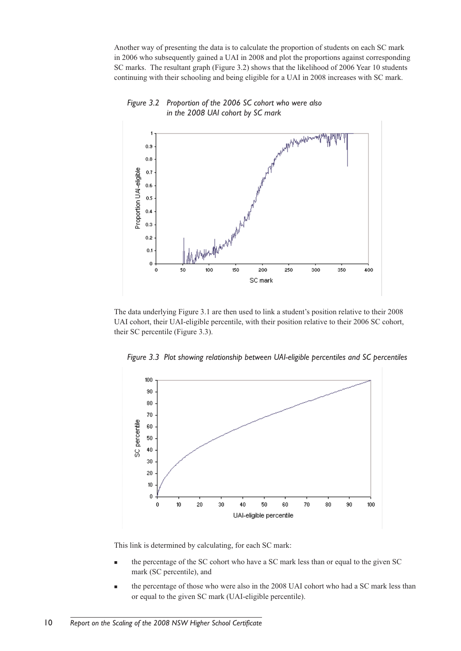Another way of presenting the data is to calculate the proportion of students on each SC mark in 2006 who subsequently gained a UAI in 2008 and plot the proportions against corresponding SC marks. The resultant graph (Figure 3.2) shows that the likelihood of 2006 Year 10 students continuing with their schooling and being eligible for a UAI in 2008 increases with SC mark.



#### *Figure 3.2 Proportion of the 2006 SC cohort who were also in the 2008 UAI cohort by SC mark*

The data underlying Figure 3.1 are then used to link a student's position relative to their 2008 UAI cohort, their UAI-eligible percentile, with their position relative to their 2006 SC cohort, their SC percentile (Figure 3.3).





This link is determined by calculating, for each SC mark:

- the percentage of the SC cohort who have a SC mark less than or equal to the given SC mark (SC percentile), and
- <sup>n</sup> the percentage of those who were also in the 2008 UAI cohort who had a SC mark less than or equal to the given SC mark (UAI-eligible percentile).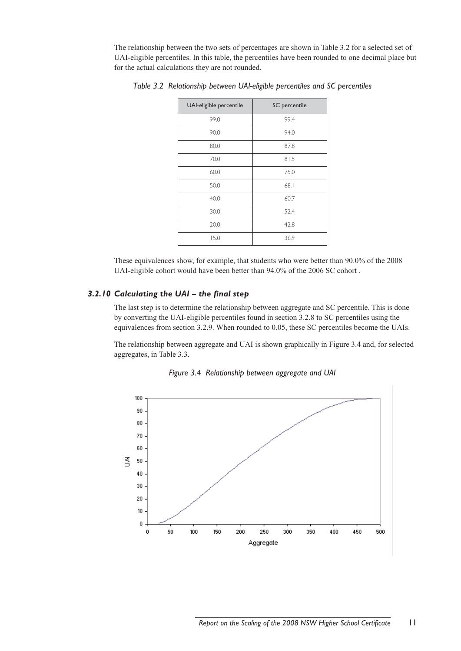The relationship between the two sets of percentages are shown in Table 3.2 for a selected set of UAI-eligible percentiles. In this table, the percentiles have been rounded to one decimal place but for the actual calculations they are not rounded.

| UAI-eligible percentile | SC percentile |
|-------------------------|---------------|
| 99.0                    | 99.4          |
| 90.0                    | 94.0          |
| 80.0                    | 87.8          |
| 70.0                    | 81.5          |
| 60.0                    | 75.0          |
| 50.0                    | 68.1          |
| 40.0                    | 60.7          |
| 30.0                    | 52.4          |
| 20.0                    | 42.8          |
| 15.0                    | 36.9          |

*Table 3.2 Relationship between UAI-eligible percentiles and SC percentiles* 

These equivalences show, for example, that students who were better than 90.0% of the 2008 UAI-eligible cohort would have been better than 94.0% of the 2006 SC cohort .

#### *3.2.10 Calculating the UAI – the final step*

The last step is to determine the relationship between aggregate and SC percentile. This is done by converting the UAI-eligible percentiles found in section 3.2.8 to SC percentiles using the equivalences from section 3.2.9. When rounded to 0.05, these SC percentiles become the UAIs.

The relationship between aggregate and UAI is shown graphically in Figure 3.4 and, for selected aggregates, in Table 3.3.



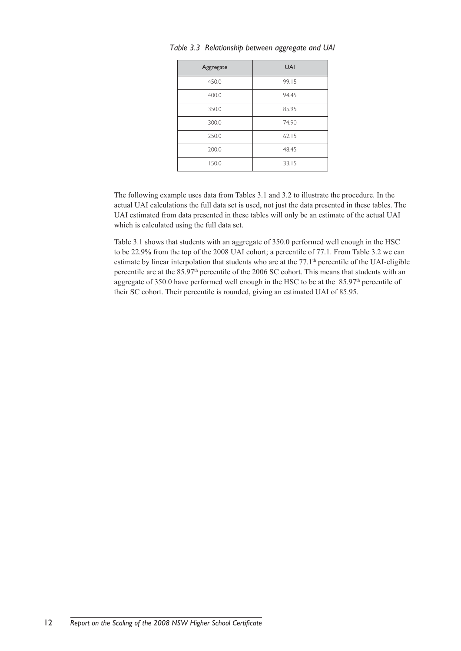| Aggregate | <b>UAI</b> |
|-----------|------------|
| 450.0     | 99.15      |
| 400.0     | 94.45      |
| 350.0     | 85.95      |
| 300.0     | 74.90      |
| 250.0     | 62.15      |
| 200.0     | 48.45      |
| 150.0     | 33.15      |

*Table 3.3 Relationship between aggregate and UAI*

The following example uses data from Tables 3.1 and 3.2 to illustrate the procedure. In the actual UAI calculations the full data set is used, not just the data presented in these tables. The UAI estimated from data presented in these tables will only be an estimate of the actual UAI which is calculated using the full data set.

Table 3.1 shows that students with an aggregate of 350.0 performed well enough in the HSC to be 22.9% from the top of the 2008 UAI cohort; a percentile of 77.1. From Table 3.2 we can estimate by linear interpolation that students who are at the  $77.1<sup>th</sup>$  percentile of the UAI-eligible percentile are at the 85.97<sup>th</sup> percentile of the 2006 SC cohort. This means that students with an aggregate of 350.0 have performed well enough in the HSC to be at the 85.97th percentile of their SC cohort. Their percentile is rounded, giving an estimated UAI of 85.95.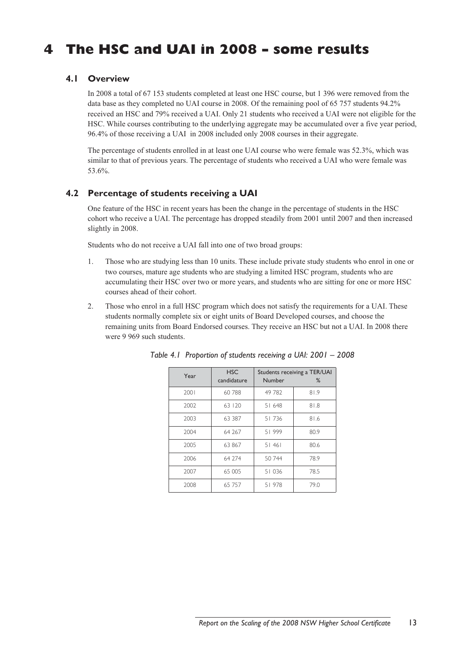# **4 The HSC and UAI in 2008 – some results**

# **4.1 Overview**

In 2008 a total of 67 153 students completed at least one HSC course, but 1 396 were removed from the data base as they completed no UAI course in 2008. Of the remaining pool of 65 757 students 94.2% received an HSC and 79% received a UAI. Only 21 students who received a UAI were not eligible for the HSC. While courses contributing to the underlying aggregate may be accumulated over a five year period, 96.4% of those receiving a UAI in 2008 included only 2008 courses in their aggregate.

The percentage of students enrolled in at least one UAI course who were female was 52.3%, which was similar to that of previous years. The percentage of students who received a UAI who were female was 53.6%.

## **4.2 Percentage of students receiving a UAI**

One feature of the HSC in recent years has been the change in the percentage of students in the HSC cohort who receive a UAI. The percentage has dropped steadily from 2001 until 2007 and then increased slightly in 2008.

Students who do not receive a UAI fall into one of two broad groups:

- 1. Those who are studying less than 10 units. These include private study students who enrol in one or two courses, mature age students who are studying a limited HSC program, students who are accumulating their HSC over two or more years, and students who are sitting for one or more HSC courses ahead of their cohort.
- 2. Those who enrol in a full HSC program which does not satisfy the requirements for a UAI. These students normally complete six or eight units of Board Developed courses, and choose the remaining units from Board Endorsed courses. They receive an HSC but not a UAI. In 2008 there were 9 969 such students.

| Year | <b>HSC</b><br>candidature | Number | Students receiving a TER/UAI<br>$\%$ |
|------|---------------------------|--------|--------------------------------------|
| 2001 | 60788                     | 49 782 | 81.9                                 |
| 2002 | 63   20                   | 51 648 | 81.8                                 |
| 2003 | 63 387                    | 51736  | 81.6                                 |
| 2004 | 64 267                    | 51999  | 80.9                                 |
| 2005 | 63 867                    | 51461  | 80.6                                 |
| 2006 | 64 274                    | 50 744 | 78.9                                 |
| 2007 | 65 005                    | 51036  | 78.5                                 |
| 2008 | 65 757                    | 51978  | 79.0                                 |

*Table 4.1 Proportion of students receiving a UAI: 2001 – 2008*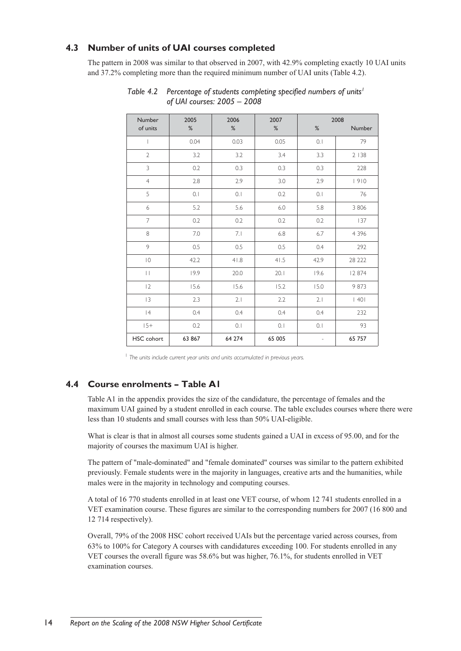# **4.3 Number of units of UAI courses completed**

The pattern in 2008 was similar to that observed in 2007, with 42.9% completing exactly 10 UAI units and 37.2% completing more than the required minimum number of UAI units (Table 4.2).

| Number            | 2005   | 2006   | 2007   |                   | 2008    |
|-------------------|--------|--------|--------|-------------------|---------|
| of units          | $\%$   | %      | %      | $\%$              | Number  |
| $\mathbf{I}$      | 0.04   | 0.03   | 0.05   | 0.1               | 79      |
| $\overline{2}$    | 3.2    | 3.2    | 3.4    | 3.3               | 2 1 3 8 |
| 3                 | 0.2    | 0.3    | 0.3    | 0.3               | 228     |
| $\overline{4}$    | 2.8    | 2.9    | 3.0    | 2.9               | 1910    |
| 5                 | 0.1    | 0.1    | 0.2    | 0.1               | 76      |
| 6                 | 5.2    | 5.6    | 6.0    | 5.8               | 3 8 0 6 |
| $\overline{7}$    | 0.2    | 0.2    | 0.2    | 0.2               | 137     |
| 8                 | 7.0    | 7.1    | 6.8    | 6.7               | 4 3 9 6 |
| $\,$ $\,$         | 0.5    | 0.5    | 0.5    | 0.4               | 292     |
| $\vert$ ()        | 42.2   | 41.8   | 41.5   | 42.9              | 28 222  |
| $\vert \ \vert$   | 19.9   | 20.0   | 20.1   | 19.6              | 12 874  |
| 2                 | 15.6   | 15.6   | 15.2   | 15.0              | 9 873   |
| 3                 | 2.3    | 2.1    | 2.2    | 2.1               | 40      |
| 4                 | 0.4    | 0.4    | 0.4    | 0.4               | 232     |
| $15+$             | 0.2    | 0.1    | 0.1    | 0.1               | 93      |
| <b>HSC</b> cohort | 63 867 | 64 274 | 65 005 | $\qquad \qquad -$ | 65 757  |

Table 4.2 Percentage of students completing specified numbers of units<sup>1</sup>  *of UAI courses: 2005 – 2008*

<sup>1</sup> The units include current year units and units accumulated in previous years.

# **4.4 Course enrolments – Table A1**

Table A1 in the appendix provides the size of the candidature, the percentage of females and the maximum UAI gained by a student enrolled in each course. The table excludes courses where there were less than 10 students and small courses with less than 50% UAI-eligible.

What is clear is that in almost all courses some students gained a UAI in excess of 95.00, and for the majority of courses the maximum UAI is higher.

The pattern of "male-dominated" and "female dominated" courses was similar to the pattern exhibited previously. Female students were in the majority in languages, creative arts and the humanities, while males were in the majority in technology and computing courses.

A total of 16 770 students enrolled in at least one VET course, of whom 12 741 students enrolled in a VET examination course. These figures are similar to the corresponding numbers for 2007 (16 800 and 12 714 respectively).

Overall, 79% of the 2008 HSC cohort received UAIs but the percentage varied across courses, from 63% to 100% for Category A courses with candidatures exceeding 100. For students enrolled in any VET courses the overall figure was 58.6% but was higher, 76.1%, for students enrolled in VET examination courses.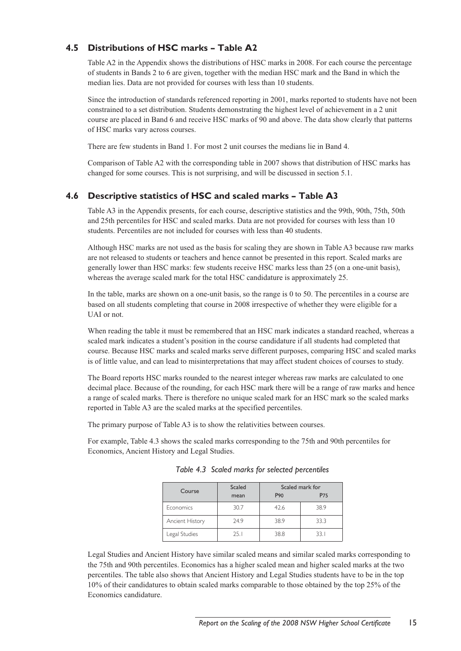# **4.5 Distributions of HSC marks – Table A2**

Table A2 in the Appendix shows the distributions of HSC marks in 2008. For each course the percentage of students in Bands 2 to 6 are given, together with the median HSC mark and the Band in which the median lies. Data are not provided for courses with less than 10 students.

Since the introduction of standards referenced reporting in 2001, marks reported to students have not been constrained to a set distribution. Students demonstrating the highest level of achievement in a 2 unit course are placed in Band 6 and receive HSC marks of 90 and above. The data show clearly that patterns of HSC marks vary across courses.

There are few students in Band 1. For most 2 unit courses the medians lie in Band 4.

Comparison of Table A2 with the corresponding table in 2007 shows that distribution of HSC marks has changed for some courses. This is not surprising, and will be discussed in section 5.1.

# **4.6 Descriptive statistics of HSC and scaled marks – Table A3**

Table A3 in the Appendix presents, for each course, descriptive statistics and the 99th, 90th, 75th, 50th and 25th percentiles for HSC and scaled marks. Data are not provided for courses with less than 10 students. Percentiles are not included for courses with less than 40 students.

Although HSC marks are not used as the basis for scaling they are shown in Table A3 because raw marks are not released to students or teachers and hence cannot be presented in this report. Scaled marks are generally lower than HSC marks: few students receive HSC marks less than 25 (on a one-unit basis), whereas the average scaled mark for the total HSC candidature is approximately 25.

In the table, marks are shown on a one-unit basis, so the range is 0 to 50. The percentiles in a course are based on all students completing that course in 2008 irrespective of whether they were eligible for a UAI or not.

When reading the table it must be remembered that an HSC mark indicates a standard reached, whereas a scaled mark indicates a student's position in the course candidature if all students had completed that course. Because HSC marks and scaled marks serve different purposes, comparing HSC and scaled marks is of little value, and can lead to misinterpretations that may affect student choices of courses to study.

The Board reports HSC marks rounded to the nearest integer whereas raw marks are calculated to one decimal place. Because of the rounding, for each HSC mark there will be a range of raw marks and hence a range of scaled marks. There is therefore no unique scaled mark for an HSC mark so the scaled marks reported in Table A3 are the scaled marks at the specified percentiles.

The primary purpose of Table A3 is to show the relativities between courses.

For example, Table 4.3 shows the scaled marks corresponding to the 75th and 90th percentiles for Economics, Ancient History and Legal Studies.

| Course           | Scaled<br>Scaled mark for |                 |      |
|------------------|---------------------------|-----------------|------|
|                  | mean                      | P <sub>90</sub> | P75  |
| <b>Economics</b> | 30.7                      | 42.6            | 38.9 |
| Ancient History  | 24.9                      | 38.9            | 33.3 |
| Legal Studies    | 25.1                      | 38.8            | 33.1 |

*Table 4.3 Scaled marks for selected percentiles*

Legal Studies and Ancient History have similar scaled means and similar scaled marks corresponding to the 75th and 90th percentiles. Economics has a higher scaled mean and higher scaled marks at the two percentiles. The table also shows that Ancient History and Legal Studies students have to be in the top 10% of their candidatures to obtain scaled marks comparable to those obtained by the top 25% of the Economics candidature.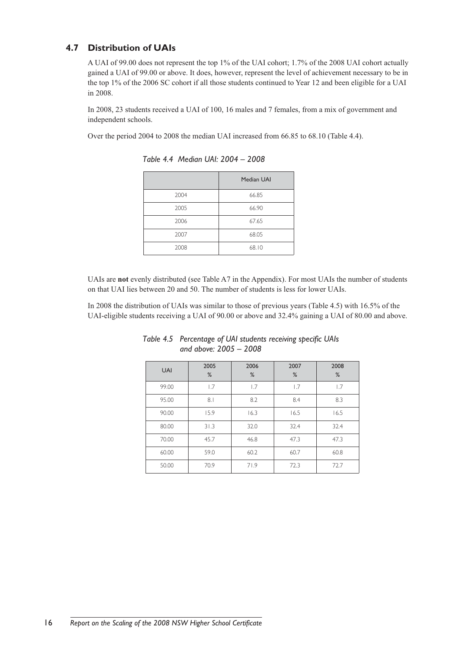# **4.7 Distribution of UAIs**

A UAI of 99.00 does not represent the top 1% of the UAI cohort; 1.7% of the 2008 UAI cohort actually gained a UAI of 99.00 or above. It does, however, represent the level of achievement necessary to be in the top 1% of the 2006 SC cohort if all those students continued to Year 12 and been eligible for a UAI in 2008.

In 2008, 23 students received a UAI of 100, 16 males and 7 females, from a mix of government and independent schools.

Over the period 2004 to 2008 the median UAI increased from 66.85 to 68.10 (Table 4.4).

|      | <b>Median UAI</b> |
|------|-------------------|
| 2004 | 66.85             |
| 2005 | 66.90             |
| 2006 | 67.65             |
| 2007 | 68.05             |
| 2008 | 68.10             |

*Table 4.4 Median UAI: 2004 – 2008* 

UAIs are **not** evenly distributed (see Table A7 in the Appendix). For most UAIs the number of students on that UAI lies between 20 and 50. The number of students is less for lower UAIs.

In 2008 the distribution of UAIs was similar to those of previous years (Table 4.5) with 16.5% of the UAI-eligible students receiving a UAI of 90.00 or above and 32.4% gaining a UAI of 80.00 and above.

| <b>UAI</b> | 2005<br>% | 2006<br>% | 2007<br>% | 2008<br>% |
|------------|-----------|-----------|-----------|-----------|
| 99.00      | 1.7       | 1.7       | 1.7       | 1.7       |
| 95.00      | 8.1       | 8.2       | 8.4       | 8.3       |
| 90.00      | 15.9      | 16.3      | 16.5      | 16.5      |
| 80.00      | 31.3      | 32.0      | 32.4      | 32.4      |
| 70.00      | 45.7      | 46.8      | 47.3      | 47.3      |
| 60.00      | 59.0      | 60.2      | 60.7      | 60.8      |
| 50.00      | 70.9      | 71.9      | 72.3      | 72.7      |

*Table 4.5 Percentage of UAI students receiving specific UAIs and above: 2005 – 2008*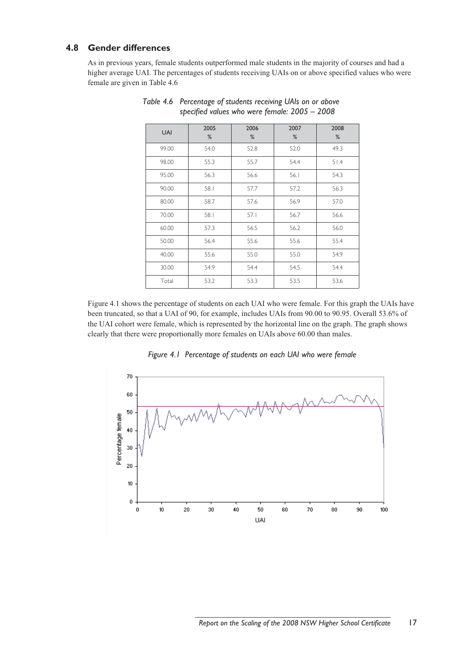# **4.8 Gender differences**

As in previous years, female students outperformed male students in the majority of courses and had a higher average UAI. The percentages of students receiving UAIs on or above specified values who were female are given in Table 4.6

| <b>UAI</b> | 2005<br>% | 2006<br>% | 2007<br>% | 2008<br>% |
|------------|-----------|-----------|-----------|-----------|
| 99.00      | 54.0      | 52.8      | 52.0      | 49.3      |
| 98.00      | 55.3      | 55.7      | 54.4      | 51.4      |
| 95.00      | 56.3      | 56.6      | 56.1      | 54.3      |
| 90.00      | 58.1      | 57.7      | 57.2      | 56.3      |
| 80.00      | 58.7      | 57.6      | 56.9      | 57.0      |
| 70.00      | 58.1      | 57.1      | 56.7      | 56.6      |
| 60.00      | 57.3      | 56.5      | 56.2      | 56.0      |
| 50.00      | 56.4      | 55.6      | 55.6      | 55.4      |
| 40.00      | 55.6      | 55.0      | 55.0      | 54.9      |
| 30.00      | 54.9      | 54.4      | 54.5      | 54.4      |
| Total      | 53.2      | 53.3      | 53.5      | 53.6      |

*Table 4.6 Percentage of students receiving UAIs on or above specified values who were female: 2005 – 2008*

Figure 4.1 shows the percentage of students on each UAI who were female. For this graph the UAIs have been truncated, so that a UAI of 90, for example, includes UAIs from 90.00 to 90.95. Overall 53.6% of the UAI cohort were female, which is represented by the horizontal line on the graph. The graph shows clearly that there were proportionally more females on UAIs above 60.00 than males.



*Figure 4.1 Percentage of students on each UAI who were female*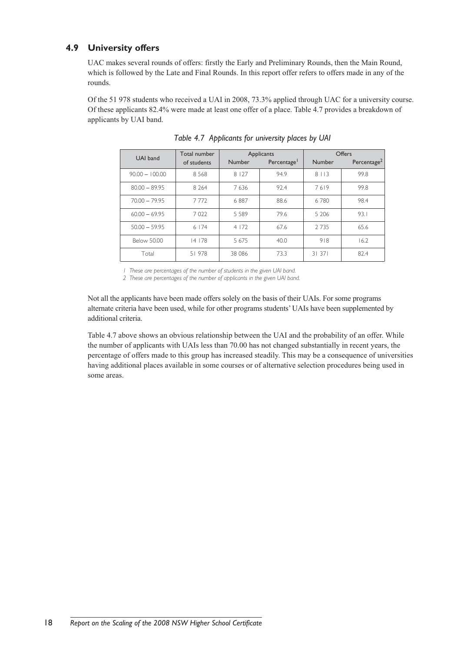# **4.9 University offers**

UAC makes several rounds of offers: firstly the Early and Preliminary Rounds, then the Main Round, which is followed by the Late and Final Rounds. In this report offer refers to offers made in any of the rounds.

Of the 51 978 students who received a UAI in 2008, 73.3% applied through UAC for a university course. Of these applicants 82.4% were made at least one offer of a place. Table 4.7 provides a breakdown of applicants by UAI band.

| UAI band           | Total number |               | Applicants              |               | Offers                  |
|--------------------|--------------|---------------|-------------------------|---------------|-------------------------|
|                    | of students  | <b>Number</b> | Percentage <sup>1</sup> | <b>Number</b> | Percentage <sup>2</sup> |
| $90.00 - 100.00$   | 8568         | 8 1 2 7       | 94.9                    | 8 1 1 3       | 99.8                    |
| $80.00 - 89.95$    | 8 2 6 4      | 7636          | 92.4                    | 7619          | 99.8                    |
| $70.00 - 79.95$    | 7772         | 6887          | 88.6                    | 6780          | 98.4                    |
| $60.00 - 69.95$    | 7022         | 5 5 8 9       | 79.6                    | 5 2 0 6       | 93.1                    |
| $50.00 - 59.95$    | 6174         | 4 1 7 2       | 67.6                    | 2 7 3 5       | 65.6                    |
| <b>Below 50.00</b> | 14178        | 5 6 7 5       | 40.0                    | 918           | 16.2                    |
| Total              | 51978        | 38 0 86       | 73.3                    | 31371         | 82.4                    |

*Table 4.7 Applicants for university places by UAI*

*1 These are percentages of the number of students in the given UAI band.*

*2 These are percentages of the number of applicants in the given UAI band.*

Not all the applicants have been made offers solely on the basis of their UAIs. For some programs alternate criteria have been used, while for other programs students' UAIs have been supplemented by additional criteria.

Table 4.7 above shows an obvious relationship between the UAI and the probability of an offer. While the number of applicants with UAIs less than 70.00 has not changed substantially in recent years, the percentage of offers made to this group has increased steadily. This may be a consequence of universities having additional places available in some courses or of alternative selection procedures being used in some areas.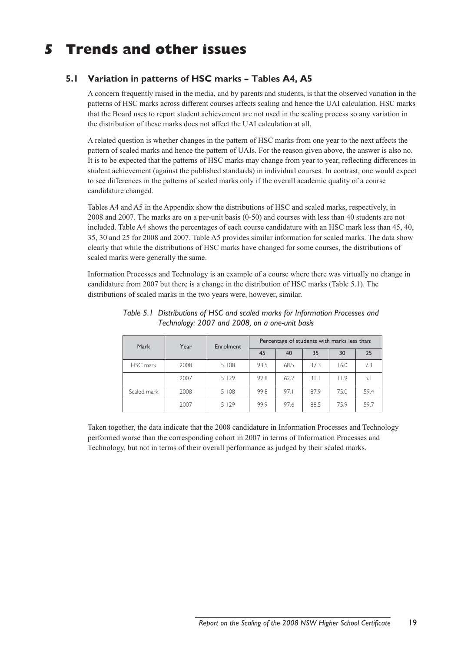# **5 Trends and other issues**

# **5.1 Variation in patterns of HSC marks – Tables A4, A5**

A concern frequently raised in the media, and by parents and students, is that the observed variation in the patterns of HSC marks across different courses affects scaling and hence the UAI calculation. HSC marks that the Board uses to report student achievement are not used in the scaling process so any variation in the distribution of these marks does not affect the UAI calculation at all.

A related question is whether changes in the pattern of HSC marks from one year to the next affects the pattern of scaled marks and hence the pattern of UAIs. For the reason given above, the answer is also no. It is to be expected that the patterns of HSC marks may change from year to year, reflecting differences in student achievement (against the published standards) in individual courses. In contrast, one would expect to see differences in the patterns of scaled marks only if the overall academic quality of a course candidature changed.

Tables A4 and A5 in the Appendix show the distributions of HSC and scaled marks, respectively, in 2008 and 2007. The marks are on a per-unit basis (0-50) and courses with less than 40 students are not included. Table A4 shows the percentages of each course candidature with an HSC mark less than 45, 40, 35, 30 and 25 for 2008 and 2007. Table A5 provides similar information for scaled marks. The data show clearly that while the distributions of HSC marks have changed for some courses, the distributions of scaled marks were generally the same.

Information Processes and Technology is an example of a course where there was virtually no change in candidature from 2007 but there is a change in the distribution of HSC marks (Table 5.1). The distributions of scaled marks in the two years were, however, similar.

| Mark        | Year | Enrolment | Percentage of students with marks less than: |      |      |      |      |
|-------------|------|-----------|----------------------------------------------|------|------|------|------|
|             |      |           | 45                                           | 40   | 35   | 30   | 25   |
| HSC mark    | 2008 | 5 108     | 93.5                                         | 68.5 | 37.3 | 16.0 | 7.3  |
|             | 2007 | 5 1 2 9   | 92.8                                         | 62.2 | 31.1 | 11.9 | 5.1  |
| Scaled mark | 2008 | 5 108     | 99.8                                         | 97.1 | 87.9 | 75.0 | 59.4 |
|             | 2007 | 5129      | 99.9                                         | 97.6 | 88.5 | 75.9 | 59.7 |

*Table 5.1 Distributions of HSC and scaled marks for Information Processes and Technology: 2007 and 2008, on a one-unit basis*

Taken together, the data indicate that the 2008 candidature in Information Processes and Technology performed worse than the corresponding cohort in 2007 in terms of Information Processes and Technology, but not in terms of their overall performance as judged by their scaled marks.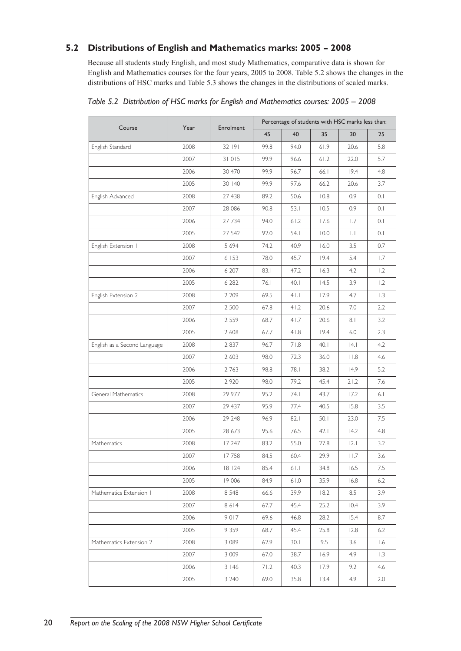# **5.2 Distributions of English and Mathematics marks: 2005 – 2008**

Because all students study English, and most study Mathematics, comparative data is shown for English and Mathematics courses for the four years, 2005 to 2008. Table 5.2 shows the changes in the distributions of HSC marks and Table 5.3 shows the changes in the distributions of scaled marks.

|                              |      |           |      |       | Percentage of students with HSC marks less than: |                 |     |
|------------------------------|------|-----------|------|-------|--------------------------------------------------|-----------------|-----|
| Course                       | Year | Enrolment | 45   | 40    | 35                                               | 30              | 25  |
| English Standard             | 2008 | 32 191    | 99.8 | 94.0  | 61.9                                             | 20.6            | 5.8 |
|                              | 2007 | 31015     | 99.9 | 96.6  | $61.2$                                           | 22.0            | 5.7 |
|                              | 2006 | 30 470    | 99.9 | 96.7  | 66.I                                             | 19.4            | 4.8 |
|                              | 2005 | 30 140    | 99.9 | 97.6  | 66.2                                             | 20.6            | 3.7 |
| English Advanced             | 2008 | 27 438    | 89.2 | 50.6  | 10.8                                             | 0.9             | 0.1 |
|                              | 2007 | 28 08 6   | 90.8 | 53.1  | 10.5                                             | 0.9             | 0.1 |
|                              | 2006 | 27 734    | 94.0 | 61.2  | 17.6                                             | 1.7             | 0.1 |
|                              | 2005 | 27 542    | 92.0 | 54.I  | 10.0                                             | IJ              | 0.1 |
| English Extension I          | 2008 | 5 6 9 4   | 74.2 | 40.9  | 16.0                                             | 3.5             | 0.7 |
|                              | 2007 | 6 153     | 78.0 | 45.7  | 19.4                                             | 5.4             | 1.7 |
|                              | 2006 | 6 207     | 83.1 | 47.2  | 16.3                                             | 4.2             | 1.2 |
|                              | 2005 | 6 2 8 2   | 76.1 | 40.1  | 14.5                                             | 3.9             | 1.2 |
| English Extension 2          | 2008 | 2 2 0 9   | 69.5 | 41.1  | 17.9                                             | 4.7             | 1.3 |
|                              | 2007 | 2 5 0 0   | 67.8 | 41.2  | 20.6                                             | 7.0             | 2.2 |
|                              | 2006 | 2 5 5 9   | 68.7 | 41.7  | 20.6                                             | 8.1             | 3.2 |
|                              | 2005 | 2 608     | 67.7 | 41.8  | 19.4                                             | 6.0             | 2.3 |
| English as a Second Language | 2008 | 2837      | 96.7 | 71.8  | 40.1                                             | 4.1             | 4.2 |
|                              | 2007 | 2 6 0 3   | 98.0 | 72.3  | 36.0                                             | $ $ $ $ $ $ $ $ | 4.6 |
|                              | 2006 | 2763      | 98.8 | 78.1  | 38.2                                             | 14.9            | 5.2 |
|                              | 2005 | 2 9 2 0   | 98.0 | 79.2  | 45.4                                             | 21.2            | 7.6 |
| General Mathematics          | 2008 | 29 977    | 95.2 | 74. I | 43.7                                             | 17.2            | 6.1 |
|                              | 2007 | 29 437    | 95.9 | 77.4  | 40.5                                             | 15.8            | 3.5 |
|                              | 2006 | 29 248    | 96.9 | 82.1  | 50.1                                             | 23.0            | 7.5 |
|                              | 2005 | 28 673    | 95.6 | 76.5  | 42.1                                             | 14.2            | 4.8 |
| Mathematics                  | 2008 | 17 247    | 83.2 | 55.0  | 27.8                                             | 2.1             | 3.2 |
|                              | 2007 | 17758     | 84.5 | 60.4  | 29.9                                             | 11.7            | 3.6 |
|                              | 2006 | 18 124    | 85.4 | 61.1  | 34.8                                             | 16.5            | 7.5 |
|                              | 2005 | 19 006    | 84.9 | 61.0  | 35.9                                             | 16.8            | 6.2 |
| Mathematics Extension 1      | 2008 | 8 5 4 8   | 66.6 | 39.9  | 18.2                                             | 8.5             | 3.9 |
|                              | 2007 | 8614      | 67.7 | 45.4  | 25.2                                             | 10.4            | 3.9 |
|                              | 2006 | 9017      | 69.6 | 46.8  | 28.2                                             | 15.4            | 8.7 |
|                              | 2005 | 9 3 5 9   | 68.7 | 45.4  | 25.8                                             | 12.8            | 6.2 |
| Mathematics Extension 2      | 2008 | 3 0 8 9   | 62.9 | 30.1  | 9.5                                              | 3.6             | 1.6 |
|                              | 2007 | 3 0 0 9   | 67.0 | 38.7  | 16.9                                             | 4.9             | 1.3 |
|                              | 2006 | 3146      | 71.2 | 40.3  | 17.9                                             | 9.2             | 4.6 |
|                              | 2005 | 3 2 4 0   | 69.0 | 35.8  | 13.4                                             | 4.9             | 2.0 |

|  | Table 5.2 Distribution of HSC marks for English and Mathematics courses: 2005 - 2008 |  |  |  |  |
|--|--------------------------------------------------------------------------------------|--|--|--|--|
|  |                                                                                      |  |  |  |  |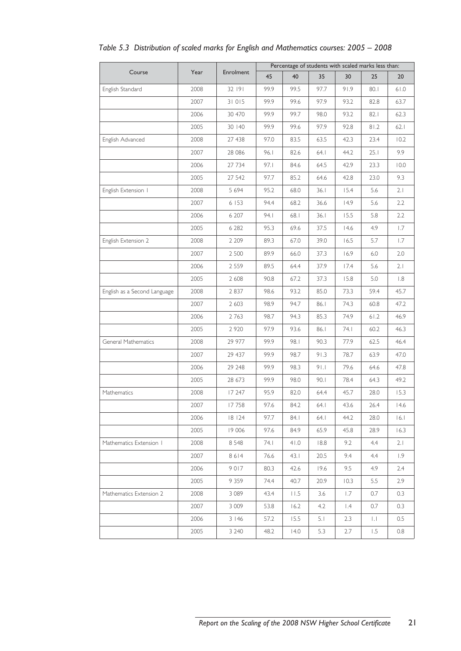|                              |      |           | Percentage of students with scaled marks less than: |      |       |           |      |      |
|------------------------------|------|-----------|-----------------------------------------------------|------|-------|-----------|------|------|
| Course                       | Year | Enrolment | 45                                                  | 40   | 35    | 30        | 25   | 20   |
| English Standard             | 2008 | 32 191    | 99.9                                                | 99.5 | 97.7  | 91.9      | 80.1 | 61.0 |
|                              | 2007 | 31015     | 99.9                                                | 99.6 | 97.9  | 93.2      | 82.8 | 63.7 |
|                              | 2006 | 30 470    | 99.9                                                | 99.7 | 98.0  | 93.2      | 82.1 | 62.3 |
|                              | 2005 | 30 140    | 99.9                                                | 99.6 | 97.9  | 92.8      | 81.2 | 62.1 |
| English Advanced             | 2008 | 27 438    | 97.0                                                | 83.5 | 63.5  | 42.3      | 23.4 | 10.2 |
|                              | 2007 | 28 08 6   | 96.1                                                | 82.6 | 64.1  | 44.2      | 25.1 | 9.9  |
|                              | 2006 | 27 734    | 97.1                                                | 84.6 | 64.5  | 42.9      | 23.3 | 10.0 |
|                              | 2005 | 27 542    | 97.7                                                | 85.2 | 64.6  | 42.8      | 23.0 | 9.3  |
| English Extension I          | 2008 | 5 6 9 4   | 95.2                                                | 68.0 | 36.1  | 15.4      | 5.6  | 2.1  |
|                              | 2007 | 6 153     | 94.4                                                | 68.2 | 36.6  | 14.9      | 5.6  | 2.2  |
|                              | 2006 | 6 207     | 94.1                                                | 68.1 | 36.1  | 15.5      | 5.8  | 2.2  |
|                              | 2005 | 6 2 8 2   | 95.3                                                | 69.6 | 37.5  | 14.6      | 4.9  | 1.7  |
| English Extension 2          | 2008 | 2 2 0 9   | 89.3                                                | 67.0 | 39.0  | 16.5      | 5.7  | 1.7  |
|                              | 2007 | 2 500     | 89.9                                                | 66.0 | 37.3  | 16.9      | 6.0  | 2.0  |
|                              | 2006 | 2 5 5 9   | 89.5                                                | 64.4 | 37.9  | 17.4      | 5.6  | 2.1  |
|                              | 2005 | 2 6 0 8   | 90.8                                                | 67.2 | 37.3  | 15.8      | 5.0  | 1.8  |
| English as a Second Language | 2008 | 2 8 3 7   | 98.6                                                | 93.2 | 85.0  | 73.3      | 59.4 | 45.7 |
|                              | 2007 | 2 6 0 3   | 98.9                                                | 94.7 | 86.1  | 74.3      | 60.8 | 47.2 |
|                              | 2006 | 2763      | 98.7                                                | 94.3 | 85.3  | 74.9      | 61.2 | 46.9 |
|                              | 2005 | 2 9 2 0   | 97.9                                                | 93.6 | 86.1  | 74. I     | 60.2 | 46.3 |
| General Mathematics          | 2008 | 29 977    | 99.9                                                | 98.1 | 90.3  | 77.9      | 62.5 | 46.4 |
|                              | 2007 | 29 437    | 99.9                                                | 98.7 | 91.3  | 78.7      | 63.9 | 47.0 |
|                              | 2006 | 29 248    | 99.9                                                | 98.3 | 91.1  | 79.6      | 64.6 | 47.8 |
|                              | 2005 | 28 673    | 99.9                                                | 98.0 | 90.1  | 78.4      | 64.3 | 49.2 |
| Mathematics                  | 2008 | 17 247    | 95.9                                                | 82.0 | 64.4  | 45.7      | 28.0 | 15.3 |
|                              | 2007 | 17758     | 97.6                                                | 84.2 | 64.1  | 43.6      | 26.4 | 14.6 |
|                              | 2006 | 18124     | 97.7                                                | 84.1 | 64. l | 44.2      | 28.0 | 6.1  |
|                              | 2005 | 19 006    | 97.6                                                | 84.9 | 65.9  | 45.8      | 28.9 | 16.3 |
| Mathematics Extension 1      | 2008 | 8 5 4 8   | 74. I                                               | 41.0 | 18.8  | 9.2       | 4.4  | 2.1  |
|                              | 2007 | 8614      | 76.6                                                | 43.1 | 20.5  | 9.4       | 4.4  | 1.9  |
|                              | 2006 | 9017      | 80.3                                                | 42.6 | 19.6  | 9.5       | 4.9  | 2.4  |
|                              | 2005 | 9 3 5 9   | 74.4                                                | 40.7 | 20.9  | 10.3      | 5.5  | 2.9  |
| Mathematics Extension 2      | 2008 | 3 0 8 9   | 43.4                                                | 11.5 | 3.6   | 1.7       | 0.7  | 0.3  |
|                              | 2007 | 3 0 0 9   | 53.8                                                | 16.2 | 4.2   | $\vert A$ | 0.7  | 0.3  |
|                              | 2006 | 3146      | 57.2                                                | 15.5 | 5.1   | 2.3       | IJ   | 0.5  |
|                              | 2005 | 3 2 4 0   | 48.2                                                | 14.0 | 5.3   | 2.7       | 1.5  | 0.8  |

# *Table 5.3 Distribution of scaled marks for English and Mathematics courses: 2005 – 2008*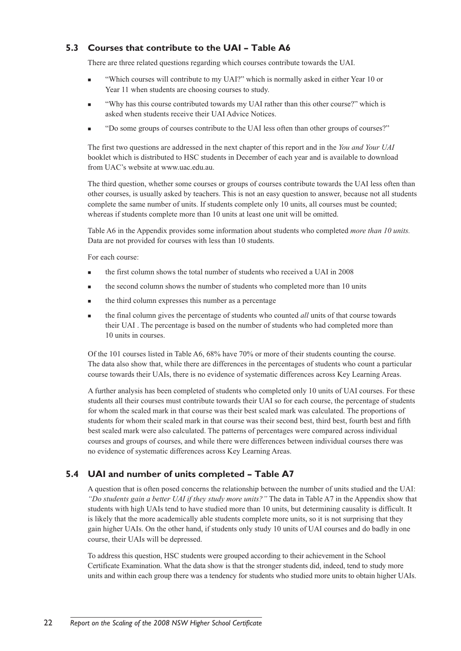# **5.3 Courses that contribute to the UAI – Table A6**

There are three related questions regarding which courses contribute towards the UAI.

- "Which courses will contribute to my UAI?" which is normally asked in either Year 10 or Year 11 when students are choosing courses to study.
- "Why has this course contributed towards my UAI rather than this other course?" which is asked when students receive their UAI Advice Notices.
- <sup>n</sup> "Do some groups of courses contribute to the UAI less often than other groups of courses?"

The first two questions are addressed in the next chapter of this report and in the *You and Your UAI* booklet which is distributed to HSC students in December of each year and is available to download from UAC's website at www.uac.edu.au.

The third question, whether some courses or groups of courses contribute towards the UAI less often than other courses, is usually asked by teachers. This is not an easy question to answer, because not all students complete the same number of units. If students complete only 10 units, all courses must be counted; whereas if students complete more than 10 units at least one unit will be omitted.

Table A6 in the Appendix provides some information about students who completed *more than 10 units.* Data are not provided for courses with less than 10 students.

For each course:

- <sup>n</sup> the first column shows the total number of students who received a UAI in 2008
- <sup>n</sup> the second column shows the number of students who completed more than 10 units
- the third column expresses this number as a percentage
- <sup>n</sup> the final column gives the percentage of students who counted *all* units of that course towards their UAI . The percentage is based on the number of students who had completed more than 10 units in courses.

Of the 101 courses listed in Table A6, 68% have 70% or more of their students counting the course. The data also show that, while there are differences in the percentages of students who count a particular course towards their UAIs, there is no evidence of systematic differences across Key Learning Areas.

A further analysis has been completed of students who completed only 10 units of UAI courses. For these students all their courses must contribute towards their UAI so for each course, the percentage of students for whom the scaled mark in that course was their best scaled mark was calculated. The proportions of students for whom their scaled mark in that course was their second best, third best, fourth best and fifth best scaled mark were also calculated. The patterns of percentages were compared across individual courses and groups of courses, and while there were differences between individual courses there was no evidence of systematic differences across Key Learning Areas.

# **5.4 UAI and number of units completed – Table A7**

A question that is often posed concerns the relationship between the number of units studied and the UAI: *"Do students gain a better UAI if they study more units?"* The data in Table A7 in the Appendix show that students with high UAIs tend to have studied more than 10 units, but determining causality is difficult. It is likely that the more academically able students complete more units, so it is not surprising that they gain higher UAIs. On the other hand, if students only study 10 units of UAI courses and do badly in one course, their UAIs will be depressed.

To address this question, HSC students were grouped according to their achievement in the School Certificate Examination. What the data show is that the stronger students did, indeed, tend to study more units and within each group there was a tendency for students who studied more units to obtain higher UAIs.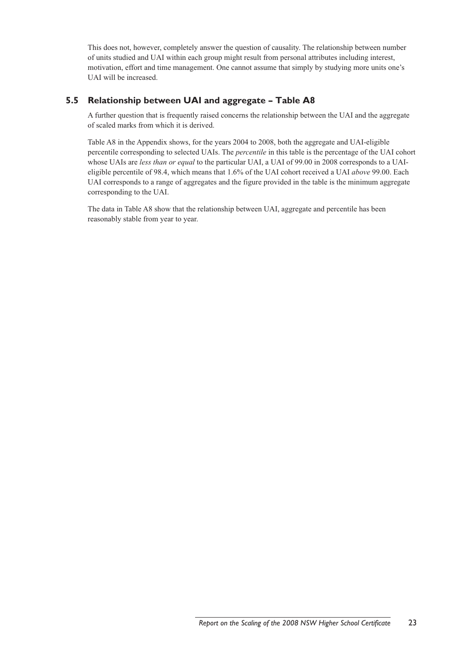This does not, however, completely answer the question of causality. The relationship between number of units studied and UAI within each group might result from personal attributes including interest, motivation, effort and time management. One cannot assume that simply by studying more units one's UAI will be increased.

# **5.5 Relationship between UAI and aggregate – Table A8**

A further question that is frequently raised concerns the relationship between the UAI and the aggregate of scaled marks from which it is derived.

Table A8 in the Appendix shows, for the years 2004 to 2008, both the aggregate and UAI-eligible percentile corresponding to selected UAIs. The *percentile* in this table is the percentage of the UAI cohort whose UAIs are *less than or equal* to the particular UAI, a UAI of 99.00 in 2008 corresponds to a UAIeligible percentile of 98.4, which means that 1.6% of the UAI cohort received a UAI *above* 99.00. Each UAI corresponds to a range of aggregates and the figure provided in the table is the minimum aggregate corresponding to the UAI.

The data in Table A8 show that the relationship between UAI, aggregate and percentile has been reasonably stable from year to year.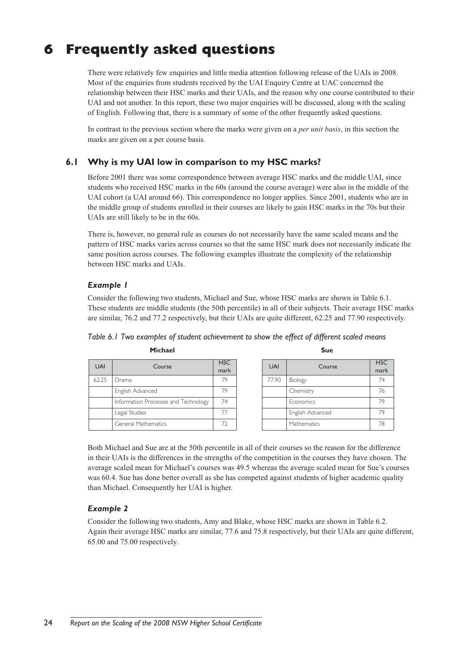# **6 Frequently asked questions**

There were relatively few enquiries and little media attention following release of the UAIs in 2008. Most of the enquiries from students received by the UAI Enquiry Centre at UAC concerned the relationship between their HSC marks and their UAIs, and the reason why one course contributed to their UAI and not another. In this report, these two major enquiries will be discussed, along with the scaling of English. Following that, there is a summary of some of the other frequently asked questions.

In contrast to the previous section where the marks were given on a *per unit basis*, in this section the marks are given on a per course basis.

# **6.1 Why is my UAI low in comparison to my HSC marks?**

Before 2001 there was some correspondence between average HSC marks and the middle UAI, since students who received HSC marks in the 60s (around the course average) were also in the middle of the UAI cohort (a UAI around 66). This correspondence no longer applies. Since 2001, students who are in the middle group of students enrolled in their courses are likely to gain HSC marks in the 70s but their UAIs are still likely to be in the 60s.

There is, however, no general rule as courses do not necessarily have the same scaled means and the pattern of HSC marks varies across courses so that the same HSC mark does not necessarily indicate the same position across courses. The following examples illustrate the complexity of the relationship between HSC marks and UAIs.

# *Example 1*

Consider the following two students, Michael and Sue, whose HSC marks are shown in Table 6.1. These students are middle students (the 50th percentile) in all of their subjects. Their average HSC marks are similar, 76.2 and 77.2 respectively, but their UAIs are quite different, 62.25 and 77.90 respectively.

| <b>UAI</b> | Course                               | <b>HSC</b><br>mark |
|------------|--------------------------------------|--------------------|
| 62.25      | Drama                                | 79                 |
|            | English Advanced                     | 79                 |
|            | Information Processes and Technology | 74                 |
|            | Legal Studies                        | 77                 |
|            | General Mathematics                  | 77                 |

| <b>UAI</b> | Course           | <b>HSC</b><br>mark |
|------------|------------------|--------------------|
| 77.90      | Biology          | 74                 |
|            | Chemistry        | 76                 |
|            | Economics        | 79                 |
|            | English Advanced | 79                 |
|            | Mathematics      | 78                 |

*Table 6.1 Two examples of student achievement to show the effect of different scaled means* **Michael Sue** 

Both Michael and Sue are at the 50th percentile in all of their courses so the reason for the difference in their UAIs is the differences in the strengths of the competition in the courses they have chosen. The average scaled mean for Michael's courses was 49.5 whereas the average scaled mean for Sue's courses was 60.4. Sue has done better overall as she has competed against students of higher academic quality than Michael. Consequently her UAI is higher.

# *Example 2*

Consider the following two students, Amy and Blake, whose HSC marks are shown in Table 6.2. Again their average HSC marks are similar, 77.6 and 75.8 respectively, but their UAIs are quite different, 65.00 and 75.00 respectively.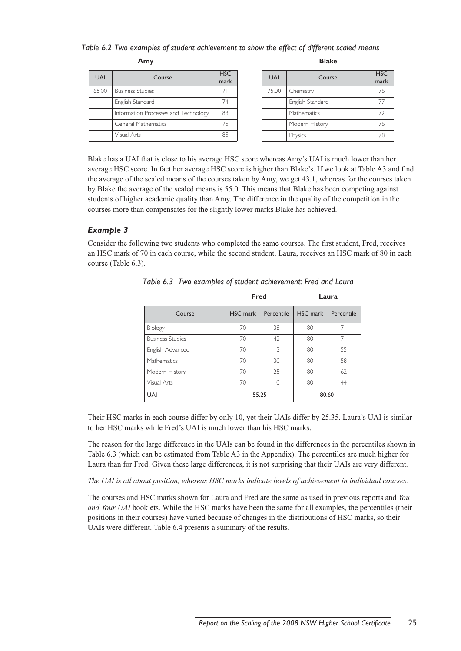#### *Table 6.2 Two examples of student achievement to show the effect of different scaled means*

 **Amy Blake**

| <b>UAI</b> | Course                               | <b>HSC</b><br>mark |
|------------|--------------------------------------|--------------------|
| 65.00      | <b>Business Studies</b>              |                    |
|            | English Standard                     | 74                 |
|            | Information Processes and Technology | 83                 |
|            | General Mathematics                  | 75                 |
|            | Visual Arts                          | 85                 |

| <b>UAI</b> | Course           | <b>HSC</b><br>mark |
|------------|------------------|--------------------|
| 75.00      | Chemistry        | 76                 |
|            | English Standard | 77                 |
|            | Mathematics      | 72                 |
|            | Modern History   | 76                 |
|            | Physics          | 78                 |

Blake has a UAI that is close to his average HSC score whereas Amy's UAI is much lower than her average HSC score. In fact her average HSC score is higher than Blake's. If we look at Table A3 and find the average of the scaled means of the courses taken by Amy, we get 43.1, whereas for the courses taken by Blake the average of the scaled means is 55.0. This means that Blake has been competing against students of higher academic quality than Amy. The difference in the quality of the competition in the courses more than compensates for the slightly lower marks Blake has achieved.

## *Example 3*

Consider the following two students who completed the same courses. The first student, Fred, receives an HSC mark of 70 in each course, while the second student, Laura, receives an HSC mark of 80 in each course (Table 6.3).

|                         | <b>Fred</b> |                |          | Laura      |
|-------------------------|-------------|----------------|----------|------------|
| Course                  | HSC mark    | Percentile     | HSC mark | Percentile |
| Biology                 | 70          | 38             | 80       | 71         |
| <b>Business Studies</b> | 70          | 42             | 80       | 71         |
| English Advanced        | 70          | 13             | 80       | 55         |
| Mathematics             | 70          | 30             | 80       | 58         |
| Modern History          | 70          | 25             | 80       | 62         |
| Visual Arts             | 70          | $\overline{0}$ | 80       | 44         |
| <b>UAI</b>              | 55.25       |                |          | 80.60      |

*Table 6.3 Two examples of student achievement: Fred and Laura*

Their HSC marks in each course differ by only 10, yet their UAIs differ by 25.35. Laura's UAI is similar to her HSC marks while Fred's UAI is much lower than his HSC marks.

The reason for the large difference in the UAIs can be found in the differences in the percentiles shown in Table 6.3 (which can be estimated from Table A3 in the Appendix). The percentiles are much higher for Laura than for Fred. Given these large differences, it is not surprising that their UAIs are very different.

*The UAI is all about position, whereas HSC marks indicate levels of achievement in individual courses.*

The courses and HSC marks shown for Laura and Fred are the same as used in previous reports and *You and Your UAI* booklets. While the HSC marks have been the same for all examples, the percentiles (their positions in their courses) have varied because of changes in the distributions of HSC marks, so their UAIs were different. Table 6.4 presents a summary of the results.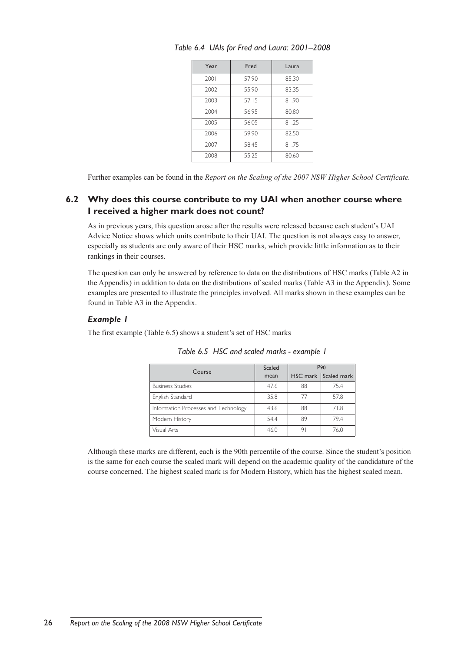| Year | Fred  | Laura |
|------|-------|-------|
| 2001 | 57.90 | 85.30 |
| 2002 | 55.90 | 83.35 |
| 2003 | 57.15 | 81.90 |
| 2004 | 56.95 | 80.80 |
| 2005 | 56.05 | 81.25 |
| 2006 | 59.90 | 82.50 |
| 2007 | 58.45 | 81.75 |
| 2008 | 55.25 | 80.60 |

*Table 6.4 UAIs for Fred and Laura: 2001–2008*

Further examples can be found in the *Report on the Scaling of the 2007 NSW Higher School Certificate.* 

# **6.2 Why does this course contribute to my UAI when another course where I received a higher mark does not count?**

As in previous years, this question arose after the results were released because each student's UAI Advice Notice shows which units contribute to their UAI. The question is not always easy to answer, especially as students are only aware of their HSC marks, which provide little information as to their rankings in their courses.

The question can only be answered by reference to data on the distributions of HSC marks (Table A2 in the Appendix) in addition to data on the distributions of scaled marks (Table A3 in the Appendix). Some examples are presented to illustrate the principles involved. All marks shown in these examples can be found in Table A3 in the Appendix.

## *Example 1*

The first example (Table 6.5) shows a student's set of HSC marks

| Course                               | <b>Scaled</b> | P <sub>90</sub> |                      |  |  |
|--------------------------------------|---------------|-----------------|----------------------|--|--|
|                                      | mean          |                 | HSC mark Scaled mark |  |  |
| <b>Business Studies</b>              | 47.6          | 88              | 75.4                 |  |  |
| English Standard                     | 35.8          | 77              | 57.8                 |  |  |
| Information Processes and Technology | 43.6          | 88              | 71.8                 |  |  |
| Modern History                       | 54.4          | 89              | 79.4                 |  |  |
| Visual Arts                          | 46.0          | 91              | 76.0                 |  |  |

*Table 6.5 HSC and scaled marks - example 1*

Although these marks are different, each is the 90th percentile of the course. Since the student's position is the same for each course the scaled mark will depend on the academic quality of the candidature of the course concerned. The highest scaled mark is for Modern History, which has the highest scaled mean.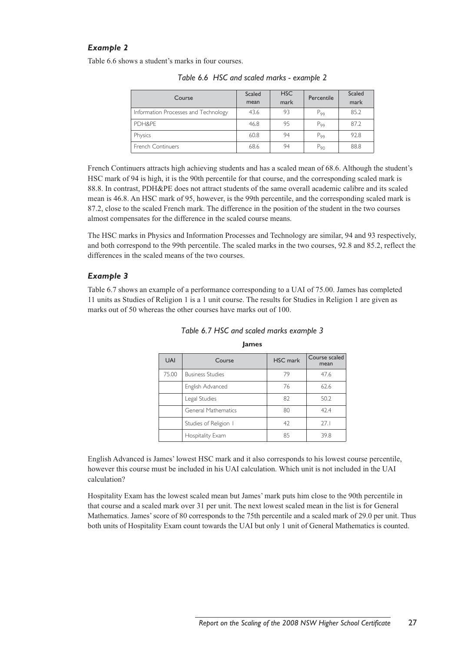## *Example 2*

Table 6.6 shows a student's marks in four courses.

| Course                               | <b>Scaled</b><br>mean | <b>HSC</b><br>mark | Percentile | Scaled<br>mark |  |
|--------------------------------------|-----------------------|--------------------|------------|----------------|--|
| Information Processes and Technology | 43.6                  | 93                 | $P_{99}$   | 85.2           |  |
| PDH&PF                               | 46.8                  | 95                 | $P_{99}$   | 87.2           |  |
| Physics                              | 60.8                  | 94                 | $P_{99}$   | 92.8           |  |
| <b>French Continuers</b>             | 68.6                  | 94                 | $P_{90}$   | 88.8           |  |

*Table 6.6 HSC and scaled marks - example 2*

French Continuers attracts high achieving students and has a scaled mean of 68.6. Although the student's HSC mark of 94 is high, it is the 90th percentile for that course, and the corresponding scaled mark is 88.8. In contrast, PDH&PE does not attract students of the same overall academic calibre and its scaled mean is 46.8. An HSC mark of 95, however, is the 99th percentile, and the corresponding scaled mark is 87.2, close to the scaled French mark. The difference in the position of the student in the two courses almost compensates for the difference in the scaled course means.

The HSC marks in Physics and Information Processes and Technology are similar, 94 and 93 respectively, and both correspond to the 99th percentile. The scaled marks in the two courses, 92.8 and 85.2, reflect the differences in the scaled means of the two courses.

#### *Example 3*

Table 6.7 shows an example of a performance corresponding to a UAI of 75.00. James has completed 11 units as Studies of Religion 1 is a 1 unit course. The results for Studies in Religion 1 are given as marks out of 50 whereas the other courses have marks out of 100.

| <b>UAI</b> | Course                     | <b>HSC</b> mark | Course scaled<br>mean |
|------------|----------------------------|-----------------|-----------------------|
| 75.00      | <b>Business Studies</b>    | 79              | 47.6                  |
|            | English Advanced           | 76              | 62.6                  |
|            | Legal Studies              | 82              | 50.2                  |
|            | <b>General Mathematics</b> | 80              | 42.4                  |
|            | Studies of Religion 1      | 42              | 27.1                  |
|            | Hospitality Exam           | 85              | 39.8                  |

# *Table 6.7 HSC and scaled marks example 3* **James**

English Advanced is James' lowest HSC mark and it also corresponds to his lowest course percentile, however this course must be included in his UAI calculation. Which unit is not included in the UAI calculation?

Hospitality Exam has the lowest scaled mean but James' mark puts him close to the 90th percentile in that course and a scaled mark over 31 per unit. The next lowest scaled mean in the list is for General Mathematics. James' score of 80 corresponds to the 75th percentile and a scaled mark of 29.0 per unit. Thus both units of Hospitality Exam count towards the UAI but only 1 unit of General Mathematics is counted.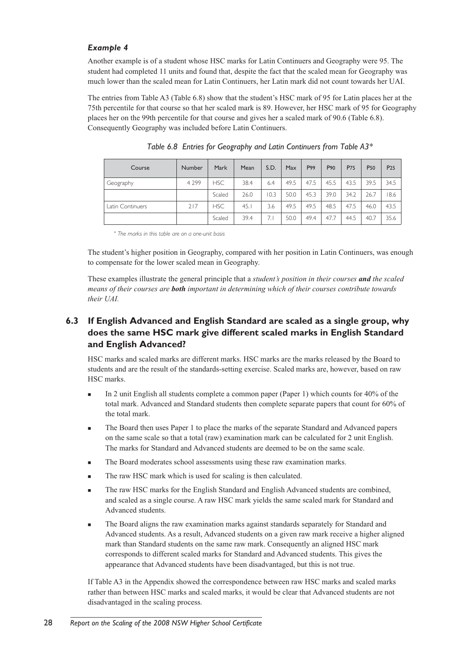## *Example 4*

Another example is of a student whose HSC marks for Latin Continuers and Geography were 95. The student had completed 11 units and found that, despite the fact that the scaled mean for Geography was much lower than the scaled mean for Latin Continuers, her Latin mark did not count towards her UAI.

The entries from Table A3 (Table 6.8) show that the student's HSC mark of 95 for Latin places her at the 75th percentile for that course so that her scaled mark is 89. However, her HSC mark of 95 for Geography places her on the 99th percentile for that course and gives her a scaled mark of 90.6 (Table 6.8). Consequently Geography was included before Latin Continuers.

| Course           | Number  | Mark       | Mean | S.D. | Max  | P99  | P90  | P75  | P <sub>50</sub> | P <sub>25</sub> |
|------------------|---------|------------|------|------|------|------|------|------|-----------------|-----------------|
| Geography        | 4 2 9 9 | <b>HSC</b> | 38.4 | 6.4  | 49.5 | 47.5 | 45.5 | 43.5 | 39.5            | 34.5            |
|                  |         | Scaled     | 26.0 | 10.3 | 50.0 | 45.3 | 39.0 | 34.2 | 26.7            | 8.6             |
| Latin Continuers | 217     | <b>HSC</b> | 45.1 | 3.6  | 49.5 | 49.5 | 48.5 | 47.5 | 46.0            | 43.5            |
|                  |         | Scaled     | 39.4 | 7.1  | 50.0 | 49.4 | 47.7 | 44.5 | 40.7            | 35.6            |

*Table 6.8 Entries for Geography and Latin Continuers from Table A3\**

\* *The marks in this table are on a one-unit basis*

The student's higher position in Geography, compared with her position in Latin Continuers, was enough to compensate for the lower scaled mean in Geography.

These examples illustrate the general principle that a *student's position in their courses and the scaled means of their courses are both important in determining which of their courses contribute towards their UAI.*

# **6.3 If English Advanced and English Standard are scaled as a single group, why does the same HSC mark give different scaled marks in English Standard and English Advanced?**

HSC marks and scaled marks are different marks. HSC marks are the marks released by the Board to students and are the result of the standards-setting exercise. Scaled marks are, however, based on raw HSC marks.

- <sup>n</sup> In 2 unit English all students complete a common paper (Paper 1) which counts for 40% of the total mark. Advanced and Standard students then complete separate papers that count for 60% of the total mark.
- <sup>n</sup> The Board then uses Paper 1 to place the marks of the separate Standard and Advanced papers on the same scale so that a total (raw) examination mark can be calculated for 2 unit English. The marks for Standard and Advanced students are deemed to be on the same scale.
- The Board moderates school assessments using these raw examination marks.
- The raw HSC mark which is used for scaling is then calculated.
- <sup>n</sup> The raw HSC marks for the English Standard and English Advanced students are combined, and scaled as a single course. A raw HSC mark yields the same scaled mark for Standard and Advanced students.
- <sup>n</sup> The Board aligns the raw examination marks against standards separately for Standard and Advanced students. As a result, Advanced students on a given raw mark receive a higher aligned mark than Standard students on the same raw mark. Consequently an aligned HSC mark corresponds to different scaled marks for Standard and Advanced students. This gives the appearance that Advanced students have been disadvantaged, but this is not true.

If Table A3 in the Appendix showed the correspondence between raw HSC marks and scaled marks rather than between HSC marks and scaled marks, it would be clear that Advanced students are not disadvantaged in the scaling process.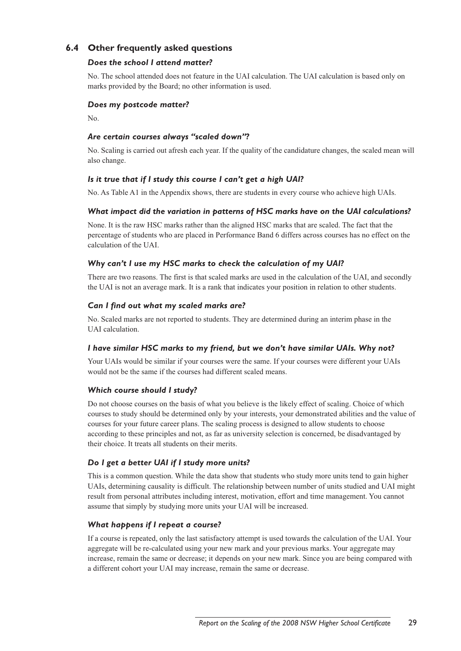# **6.4 Other frequently asked questions**

#### *Does the school I attend matter?*

No. The school attended does not feature in the UAI calculation. The UAI calculation is based only on marks provided by the Board; no other information is used.

#### *Does my postcode matter?*

No.

#### *Are certain courses always "scaled down"?*

No. Scaling is carried out afresh each year. If the quality of the candidature changes, the scaled mean will also change.

## *Is it true that if I study this course I can't get a high UAI?*

No. As Table A1 in the Appendix shows, there are students in every course who achieve high UAIs.

#### *What impact did the variation in patterns of HSC marks have on the UAI calculations?*

None. It is the raw HSC marks rather than the aligned HSC marks that are scaled. The fact that the percentage of students who are placed in Performance Band 6 differs across courses has no effect on the calculation of the UAI.

## *Why can't I use my HSC marks to check the calculation of my UAI?*

There are two reasons. The first is that scaled marks are used in the calculation of the UAI, and secondly the UAI is not an average mark. It is a rank that indicates your position in relation to other students.

## *Can I find out what my scaled marks are?*

No. Scaled marks are not reported to students. They are determined during an interim phase in the UAI calculation.

#### *I have similar HSC marks to my friend, but we don't have similar UAIs. Why not?*

Your UAIs would be similar if your courses were the same. If your courses were different your UAIs would not be the same if the courses had different scaled means.

#### *Which course should I study?*

Do not choose courses on the basis of what you believe is the likely effect of scaling. Choice of which courses to study should be determined only by your interests, your demonstrated abilities and the value of courses for your future career plans. The scaling process is designed to allow students to choose according to these principles and not, as far as university selection is concerned, be disadvantaged by their choice. It treats all students on their merits.

#### *Do I get a better UAI if I study more units?*

This is a common question. While the data show that students who study more units tend to gain higher UAIs, determining causality is difficult. The relationship between number of units studied and UAI might result from personal attributes including interest, motivation, effort and time management. You cannot assume that simply by studying more units your UAI will be increased.

#### *What happens if I repeat a course?*

If a course is repeated, only the last satisfactory attempt is used towards the calculation of the UAI. Your aggregate will be re-calculated using your new mark and your previous marks. Your aggregate may increase, remain the same or decrease; it depends on your new mark. Since you are being compared with a different cohort your UAI may increase, remain the same or decrease.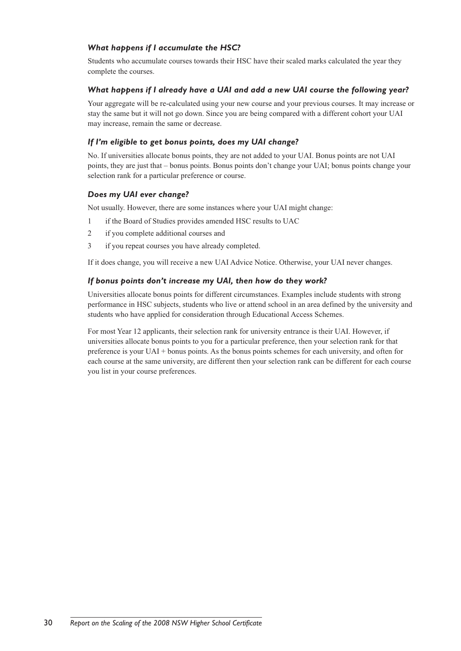## *What happens if I accumulate the HSC?*

Students who accumulate courses towards their HSC have their scaled marks calculated the year they complete the courses.

#### *What happens if I already have a UAI and add a new UAI course the following year?*

Your aggregate will be re-calculated using your new course and your previous courses. It may increase or stay the same but it will not go down. Since you are being compared with a different cohort your UAI may increase, remain the same or decrease.

## *If I'm eligible to get bonus points, does my UAI change?*

No. If universities allocate bonus points, they are not added to your UAI. Bonus points are not UAI points, they are just that – bonus points. Bonus points don't change your UAI; bonus points change your selection rank for a particular preference or course.

#### *Does my UAI ever change?*

Not usually. However, there are some instances where your UAI might change:

- 1 if the Board of Studies provides amended HSC results to UAC
- 2 if you complete additional courses and
- 3 if you repeat courses you have already completed.

If it does change, you will receive a new UAI Advice Notice. Otherwise, your UAI never changes.

## *If bonus points don't increase my UAI, then how do they work?*

Universities allocate bonus points for different circumstances. Examples include students with strong performance in HSC subjects, students who live or attend school in an area defined by the university and students who have applied for consideration through Educational Access Schemes.

For most Year 12 applicants, their selection rank for university entrance is their UAI. However, if universities allocate bonus points to you for a particular preference, then your selection rank for that preference is your UAI + bonus points. As the bonus points schemes for each university, and often for each course at the same university, are different then your selection rank can be different for each course you list in your course preferences.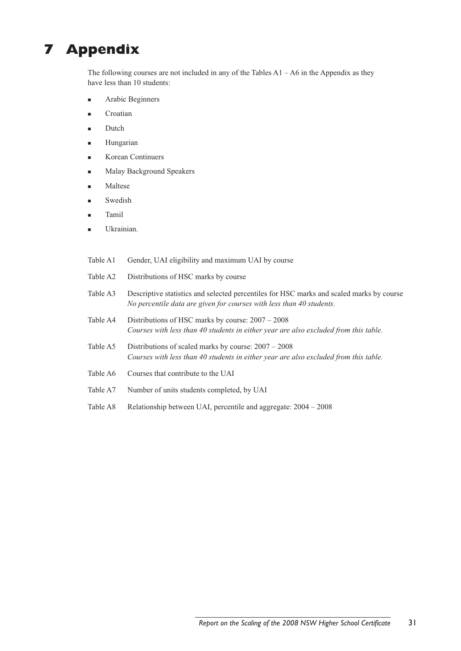# **7 Appendix**

The following courses are not included in any of the Tables A1 – A6 in the Appendix as they have less than 10 students:

- Arabic Beginners
- Croatian
- Dutch
- Hungarian
- Korean Continuers
- <sup>n</sup> Malay Background Speakers
- **Maltese**
- Swedish
- **Tamil**
- Ukrainian.
- Table A1 Gender, UAI eligibility and maximum UAI by course
- Table A2 Distributions of HSC marks by course
- Table A3 Descriptive statistics and selected percentiles for HSC marks and scaled marks by course *No percentile data are given for courses with less than 40 students.*
- Table A4 Distributions of HSC marks by course: 2007 2008 *Courses with less than 40 students in either year are also excluded from this table.*
- Table A5 Distributions of scaled marks by course: 2007 2008 *Courses with less than 40 students in either year are also excluded from this table.*
- Table A6 Courses that contribute to the UAI
- Table A7 Number of units students completed, by UAI
- Table A8 Relationship between UAI, percentile and aggregate: 2004 2008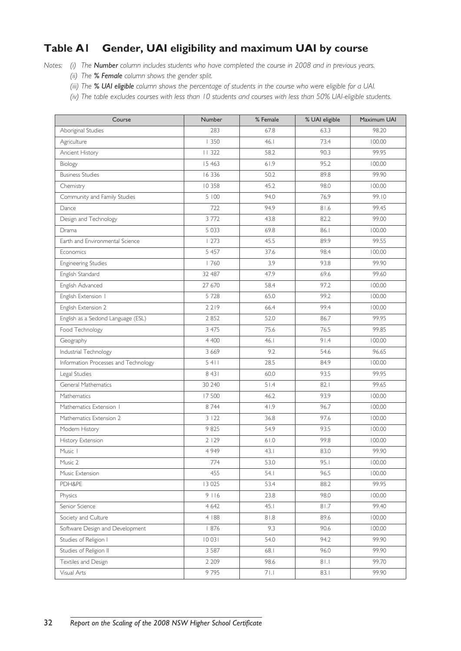# **Table A1 Gender, UAI eligibility and maximum UAI by course**

*Notes: (i) The Number column includes students who have completed the course in 2008 and in previous years.*

- *(ii) The % Female column shows the gender split.*
- *(iii) The % UAI eligible column shows the percentage of students in the course who were eligible for a UAI.*
- *(iv) The table excludes courses with less than 10 students and courses with less than 50% UAI-eligible students.*

| Course                               | Number  | % Female | % UAI eligible | Maximum UAI |
|--------------------------------------|---------|----------|----------------|-------------|
| Aboriginal Studies                   | 283     | 67.8     | 63.3           | 98.20       |
| Agriculture                          | 1350    | 46.1     | 73.4           | 100.00      |
| Ancient History                      | 11 322  | 58.2     | 90.3           | 99.95       |
| Biology                              | 15 4 63 | 61.9     | 95.2           | 100.00      |
| <b>Business Studies</b>              | 16 3 36 | 50.2     | 89.8           | 99.90       |
| Chemistry                            | 10 358  | 45.2     | 98.0           | 100.00      |
| Community and Family Studies         | 5 100   | 94.0     | 76.9           | 99.10       |
| Dance                                | 722     | 94.9     | 81.6           | 99.45       |
| Design and Technology                | 3772    | 43.8     | 82.2           | 99.00       |
| Drama                                | 5 0 3 3 | 69.8     | 86.1           | 100.00      |
| Earth and Environmental Science      | 1273    | 45.5     | 89.9           | 99.55       |
| Economics                            | 5 4 5 7 | 37.6     | 98.4           | 100.00      |
| <b>Engineering Studies</b>           | 1760    | 3.9      | 93.8           | 99.90       |
| English Standard                     | 32 487  | 47.9     | 69.6           | 99.60       |
| English Advanced                     | 27 670  | 58.4     | 97.2           | 100.00      |
| English Extension I                  | 5728    | 65.0     | 99.2           | 100.00      |
| English Extension 2                  | 2219    | 66.4     | 99.4           | 100.00      |
| English as a Sedond Language (ESL)   | 2852    | 52.0     | 86.7           | 99.95       |
| Food Technology                      | 3 4 7 5 | 75.6     | 76.5           | 99.85       |
| Geography                            | 4 400   | 46.1     | 91.4           | 100.00      |
| Industrial Technology                | 3 6 6 9 | 9.2      | 54.6           | 96.65       |
| Information Processes and Technology | 5411    | 28.5     | 84.9           | 100.00      |
| Legal Studies                        | 8 4 3 1 | 60.0     | 93.5           | 99.95       |
| General Mathematics                  | 30 240  | 51.4     | 82.1           | 99.65       |
| Mathematics                          | 17500   | 46.2     | 93.9           | 100.00      |
| Mathematics Extension I              | 8 7 4 4 | 41.9     | 96.7           | 100.00      |
| Mathematics Extension 2              | 3122    | 36.8     | 97.6           | 100.00      |
| Modern History                       | 9825    | 54.9     | 93.5           | 100.00      |
| History Extension                    | 2 1 2 9 | 61.0     | 99.8           | 100.00      |
| Music 1                              | 4 9 4 9 | 43.1     | 83.0           | 99.90       |
| Music 2                              | 774     | 53.0     | 95.1           | 100.00      |
| Music Extension                      | 455     | 54.1     | 96.5           | 100.00      |
| PDH&PE                               | 13 0 25 | 53.4     | 88.2           | 99.95       |
| Physics                              | 9116    | 23.8     | 98.0           | 100.00      |
| Senior Science                       | 4 6 4 2 | 45.1     | 81.7           | 99.40       |
| Society and Culture                  | 4   88  | 81.8     | 89.6           | 100.00      |
| Software Design and Development      | 876     | 9.3      | 90.6           | 100.00      |
| Studies of Religion I                | 10 03 1 | 54.0     | 94.2           | 99.90       |
| Studies of Religion II               | 3 5 8 7 | 68.1     | 96.0           | 99.90       |
| Textiles and Design                  | 2 2 0 9 | 98.6     | 81.1           | 99.70       |
| Visual Arts                          | 9795    | 71.1     | 83.1           | 99.90       |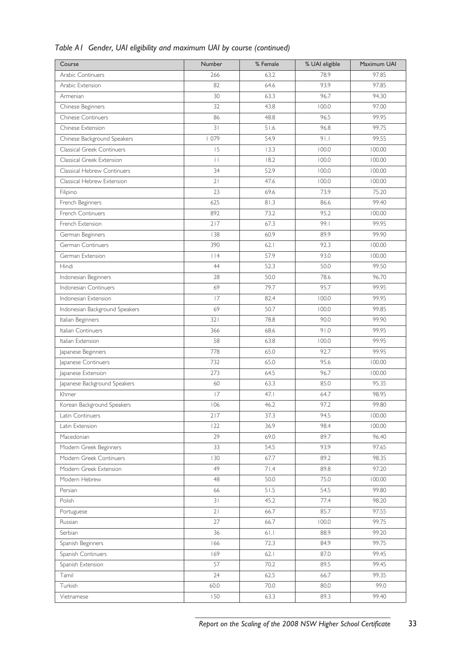| Course                         | Number          | % Female | % UAI eligible | Maximum UAI |
|--------------------------------|-----------------|----------|----------------|-------------|
| Arabic Continuers              | 266             | 63.2     | 78.9           | 97.85       |
| Arabic Extension               | 82              | 64.6     | 93.9           | 97.85       |
| Armenian                       | 30              | 63.3     | 96.7           | 94.30       |
| Chinese Beginners              | 32              | 43.8     | 100.0          | 97.00       |
| <b>Chinese Continuers</b>      | 86              | 48.8     | 96.5           | 99.95       |
| Chinese Extension              | 31              | 51.6     | 96.8           | 99.75       |
| Chinese Background Speakers    | 1079            | 54.9     | 91.1           | 99.55       |
| Classical Greek Continuers     | 15              | 13.3     | 100.0          | 100.00      |
| Classical Greek Extension      | $\vert \ \vert$ | 18.2     | 100.0          | 100.00      |
| Classical Hebrew Continuers    | 34              | 52.9     | 100.0          | 100.00      |
| Classical Hebrew Extension     | 21              | 47.6     | 100.0          | 100.00      |
| Filipino                       | 23              | 69.6     | 73.9           | 75.20       |
| French Beginners               | 625             | 81.3     | 86.6           | 99.40       |
| French Continuers              | 892             | 73.2     | 95.2           | 100.00      |
| French Extension               | 217             | 67.3     | 99.1           | 99.95       |
| German Beginners               | 138             | 60.9     | 89.9           | 99.90       |
| German Continuers              | 390             | 62.1     | 92.3           | 100.00      |
| German Extension               | $ $  4          | 57.9     | 93.0           | 100.00      |
| Hindi                          | 44              | 52.3     | 50.0           | 99.50       |
| Indonesian Beginners           | 28              | 50.0     | 78.6           | 96.70       |
| Indonesian Continuers          | 69              | 79.7     | 95.7           | 99.95       |
| Indonesian Extension           | 17              | 82.4     | 100.0          | 99.95       |
| Indonesian Background Speakers | 69              | 50.7     | 100.0          | 99.85       |
| Italian Beginners              | 321             | 78.8     | 90.0           | 99.90       |
| Italian Continuers             | 366             | 68.6     | 91.0           | 99.95       |
| Italian Extension              | 58              | 63.8     | 100.0          | 99.95       |
| Japanese Beginners             | 778             | 65.0     | 92.7           | 99.95       |
| Japanese Continuers            | 732             | 65.0     | 95.6           | 100.00      |
| Japanese Extension             | 273             | 64.5     | 96.7           | 100.00      |
| Japanese Background Speakers   | 60              | 63.3     | 85.0           | 95.35       |
| Khmer                          | 17              | 47.1     | 64.7           | 98.95       |
| Korean Background Speakers     | 106             | 46.2     | 97.2           | 99.80       |
| Latin Continuers               | 217             | 37.3     | 94.5           | 100.00      |
| Latin Extension                | 122             | 36.9     | 98.4           | 100.00      |
| Macedonian                     | 29              | 69.0     | 89.7           | 96.40       |
| Modern Greek Beginners         | 33              | 54.5     | 93.9           | 97.65       |
| Modern Greek Continuers        | 130             | 67.7     | 89.2           | 98.35       |
| Modern Greek Extension         | 49              | 71.4     | 89.8           | 97.20       |
| Modern Hebrew                  | 48              | 50.0     | 75.0           | 100.00      |
| Persian                        | 66              | 51.5     | 54.5           | 99.80       |
| Polish                         | 31              | 45.2     | 77.4           | 98.20       |
| Portuguese                     | 21              | 66.7     | 85.7           | 97.55       |
| Russian                        | 27              | 66.7     | 100.0          | 99.75       |
| Serbian                        | 36              | 61.1     | 88.9           | 99.20       |
| Spanish Beginners              | 166             | 72.3     | 84.9           | 99.75       |
| Spanish Continuers             | 169             | 62.1     | 87.0           | 99.45       |
| Spanish Extension              | 57              | 70.2     | 89.5           | 99.45       |
| Tamil                          | 24              | 62.5     | 66.7           | 99.35       |
| Turkish                        | 60.0            | 70.0     | 80.0           | 99.0        |
| Vietnamese                     | 150             | 63.3     | 89.3           | 99.40       |

# *Table A1 Gender, UAI eligibility and maximum UAI by course (continued)*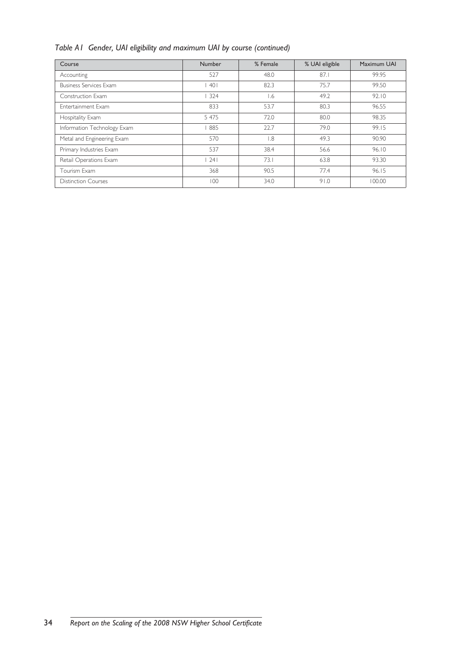|  |  |  | Table A1 Gender, UAI eligibility and maximum UAI by course (continued) |  |  |  |  |
|--|--|--|------------------------------------------------------------------------|--|--|--|--|
|--|--|--|------------------------------------------------------------------------|--|--|--|--|

| Course                        | <b>Number</b> | % Female         |      | Maximum UAI |  |
|-------------------------------|---------------|------------------|------|-------------|--|
| Accounting                    | 527           | 48.0             | 87.1 | 99.95       |  |
| <b>Business Services Exam</b> | 401           | 82.3             | 75.7 | 99.50       |  |
| Construction Exam             | 324           | I.6              | 49.2 | 92.10       |  |
| <b>Entertainment Exam</b>     | 833           | 53.7             | 80.3 | 96.55       |  |
| Hospitality Exam              | 5 4 7 5       | 72.0             | 80.0 | 98.35       |  |
| Information Technology Exam   | 885           | 22.7             | 79.0 | 99.15       |  |
| Metal and Engineering Exam    | 570           | $\overline{8}$ . | 49.3 | 90.90       |  |
| Primary Industries Exam       | 537           | 38.4             | 56.6 | 96.10       |  |
| Retail Operations Exam        | 241           | 73.1             | 63.8 | 93.30       |  |
| Tourism Exam                  | 368           | 90.5             | 77.4 | 96.15       |  |
| <b>Distinction Courses</b>    | 100           | 34.0             | 91.0 | 100.00      |  |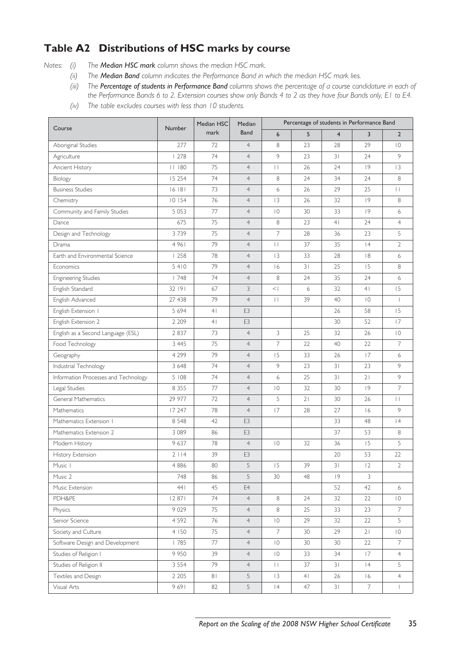# **Table A2 Distributions of HSC marks by course**

*Notes: (i) The Median HSC mark column shows the median HSC mark.* 

- *(ii) The Median Band column indicates the Performance Band in which the median HSC mark lies.*
- *(iii) The Percentage of students in Performance Band columns shows the percentage of a course candidature in each of the Performance Bands 6 to 2. Extension courses show only Bands 4 to 2 as they have four Bands only, E1 to E4.*
- *(iv) The table excludes courses with less than 10 students.*

| Course                               | Number   | Median HSC     | <b>Median</b>  |                 | Percentage of students in Performance Band |                |                |                          |
|--------------------------------------|----------|----------------|----------------|-----------------|--------------------------------------------|----------------|----------------|--------------------------|
|                                      |          | mark           | <b>Band</b>    | 6               | 5                                          | $\overline{4}$ | $\overline{3}$ | $\overline{2}$           |
| Aboriginal Studies                   | 277      | 72             | $\overline{4}$ | 8               | 23                                         | 28             | 29             | $\overline{0}$           |
| Agriculture                          | 1278     | 74             | $\overline{4}$ | 9               | 23                                         | 31             | 24             | 9                        |
| Ancient History                      | 11180    | 75             | $\overline{4}$ | $\Box$          | 26                                         | 24             | 9              | 3                        |
| Biology                              | 15 2 5 4 | 74             | $\overline{4}$ | 8               | 24                                         | 34             | 24             | 8                        |
| <b>Business Studies</b>              | 16181    | 73             | $\overline{4}$ | 6               | 26                                         | 29             | 25             | $\mathbf{L}$             |
| Chemistry                            | 10 154   | 76             | $\overline{4}$ | 3               | 26                                         | 32             | 9              | 8                        |
| Community and Family Studies         | 5 0 5 3  | 77             | $\overline{4}$ | $\overline{0}$  | 30                                         | 33             | 9              | 6                        |
| Dance                                | 675      | 75             | $\overline{4}$ | 8               | 23                                         | 4 <sup>1</sup> | 24             | $\overline{4}$           |
| Design and Technology                | 3739     | 75             | $\overline{4}$ | $\overline{7}$  | 28                                         | 36             | 23             | 5                        |
| Drama                                | 4961     | 79             | $\overline{4}$ | $\Box$          | 37                                         | 35             | 4              | $\overline{2}$           |
| Earth and Environmental Science      | 1258     | 78             | $\overline{4}$ | 13              | 33                                         | 28             | 8              | 6                        |
| Economics                            | 5410     | 79             | $\overline{4}$ | 16              | 3 <sup>1</sup>                             | 25             | 15             | 8                        |
| Engineering Studies                  | 1748     | 74             | $\overline{4}$ | 8               | 24                                         | 35             | 24             | 6                        |
| English Standard                     | 32 191   | 67             | 3              | $\vert \rangle$ | 6                                          | 32             | 4 <sup>1</sup> | 15                       |
| English Advanced                     | 27 438   | 79             | $\overline{4}$ | $\mathbf{H}$    | 39                                         | 40             | $\overline{0}$ | $\overline{\phantom{a}}$ |
| English Extension I                  | 5 6 9 4  | 4 <sub>1</sub> | E <sub>3</sub> |                 |                                            | 26             | 58             | 15                       |
| English Extension 2                  | 2 2 0 9  | 4 <sub>1</sub> | E <sub>3</sub> |                 |                                            | 30             | 52             | 17                       |
| English as a Second Language (ESL)   | 2837     | 73             | $\overline{4}$ | 3               | 25                                         | 32             | 26             | $\overline{0}$           |
| Food Technology                      | 3 4 4 5  | 75             | $\overline{4}$ | 7               | 22                                         | 40             | 22             | 7                        |
| Geography                            | 4 2 9 9  | 79             | $\overline{4}$ | 15              | 33                                         | 26             | 17             | 6                        |
| Industrial Technology                | 3 6 4 8  | 74             | $\overline{4}$ | 9               | 23                                         | 31             | 23             | 9                        |
| Information Processes and Technology | 5 108    | 74             | $\overline{4}$ | 6               | 25                                         | 31             | 21             | 9                        |
| Legal Studies                        | 8 3 5 5  | 77             | $\overline{4}$ | $ 0\rangle$     | 32                                         | 30             | 9              | $\overline{7}$           |
| General Mathematics                  | 29 977   | 72             | $\overline{4}$ | 5               | 21                                         | 30             | 26             | $\Box$                   |
| Mathematics                          | 17 247   | 78             | $\overline{4}$ | 17              | 28                                         | 27             | 16             | 9                        |
| Mathematics Extension 1              | 8 5 4 8  | 42             | E3             |                 |                                            | 33             | 48             | 4                        |
| Mathematics Extension 2              | 3 0 8 9  | 86             | E3             |                 |                                            | 37             | 53             | 8                        |
| Modern History                       | 9 637    | 78             | $\overline{4}$ | $\overline{0}$  | 32                                         | 36             | 15             | 5                        |
| History Extension                    | 2114     | 39             | E3             |                 |                                            | 20             | 53             | 22                       |
| Music 1                              | 4 8 8 6  | 80             | 5              | 15              | 39                                         | 31             | 12             | $\mathbf{2}$             |
| Music 2                              | 748      | 86             | 5              | 30              | 48                                         | 9              | 3              |                          |
| Music Extension                      | 441      | 45             | E4             |                 |                                            | 52             | 42             | 6                        |
| PDH&PE                               | 12 871   | 74             | $\overline{4}$ | 8               | 24                                         | 32             | 22             | $\overline{0}$           |
| Physics                              | 9 0 2 9  | 75             | $\overline{4}$ | $\,8\,$         | 25                                         | 33             | 23             | $\overline{7}$           |
| Senior Science                       | 4 5 9 2  | 76             | $\overline{4}$ | $\overline{0}$  | 29                                         | 32             | 22             | 5                        |
| Society and Culture                  | 4 150    | 75             | $\overline{4}$ | $\overline{7}$  | 30                                         | 29             | 21             | $\overline{0}$           |
| Software Design and Development      | 1785     | 77             | $\overline{4}$ | $\overline{0}$  | 30                                         | 30             | 22             | 7                        |
| Studies of Religion I                | 9 9 5 0  | 39             | $\overline{4}$ | $\overline{0}$  | 33                                         | 34             | 17             | $\overline{4}$           |
| Studies of Religion II               | 3 5 5 4  | 79             | $\overline{4}$ | $\Box$          | 37                                         | 31             | 4              | 5                        |
| Textiles and Design                  | 2 2 0 5  | 81             | 5              | $\overline{3}$  | 4 <sup>1</sup>                             | 26             | 16             | $\overline{4}$           |
| Visual Arts                          | 9691     | 82             | 5              | 4               | 47                                         | 31             | $\overline{7}$ | $\overline{1}$           |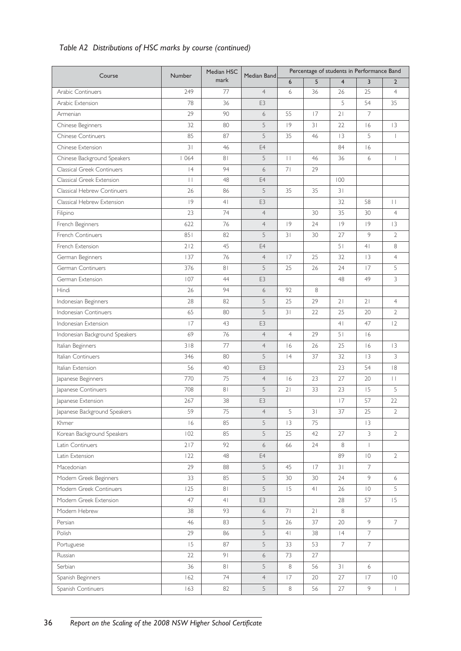# *Table A2 Distributions of HSC marks by course (continued)*

| Course                         | Number | Median HSC     | Median Band     | Percentage of students in Performance Band |    |                         |                |                |  |
|--------------------------------|--------|----------------|-----------------|--------------------------------------------|----|-------------------------|----------------|----------------|--|
|                                |        | mark           |                 | 6                                          | 5  | $\overline{\mathbf{4}}$ | $\overline{3}$ | $\overline{2}$ |  |
| Arabic Continuers              | 249    | 77             | $\overline{4}$  | 6                                          | 36 | 26                      | 25             | $\overline{4}$ |  |
| Arabic Extension               | 78     | 36             | E <sub>3</sub>  |                                            |    | 5                       | 54             | 35             |  |
| Armenian                       | 29     | 90             | 6               | 55                                         | 17 | 21                      | $\overline{7}$ |                |  |
| Chinese Beginners              | 32     | 80             | 5               | 9                                          | 31 | 22                      | 16             | 3              |  |
| <b>Chinese Continuers</b>      | 85     | 87             | 5               | 35                                         | 46 | 3                       | 5              | $\mathbf{I}$   |  |
| Chinese Extension              | 31     | 46             | E4              |                                            |    | 84                      | 16             |                |  |
| Chinese Background Speakers    | 1064   | 81             | 5               | $\vert \ \vert$                            | 46 | 36                      | 6              | $\overline{1}$ |  |
| Classical Greek Continuers     | 4      | 94             | 6               | 71                                         | 29 |                         |                |                |  |
| Classical Greek Extension      | $\Box$ | 48             | E4              |                                            |    | 100                     |                |                |  |
| Classical Hebrew Continuers    | 26     | 86             | 5               | 35                                         | 35 | 31                      |                |                |  |
| Classical Hebrew Extension     | 9      | 4 <sub>1</sub> | E <sub>3</sub>  |                                            |    | 32                      | 58             | $\mathbf{H}$   |  |
| Filipino                       | 23     | 74             | $\overline{4}$  |                                            | 30 | 35                      | 30             | $\overline{4}$ |  |
| French Beginners               | 622    | 76             | $\overline{4}$  | 9                                          | 24 | 9                       | 9              | 3              |  |
| French Continuers              | 851    | 82             | 5               | 31                                         | 30 | 27                      | 9              | $\overline{2}$ |  |
| French Extension               | 212    | 45             | E4              |                                            |    | 51                      | 4 <sub>1</sub> | 8              |  |
| German Beginners               | 137    | 76             | $\overline{4}$  | 17                                         | 25 | 32                      | 3              | $\overline{4}$ |  |
| German Continuers              | 376    | 81             | 5               | 25                                         | 26 | 24                      | 17             | 5              |  |
| German Extension               | 107    | 44             | E <sub>3</sub>  |                                            |    | 48                      | 49             | 3              |  |
| Hindi                          | 26     | 94             | 6               | 92                                         | 8  |                         |                |                |  |
| Indonesian Beginners           | 28     | 82             | 5               | 25                                         | 29 | 21                      | 21             | $\overline{4}$ |  |
| Indonesian Continuers          | 65     | 80             | 5               | 31                                         | 22 | 25                      | 20             | $\overline{2}$ |  |
| Indonesian Extension           | 17     | 43             | E3              |                                            |    | 4 <sub>1</sub>          | 47             | 2              |  |
| Indonesian Background Speakers | 69     | 76             | $\overline{4}$  | $\overline{4}$                             | 29 | 51                      | 16             |                |  |
| Italian Beginners              | 318    | 77             | $\overline{4}$  | 16                                         | 26 | 25                      | 16             | 3              |  |
| Italian Continuers             | 346    | 80             | 5               | 4                                          | 37 | 32                      | 3              | 3              |  |
| Italian Extension              | 56     | 40             | E3              |                                            |    | 23                      | 54             | 8              |  |
| Japanese Beginners             | 770    | 75             | $\overline{4}$  | 16                                         | 23 | 27                      | 20             | $\perp$        |  |
| Japanese Continuers            | 708    | 81             | 5               | 21                                         | 33 | 23                      | 15             | 5              |  |
| Japanese Extension             | 267    | 38             | E3              |                                            |    | 17                      | 57             | 22             |  |
| Japanese Background Speakers   | 59     | 75             | $4\overline{ }$ | 5                                          | 31 | 37                      | 25             | $\sqrt{2}$     |  |
| Khmer                          | 6      | 85             | 5               | 3                                          | 75 |                         | 3              |                |  |
| Korean Background Speakers     | 102    | 85             | 5               | 25                                         | 42 | 27                      | 3              | $\mathbf{2}$   |  |
| Latin Continuers               | 217    | 92             | 6               | 66                                         | 24 | 8                       | $\mathbf{I}$   |                |  |
| Latin Extension                | 122    | 48             | E4              |                                            |    | 89                      | $\overline{0}$ | $\overline{2}$ |  |
| Macedonian                     | 29     | 88             | 5               | 45                                         | 17 | 31                      | 7              |                |  |
| Modern Greek Beginners         | 33     | 85             | 5               | 30                                         | 30 | 24                      | 9              | 6              |  |
| Modern Greek Continuers        | 125    | 8 <sub>1</sub> | 5               | 15                                         | 4  | 26                      | $\overline{0}$ | 5              |  |
| Modern Greek Extension         | 47     | 4 <sub>1</sub> | E3              |                                            |    | 28                      | 57             | 15             |  |
| Modern Hebrew                  | 38     | 93             | 6               | 71                                         | 21 | $\,8\,$                 |                |                |  |
| Persian                        | 46     | 83             | 5               | 26                                         | 37 | 20                      | 9              | 7              |  |
| Polish                         | 29     | 86             | 5               | 4                                          | 38 | 4                       | 7              |                |  |
| Portuguese                     | 15     | 87             | 5               | 33                                         | 53 | $\overline{7}$          | $\overline{7}$ |                |  |
| Russian                        | 22     | 9 <sub>1</sub> | 6               | 73                                         | 27 |                         |                |                |  |
| Serbian                        | 36     | 81             | 5               | $\,8\,$                                    | 56 | 31                      | 6              |                |  |
| Spanish Beginners              | 162    | 74             | $\overline{4}$  | 17                                         | 20 | 27                      | 17             | $\overline{0}$ |  |
| Spanish Continuers             | 163    | 82             | 5               | 8                                          | 56 | 27                      | 9              | $\mathbf{I}$   |  |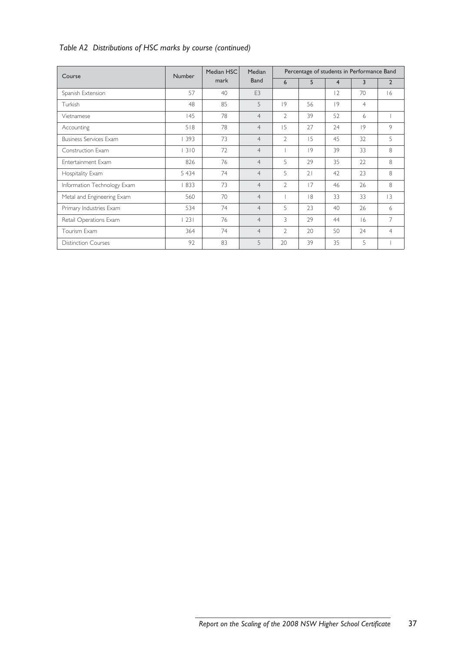# *Table A2 Distributions of HSC marks by course (continued)*

| Course                        | Number  | Median HSC | Median         | Percentage of students in Performance Band |    |                |                |                |  |
|-------------------------------|---------|------------|----------------|--------------------------------------------|----|----------------|----------------|----------------|--|
|                               |         | mark       | Band           | 6                                          | 5  | $\overline{4}$ | 3              | $\overline{2}$ |  |
| Spanish Extension             | 57      | 40         | F <sub>3</sub> |                                            |    | 2              | 70             | 6              |  |
| Turkish                       | 48      | 85         | 5              | 9                                          | 56 | 9              | $\overline{4}$ |                |  |
| Vietnamese                    | 145     | 78         | $\overline{4}$ | $\mathfrak{D}$                             | 39 | 52             | 6              |                |  |
| Accounting                    | 518     | 78         | $\overline{4}$ | 15                                         | 27 | 74             | 9              | 9              |  |
| <b>Business Services Exam</b> | 393     | 73         | $\overline{4}$ | $\overline{2}$                             | 15 | 45             | 32             | 5              |  |
| Construction Exam             | 310     | 72         | $\overline{4}$ |                                            | 9  | 39             | 33             | 8              |  |
| Entertainment Exam            | 826     | 76         | $\overline{4}$ | 5                                          | 29 | 35             | 22             | 8              |  |
| Hospitality Exam              | 5 4 3 4 | 74         | $\overline{4}$ | 5                                          | 21 | 42             | 23             | 8              |  |
| Information Technology Exam   | 833     | 73         | $\overline{4}$ | $\overline{2}$                             | 17 | 46             | 26             | 8              |  |
| Metal and Engineering Exam    | 560     | 70         | $\overline{4}$ |                                            | 8  | 33             | 33             | 3              |  |
| Primary Industries Exam       | 534     | 74         | $\overline{4}$ | 5                                          | 23 | 40             | 26             | 6              |  |
| Retail Operations Exam        | 231     | 76         | $\overline{4}$ | 3                                          | 29 | 44             | 16             | 7              |  |
| Tourism Exam                  | 364     | 74         | $\overline{4}$ | $\mathfrak{D}$                             | 20 | 50             | 24             | $\overline{4}$ |  |
| <b>Distinction Courses</b>    | 92      | 83         | 5              | 20                                         | 39 | 35             | 5              |                |  |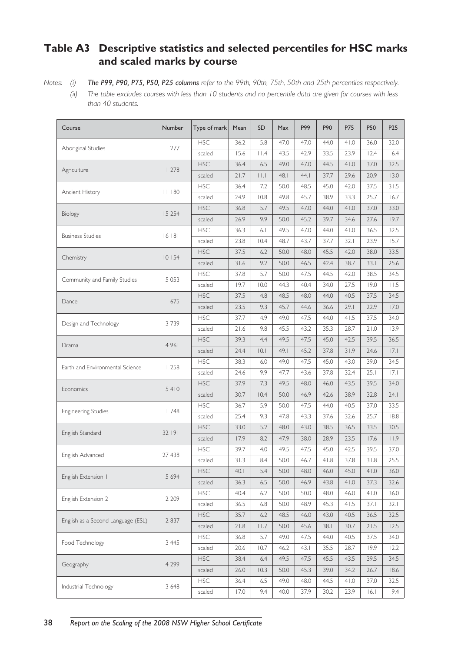# **Table A3 Descriptive statistics and selected percentiles for HSC marks and scaled marks by course**

*Notes: (i) The P99, P90, P75, P50, P25 columns refer to the 99th, 90th, 75th, 50th and 25th percentiles respectively.*

*(ii) The table excludes courses with less than 10 students and no percentile data are given for courses with less than 40 students.*

| Course                             | Number  | Type of mark                     | Mean | SD         | Max  | P99  | P90  | P75  | P50  | P <sub>25</sub> |
|------------------------------------|---------|----------------------------------|------|------------|------|------|------|------|------|-----------------|
|                                    |         | <b>HSC</b>                       | 36.2 | 5.8        | 47.0 | 47.0 | 44.0 | 41.0 | 36.0 | 32.0            |
| Aboriginal Studies                 | 277     | scaled                           | 15.6 | $ $ $ $ .4 | 43.5 | 42.9 | 33.5 | 23.9 | 12.4 | 6.4             |
|                                    |         | <b>HSC</b>                       | 36.4 | 6.5        | 49.0 | 47.0 | 44.5 | 41.0 | 37.0 | 32.5            |
| Agriculture                        | 1278    | scaled                           | 21.7 | $  \  $    | 48.1 | 44.1 | 37.7 | 29.6 | 20.9 | 13.0            |
|                                    |         | <b>HSC</b>                       | 36.4 | 7.2        | 50.0 | 48.5 | 45.0 | 42.0 | 37.5 | 31.5            |
| Ancient History                    | 80      | scaled                           | 24.9 | 10.8       | 49.8 | 45.7 | 38.9 | 33.3 | 25.7 | 16.7            |
|                                    | 15 254  | <b>HSC</b>                       | 36.8 | 5.7        | 49.5 | 47.0 | 44.0 | 41.0 | 37.0 | 33.0            |
| Biology                            |         | scaled                           | 26.9 | 9.9        | 50.0 | 45.2 | 39.7 | 34.6 | 27.6 | 19.7            |
| <b>Business Studies</b>            | 16 18 1 | <b>HSC</b>                       | 36.3 | 6.1        | 49.5 | 47.0 | 44.0 | 41.0 | 36.5 | 32.5            |
|                                    |         | scaled                           | 23.8 | 10.4       | 48.7 | 43.7 | 37.7 | 32.1 | 23.9 | 15.7            |
|                                    | 10 154  | <b>HSC</b>                       | 37.5 | 6.2        | 50.0 | 48.0 | 45.5 | 42.0 | 38.0 | 33.5            |
| Chemistry                          |         | scaled                           | 31.6 | 9.2        | 50.0 | 46.5 | 42.4 | 38.7 | 33.1 | 25.6            |
| Community and Family Studies       | 5 0 5 3 | <b>HSC</b>                       | 37.8 | 5.7        | 50.0 | 47.5 | 44.5 | 42.0 | 38.5 | 34.5            |
|                                    |         | scaled                           | 19.7 | 10.0       | 44.3 | 40.4 | 34.0 | 27.5 | 19.0 | 11.5            |
| Dance                              | 675     | <b>HSC</b>                       | 37.5 | 4.8        | 48.5 | 48.0 | 44.0 | 40.5 | 37.5 | 34.5            |
|                                    |         | scaled                           | 23.5 | 9.3        | 45.7 | 44.6 | 36.6 | 29.1 | 22.9 | 17.0            |
| Design and Technology              | 3739    | <b>HSC</b>                       | 37.7 | 4.9        | 49.0 | 47.5 | 44.0 | 41.5 | 37.5 | 34.0            |
|                                    |         | scaled                           | 21.6 | 9.8        | 45.5 | 43.2 | 35.3 | 28.7 | 21.0 | 13.9            |
|                                    | 4961    | <b>HSC</b>                       | 39.3 | 4.4        | 49.5 | 47.5 | 45.0 | 42.5 | 39.5 | 36.5            |
| Drama                              |         | scaled                           | 24.4 | 0.1        | 49.1 | 45.2 | 37.8 | 31.9 | 24.6 | 7.1             |
| Earth and Environmental Science    | 1258    | <b>HSC</b>                       | 38.3 | 6.0        | 49.0 | 47.5 | 45.0 | 43.0 | 39.0 | 34.5            |
|                                    |         | scaled                           | 24.6 | 9.9        | 47.7 | 43.6 | 37.8 | 32.4 | 25.1 | 17.1            |
| Economics                          | 5410    | <b>HSC</b>                       | 37.9 | 7.3        | 49.5 | 48.0 | 46.0 | 43.5 | 39.5 | 34.0            |
|                                    |         | scaled                           | 30.7 | 10.4       | 50.0 | 46.9 | 42.6 | 38.9 | 32.8 | 24.1            |
| <b>Engineering Studies</b>         | 1748    | <b>HSC</b>                       | 36.7 | 5.9        | 50.0 | 47.5 | 44.0 | 40.5 | 37.0 | 33.5            |
|                                    |         | scaled                           | 25.4 | 9.3        | 47.8 | 43.3 | 37.6 | 32.6 | 25.7 | 18.8            |
| English Standard                   | 32 191  | <b>HSC</b>                       | 33.0 | 5.2        | 48.0 | 43.0 | 38.5 | 36.5 | 33.5 | 30.5            |
|                                    |         | scaled                           | 17.9 | 8.2        | 47.9 | 38.0 | 28.9 | 23.5 | 17.6 | 11.9            |
| English Advanced                   | 27 438  | <b>HSC</b>                       | 39.7 | 4.0        | 49.5 | 47.5 | 45.0 | 42.5 | 39.5 | 37.0            |
|                                    |         | scaled                           | 31.3 | 8.4        | 50.0 | 46.7 | 41.8 | 37.8 | 31.8 | 25.5            |
| English Extension 1                | 5 6 9 4 | <b>HSC</b>                       | 40.1 | 5.4        | 50.0 | 48.0 | 46.0 | 45.0 | 41.0 | 36.0            |
|                                    |         | scaled                           | 36.3 | 6.5        | 50.0 | 46.9 | 43.8 | 41.0 | 37.3 | 32.6            |
| English Extension 2                | 2 2 0 9 | $\mathsf{H}\mathsf{S}\mathsf{C}$ | 40.4 | 6.2        | 50.0 | 50.0 | 48.0 | 46.0 | 41.0 | 36.0            |
|                                    |         | scaled                           | 36.5 | 6.8        | 50.0 | 48.9 | 45.3 | 41.5 | 37.1 | 32.1            |
| English as a Second Language (ESL) | 2 8 3 7 | <b>HSC</b>                       | 35.7 | 6.2        | 48.5 | 46.0 | 43.0 | 40.5 | 36.5 | 32.5            |
|                                    |         | scaled                           | 21.8 | 11.7       | 50.0 | 45.6 | 38.1 | 30.7 | 21.5 | 12.5            |
| Food Technology                    | 3 4 4 5 | <b>HSC</b>                       | 36.8 | 5.7        | 49.0 | 47.5 | 44.0 | 40.5 | 37.5 | 34.0            |
|                                    |         | scaled                           | 20.6 | 10.7       | 46.2 | 43.1 | 35.5 | 28.7 | 19.9 | 12.2            |
| Geography                          | 4 2 9 9 | <b>HSC</b>                       | 38.4 | 6.4        | 49.5 | 47.5 | 45.5 | 43.5 | 39.5 | 34.5            |
|                                    |         | scaled                           | 26.0 | 10.3       | 50.0 | 45.3 | 39.0 | 34.2 | 26.7 | 18.6            |
| Industrial Technology              | 3 6 4 8 | <b>HSC</b>                       | 36.4 | 6.5        | 49.0 | 48.0 | 44.5 | 41.0 | 37.0 | 32.5            |
|                                    |         | scaled                           | 17.0 | 9.4        | 40.0 | 37.9 | 30.2 | 23.9 | 6.1  | 9.4             |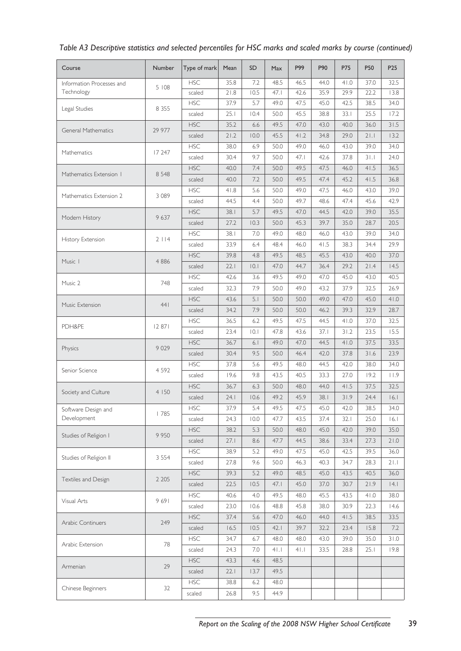| 35.8<br>46.5<br><b>HSC</b><br>7.2<br>48.5<br>44.0<br>41.0<br>37.0<br>32.5<br>Information Processes and<br>5 108<br>Technology<br>21.8<br>10.5<br>47.1<br>35.9<br>scaled<br>42.6<br>29.9<br>22.2<br>13.8<br><b>HSC</b><br>37.9<br>5.7<br>49.0<br>47.5<br>45.0<br>42.5<br>34.0<br>38.5<br>Legal Studies<br>8 3 5 5<br>25.1<br>10.4<br>50.0<br>45.5<br>38.8<br>33.1<br>25.5<br>17.2<br>scaled<br><b>HSC</b><br>35.2<br>31.5<br>6.6<br>49.5<br>47.0<br>43.0<br>40.0<br>36.0<br>29 977<br>General Mathematics<br>21.2<br>45.5<br>41.2<br>21.1<br>scaled<br>10.0<br>34.8<br>29.0<br>13.2<br><b>HSC</b><br>38.0<br>6.9<br>50.0<br>49.0<br>46.0<br>43.0<br>39.0<br>34.0<br>17 247<br>Mathematics<br>scaled<br>30.4<br>9.7<br>50.0<br>47.1<br>42.6<br>37.8<br>31.1<br>24.0<br><b>HSC</b><br>50.0<br>40.0<br>7.4<br>49.5<br>47.5<br>46.0<br>41.5<br>36.5<br>8 5 4 8<br>Mathematics Extension 1<br>40.0<br>7.2<br>50.0<br>49.5<br>47.4<br>45.2<br>41.5<br>36.8<br>scaled<br><b>HSC</b><br>5.6<br>50.0<br>47.5<br>41.8<br>49.0<br>46.0<br>43.0<br>39.0<br>3 0 8 9<br>Mathematics Extension 2<br>50.0<br>scaled<br>44.5<br>4.4<br>49.7<br>48.6<br>47.4<br>45.6<br>42.9<br><b>HSC</b><br>5.7<br>49.5<br>35.5<br>38.1<br>47.0<br>44.5<br>42.0<br>39.0<br>9637<br>Modern History<br>27.2<br>10.3<br>50.0<br>45.3<br>39.7<br>35.0<br>28.7<br>20.5<br>scaled<br><b>HSC</b><br>38.1<br>49.0<br>46.0<br>34.0<br>7.0<br>48.0<br>43.0<br>39.0<br>2114<br>History Extension<br>33.9<br>48.4<br>41.5<br>38.3<br>29.9<br>scaled<br>6.4<br>46.0<br>34.4<br>45.5<br><b>HSC</b><br>39.8<br>4.8<br>49.5<br>48.5<br>43.0<br>40.0<br>37.0<br>Music I<br>4 8 8 6<br>22.1<br> 0.1<br>47.0<br>44.7<br>36.4<br>29.2<br>21.4<br>14.5<br>scaled<br><b>HSC</b><br>42.6<br>3.6<br>49.5<br>49.0<br>47.0<br>45.0<br>43.0<br>40.5<br>Music 2<br>748<br>32.3<br>7.9<br>50.0<br>49.0<br>43.2<br>37.9<br>32.5<br>26.9<br>scaled<br><b>HSC</b><br>43.6<br>5.1<br>50.0<br>50.0<br>49.0<br>47.0<br>45.0<br>41.0<br>441<br>Music Extension<br>7.9<br>34.2<br>50.0<br>50.0<br>46.2<br>39.3<br>32.9<br>28.7<br>scaled<br><b>HSC</b><br>36.5<br>6.2<br>49.5<br>47.5<br>44.5<br>41.0<br>37.0<br>32.5<br>PDH&PE<br>12871<br>23.4<br> 0.1<br>47.8<br>43.6<br>37.1<br>31.2<br>23.5<br>15.5<br>scaled<br><b>HSC</b><br>36.7<br>49.0<br>47.0<br>44.5<br>41.0<br>37.5<br>33.5<br>6.1<br>9 0 2 9<br>Physics<br>9.5<br>50.0<br>23.9<br>scaled<br>30.4<br>46.4<br>42.0<br>37.8<br>31.6<br><b>HSC</b><br>5.6<br>49.5<br>37.8<br>48.0<br>44.5<br>42.0<br>38.0<br>34.0<br>Senior Science<br>4 5 9 2<br>scaled<br>19.6<br>9.8<br>43.5<br>40.5<br>33.3<br>27.0<br>19.2<br>11.9<br><b>HSC</b><br>36.7<br>6.3<br>50.0<br>48.0<br>44.0<br>41.5<br>37.5<br>32.5<br>4 150<br>Society and Culture<br>24.1<br>10.6<br>49.2<br>45.9<br>38.1<br>31.9<br>24.4<br>16.1<br>scaled<br><b>HSC</b><br>37.9<br>5.4<br>49.5<br>47.5<br>45.0<br>42.0<br>38.5<br>34.0<br>Software Design and<br>  785<br>Development<br>24.3<br>47.7<br>37.4<br>25.0<br>16.1<br>10.0<br>43.5<br>32.1<br>scaled<br><b>HSC</b><br>50.0<br>45.0<br>38.2<br>5.3<br>48.0<br>42.0<br>39.0<br>35.0<br>9 9 5 0<br>Studies of Religion I<br>27.1<br>8.6<br>47.7<br>44.5<br>38.6<br>33.4<br>27.3<br>21.0<br>scaled<br><b>HSC</b><br>38.9<br>5.2<br>45.0<br>49.0<br>47.5<br>42.5<br>39.5<br>36.0<br>Studies of Religion II<br>3 5 5 4<br>40.3<br>27.8<br>9.6<br>50.0<br>46.3<br>34.7<br>28.3<br>21.1<br>scaled<br><b>HSC</b><br>39.3<br>5.2<br>49.0<br>48.5<br>45.0<br>43.5<br>40.5<br>36.0<br>Textiles and Design<br>2 2 0 5<br>22.5<br>45.0<br> 4.1<br>scaled<br>10.5<br>47.1<br>37.0<br>30.7<br>21.9<br><b>HSC</b><br>40.6<br>49.5<br>48.0<br>45.5<br>43.5<br>38.0<br>4.0<br>41.0<br>9691<br>Visual Arts<br>scaled<br>23.0<br>48.8<br>45.8<br>22.3<br>14.6<br>10.6<br>38.0<br>30.9<br><b>HSC</b><br>37.4<br>5.6<br>47.0<br>46.0<br>44.0<br>41.5<br>38.5<br>33.5<br>Arabic Continuers<br>249<br>10.5<br>39.7<br>scaled<br>16.5<br>42.1<br>32.2<br>23.4<br>15.8<br>7.2<br><b>HSC</b><br>34.7<br>6.7<br>48.0<br>43.0<br>39.0<br>35.0<br>31.0<br>48.0<br>Arabic Extension<br>78<br>24.3<br>7.0<br>$4$  . <br>$4$ .<br>33.5<br>28.8<br>25.1<br>19.8<br>scaled<br><b>HSC</b><br>43.3<br>4.6<br>48.5<br>29<br>Armenian<br>49.5<br>scaled<br>22.1<br>13.7<br><b>HSC</b><br>38.8<br>48.0<br>6.2<br>Chinese Beginners<br>32<br>9.5<br>44.9<br>scaled<br>26.8 | Course | Number | Type of mark | Mean | <b>SD</b> | <b>Max</b> | P99 | P90 | P75 | <b>P50</b> | P <sub>25</sub> |
|--------------------------------------------------------------------------------------------------------------------------------------------------------------------------------------------------------------------------------------------------------------------------------------------------------------------------------------------------------------------------------------------------------------------------------------------------------------------------------------------------------------------------------------------------------------------------------------------------------------------------------------------------------------------------------------------------------------------------------------------------------------------------------------------------------------------------------------------------------------------------------------------------------------------------------------------------------------------------------------------------------------------------------------------------------------------------------------------------------------------------------------------------------------------------------------------------------------------------------------------------------------------------------------------------------------------------------------------------------------------------------------------------------------------------------------------------------------------------------------------------------------------------------------------------------------------------------------------------------------------------------------------------------------------------------------------------------------------------------------------------------------------------------------------------------------------------------------------------------------------------------------------------------------------------------------------------------------------------------------------------------------------------------------------------------------------------------------------------------------------------------------------------------------------------------------------------------------------------------------------------------------------------------------------------------------------------------------------------------------------------------------------------------------------------------------------------------------------------------------------------------------------------------------------------------------------------------------------------------------------------------------------------------------------------------------------------------------------------------------------------------------------------------------------------------------------------------------------------------------------------------------------------------------------------------------------------------------------------------------------------------------------------------------------------------------------------------------------------------------------------------------------------------------------------------------------------------------------------------------------------------------------------------------------------------------------------------------------------------------------------------------------------------------------------------------------------------------------------------------------------------------------------------------------------------------------------------------------------------------------------------------------------------------------------------------------------------------------------------------------------------------------------------------------------------------------------------------------------------------------------------------------------------------------------------------------------------------------------------------------------------------------------------------------------------------------------------------------------------------------------------------------------------------------------------------------------------------------------------------------------------------------------------------------------------------------------------------|--------|--------|--------------|------|-----------|------------|-----|-----|-----|------------|-----------------|
|                                                                                                                                                                                                                                                                                                                                                                                                                                                                                                                                                                                                                                                                                                                                                                                                                                                                                                                                                                                                                                                                                                                                                                                                                                                                                                                                                                                                                                                                                                                                                                                                                                                                                                                                                                                                                                                                                                                                                                                                                                                                                                                                                                                                                                                                                                                                                                                                                                                                                                                                                                                                                                                                                                                                                                                                                                                                                                                                                                                                                                                                                                                                                                                                                                                                                                                                                                                                                                                                                                                                                                                                                                                                                                                                                                                                                                                                                                                                                                                                                                                                                                                                                                                                                                                                                                                                      |        |        |              |      |           |            |     |     |     |            |                 |
|                                                                                                                                                                                                                                                                                                                                                                                                                                                                                                                                                                                                                                                                                                                                                                                                                                                                                                                                                                                                                                                                                                                                                                                                                                                                                                                                                                                                                                                                                                                                                                                                                                                                                                                                                                                                                                                                                                                                                                                                                                                                                                                                                                                                                                                                                                                                                                                                                                                                                                                                                                                                                                                                                                                                                                                                                                                                                                                                                                                                                                                                                                                                                                                                                                                                                                                                                                                                                                                                                                                                                                                                                                                                                                                                                                                                                                                                                                                                                                                                                                                                                                                                                                                                                                                                                                                                      |        |        |              |      |           |            |     |     |     |            |                 |
|                                                                                                                                                                                                                                                                                                                                                                                                                                                                                                                                                                                                                                                                                                                                                                                                                                                                                                                                                                                                                                                                                                                                                                                                                                                                                                                                                                                                                                                                                                                                                                                                                                                                                                                                                                                                                                                                                                                                                                                                                                                                                                                                                                                                                                                                                                                                                                                                                                                                                                                                                                                                                                                                                                                                                                                                                                                                                                                                                                                                                                                                                                                                                                                                                                                                                                                                                                                                                                                                                                                                                                                                                                                                                                                                                                                                                                                                                                                                                                                                                                                                                                                                                                                                                                                                                                                                      |        |        |              |      |           |            |     |     |     |            |                 |
|                                                                                                                                                                                                                                                                                                                                                                                                                                                                                                                                                                                                                                                                                                                                                                                                                                                                                                                                                                                                                                                                                                                                                                                                                                                                                                                                                                                                                                                                                                                                                                                                                                                                                                                                                                                                                                                                                                                                                                                                                                                                                                                                                                                                                                                                                                                                                                                                                                                                                                                                                                                                                                                                                                                                                                                                                                                                                                                                                                                                                                                                                                                                                                                                                                                                                                                                                                                                                                                                                                                                                                                                                                                                                                                                                                                                                                                                                                                                                                                                                                                                                                                                                                                                                                                                                                                                      |        |        |              |      |           |            |     |     |     |            |                 |
|                                                                                                                                                                                                                                                                                                                                                                                                                                                                                                                                                                                                                                                                                                                                                                                                                                                                                                                                                                                                                                                                                                                                                                                                                                                                                                                                                                                                                                                                                                                                                                                                                                                                                                                                                                                                                                                                                                                                                                                                                                                                                                                                                                                                                                                                                                                                                                                                                                                                                                                                                                                                                                                                                                                                                                                                                                                                                                                                                                                                                                                                                                                                                                                                                                                                                                                                                                                                                                                                                                                                                                                                                                                                                                                                                                                                                                                                                                                                                                                                                                                                                                                                                                                                                                                                                                                                      |        |        |              |      |           |            |     |     |     |            |                 |
|                                                                                                                                                                                                                                                                                                                                                                                                                                                                                                                                                                                                                                                                                                                                                                                                                                                                                                                                                                                                                                                                                                                                                                                                                                                                                                                                                                                                                                                                                                                                                                                                                                                                                                                                                                                                                                                                                                                                                                                                                                                                                                                                                                                                                                                                                                                                                                                                                                                                                                                                                                                                                                                                                                                                                                                                                                                                                                                                                                                                                                                                                                                                                                                                                                                                                                                                                                                                                                                                                                                                                                                                                                                                                                                                                                                                                                                                                                                                                                                                                                                                                                                                                                                                                                                                                                                                      |        |        |              |      |           |            |     |     |     |            |                 |
|                                                                                                                                                                                                                                                                                                                                                                                                                                                                                                                                                                                                                                                                                                                                                                                                                                                                                                                                                                                                                                                                                                                                                                                                                                                                                                                                                                                                                                                                                                                                                                                                                                                                                                                                                                                                                                                                                                                                                                                                                                                                                                                                                                                                                                                                                                                                                                                                                                                                                                                                                                                                                                                                                                                                                                                                                                                                                                                                                                                                                                                                                                                                                                                                                                                                                                                                                                                                                                                                                                                                                                                                                                                                                                                                                                                                                                                                                                                                                                                                                                                                                                                                                                                                                                                                                                                                      |        |        |              |      |           |            |     |     |     |            |                 |
|                                                                                                                                                                                                                                                                                                                                                                                                                                                                                                                                                                                                                                                                                                                                                                                                                                                                                                                                                                                                                                                                                                                                                                                                                                                                                                                                                                                                                                                                                                                                                                                                                                                                                                                                                                                                                                                                                                                                                                                                                                                                                                                                                                                                                                                                                                                                                                                                                                                                                                                                                                                                                                                                                                                                                                                                                                                                                                                                                                                                                                                                                                                                                                                                                                                                                                                                                                                                                                                                                                                                                                                                                                                                                                                                                                                                                                                                                                                                                                                                                                                                                                                                                                                                                                                                                                                                      |        |        |              |      |           |            |     |     |     |            |                 |
|                                                                                                                                                                                                                                                                                                                                                                                                                                                                                                                                                                                                                                                                                                                                                                                                                                                                                                                                                                                                                                                                                                                                                                                                                                                                                                                                                                                                                                                                                                                                                                                                                                                                                                                                                                                                                                                                                                                                                                                                                                                                                                                                                                                                                                                                                                                                                                                                                                                                                                                                                                                                                                                                                                                                                                                                                                                                                                                                                                                                                                                                                                                                                                                                                                                                                                                                                                                                                                                                                                                                                                                                                                                                                                                                                                                                                                                                                                                                                                                                                                                                                                                                                                                                                                                                                                                                      |        |        |              |      |           |            |     |     |     |            |                 |
|                                                                                                                                                                                                                                                                                                                                                                                                                                                                                                                                                                                                                                                                                                                                                                                                                                                                                                                                                                                                                                                                                                                                                                                                                                                                                                                                                                                                                                                                                                                                                                                                                                                                                                                                                                                                                                                                                                                                                                                                                                                                                                                                                                                                                                                                                                                                                                                                                                                                                                                                                                                                                                                                                                                                                                                                                                                                                                                                                                                                                                                                                                                                                                                                                                                                                                                                                                                                                                                                                                                                                                                                                                                                                                                                                                                                                                                                                                                                                                                                                                                                                                                                                                                                                                                                                                                                      |        |        |              |      |           |            |     |     |     |            |                 |
|                                                                                                                                                                                                                                                                                                                                                                                                                                                                                                                                                                                                                                                                                                                                                                                                                                                                                                                                                                                                                                                                                                                                                                                                                                                                                                                                                                                                                                                                                                                                                                                                                                                                                                                                                                                                                                                                                                                                                                                                                                                                                                                                                                                                                                                                                                                                                                                                                                                                                                                                                                                                                                                                                                                                                                                                                                                                                                                                                                                                                                                                                                                                                                                                                                                                                                                                                                                                                                                                                                                                                                                                                                                                                                                                                                                                                                                                                                                                                                                                                                                                                                                                                                                                                                                                                                                                      |        |        |              |      |           |            |     |     |     |            |                 |
|                                                                                                                                                                                                                                                                                                                                                                                                                                                                                                                                                                                                                                                                                                                                                                                                                                                                                                                                                                                                                                                                                                                                                                                                                                                                                                                                                                                                                                                                                                                                                                                                                                                                                                                                                                                                                                                                                                                                                                                                                                                                                                                                                                                                                                                                                                                                                                                                                                                                                                                                                                                                                                                                                                                                                                                                                                                                                                                                                                                                                                                                                                                                                                                                                                                                                                                                                                                                                                                                                                                                                                                                                                                                                                                                                                                                                                                                                                                                                                                                                                                                                                                                                                                                                                                                                                                                      |        |        |              |      |           |            |     |     |     |            |                 |
|                                                                                                                                                                                                                                                                                                                                                                                                                                                                                                                                                                                                                                                                                                                                                                                                                                                                                                                                                                                                                                                                                                                                                                                                                                                                                                                                                                                                                                                                                                                                                                                                                                                                                                                                                                                                                                                                                                                                                                                                                                                                                                                                                                                                                                                                                                                                                                                                                                                                                                                                                                                                                                                                                                                                                                                                                                                                                                                                                                                                                                                                                                                                                                                                                                                                                                                                                                                                                                                                                                                                                                                                                                                                                                                                                                                                                                                                                                                                                                                                                                                                                                                                                                                                                                                                                                                                      |        |        |              |      |           |            |     |     |     |            |                 |
|                                                                                                                                                                                                                                                                                                                                                                                                                                                                                                                                                                                                                                                                                                                                                                                                                                                                                                                                                                                                                                                                                                                                                                                                                                                                                                                                                                                                                                                                                                                                                                                                                                                                                                                                                                                                                                                                                                                                                                                                                                                                                                                                                                                                                                                                                                                                                                                                                                                                                                                                                                                                                                                                                                                                                                                                                                                                                                                                                                                                                                                                                                                                                                                                                                                                                                                                                                                                                                                                                                                                                                                                                                                                                                                                                                                                                                                                                                                                                                                                                                                                                                                                                                                                                                                                                                                                      |        |        |              |      |           |            |     |     |     |            |                 |
|                                                                                                                                                                                                                                                                                                                                                                                                                                                                                                                                                                                                                                                                                                                                                                                                                                                                                                                                                                                                                                                                                                                                                                                                                                                                                                                                                                                                                                                                                                                                                                                                                                                                                                                                                                                                                                                                                                                                                                                                                                                                                                                                                                                                                                                                                                                                                                                                                                                                                                                                                                                                                                                                                                                                                                                                                                                                                                                                                                                                                                                                                                                                                                                                                                                                                                                                                                                                                                                                                                                                                                                                                                                                                                                                                                                                                                                                                                                                                                                                                                                                                                                                                                                                                                                                                                                                      |        |        |              |      |           |            |     |     |     |            |                 |
|                                                                                                                                                                                                                                                                                                                                                                                                                                                                                                                                                                                                                                                                                                                                                                                                                                                                                                                                                                                                                                                                                                                                                                                                                                                                                                                                                                                                                                                                                                                                                                                                                                                                                                                                                                                                                                                                                                                                                                                                                                                                                                                                                                                                                                                                                                                                                                                                                                                                                                                                                                                                                                                                                                                                                                                                                                                                                                                                                                                                                                                                                                                                                                                                                                                                                                                                                                                                                                                                                                                                                                                                                                                                                                                                                                                                                                                                                                                                                                                                                                                                                                                                                                                                                                                                                                                                      |        |        |              |      |           |            |     |     |     |            |                 |
|                                                                                                                                                                                                                                                                                                                                                                                                                                                                                                                                                                                                                                                                                                                                                                                                                                                                                                                                                                                                                                                                                                                                                                                                                                                                                                                                                                                                                                                                                                                                                                                                                                                                                                                                                                                                                                                                                                                                                                                                                                                                                                                                                                                                                                                                                                                                                                                                                                                                                                                                                                                                                                                                                                                                                                                                                                                                                                                                                                                                                                                                                                                                                                                                                                                                                                                                                                                                                                                                                                                                                                                                                                                                                                                                                                                                                                                                                                                                                                                                                                                                                                                                                                                                                                                                                                                                      |        |        |              |      |           |            |     |     |     |            |                 |
|                                                                                                                                                                                                                                                                                                                                                                                                                                                                                                                                                                                                                                                                                                                                                                                                                                                                                                                                                                                                                                                                                                                                                                                                                                                                                                                                                                                                                                                                                                                                                                                                                                                                                                                                                                                                                                                                                                                                                                                                                                                                                                                                                                                                                                                                                                                                                                                                                                                                                                                                                                                                                                                                                                                                                                                                                                                                                                                                                                                                                                                                                                                                                                                                                                                                                                                                                                                                                                                                                                                                                                                                                                                                                                                                                                                                                                                                                                                                                                                                                                                                                                                                                                                                                                                                                                                                      |        |        |              |      |           |            |     |     |     |            |                 |
|                                                                                                                                                                                                                                                                                                                                                                                                                                                                                                                                                                                                                                                                                                                                                                                                                                                                                                                                                                                                                                                                                                                                                                                                                                                                                                                                                                                                                                                                                                                                                                                                                                                                                                                                                                                                                                                                                                                                                                                                                                                                                                                                                                                                                                                                                                                                                                                                                                                                                                                                                                                                                                                                                                                                                                                                                                                                                                                                                                                                                                                                                                                                                                                                                                                                                                                                                                                                                                                                                                                                                                                                                                                                                                                                                                                                                                                                                                                                                                                                                                                                                                                                                                                                                                                                                                                                      |        |        |              |      |           |            |     |     |     |            |                 |
|                                                                                                                                                                                                                                                                                                                                                                                                                                                                                                                                                                                                                                                                                                                                                                                                                                                                                                                                                                                                                                                                                                                                                                                                                                                                                                                                                                                                                                                                                                                                                                                                                                                                                                                                                                                                                                                                                                                                                                                                                                                                                                                                                                                                                                                                                                                                                                                                                                                                                                                                                                                                                                                                                                                                                                                                                                                                                                                                                                                                                                                                                                                                                                                                                                                                                                                                                                                                                                                                                                                                                                                                                                                                                                                                                                                                                                                                                                                                                                                                                                                                                                                                                                                                                                                                                                                                      |        |        |              |      |           |            |     |     |     |            |                 |
|                                                                                                                                                                                                                                                                                                                                                                                                                                                                                                                                                                                                                                                                                                                                                                                                                                                                                                                                                                                                                                                                                                                                                                                                                                                                                                                                                                                                                                                                                                                                                                                                                                                                                                                                                                                                                                                                                                                                                                                                                                                                                                                                                                                                                                                                                                                                                                                                                                                                                                                                                                                                                                                                                                                                                                                                                                                                                                                                                                                                                                                                                                                                                                                                                                                                                                                                                                                                                                                                                                                                                                                                                                                                                                                                                                                                                                                                                                                                                                                                                                                                                                                                                                                                                                                                                                                                      |        |        |              |      |           |            |     |     |     |            |                 |
|                                                                                                                                                                                                                                                                                                                                                                                                                                                                                                                                                                                                                                                                                                                                                                                                                                                                                                                                                                                                                                                                                                                                                                                                                                                                                                                                                                                                                                                                                                                                                                                                                                                                                                                                                                                                                                                                                                                                                                                                                                                                                                                                                                                                                                                                                                                                                                                                                                                                                                                                                                                                                                                                                                                                                                                                                                                                                                                                                                                                                                                                                                                                                                                                                                                                                                                                                                                                                                                                                                                                                                                                                                                                                                                                                                                                                                                                                                                                                                                                                                                                                                                                                                                                                                                                                                                                      |        |        |              |      |           |            |     |     |     |            |                 |
|                                                                                                                                                                                                                                                                                                                                                                                                                                                                                                                                                                                                                                                                                                                                                                                                                                                                                                                                                                                                                                                                                                                                                                                                                                                                                                                                                                                                                                                                                                                                                                                                                                                                                                                                                                                                                                                                                                                                                                                                                                                                                                                                                                                                                                                                                                                                                                                                                                                                                                                                                                                                                                                                                                                                                                                                                                                                                                                                                                                                                                                                                                                                                                                                                                                                                                                                                                                                                                                                                                                                                                                                                                                                                                                                                                                                                                                                                                                                                                                                                                                                                                                                                                                                                                                                                                                                      |        |        |              |      |           |            |     |     |     |            |                 |
|                                                                                                                                                                                                                                                                                                                                                                                                                                                                                                                                                                                                                                                                                                                                                                                                                                                                                                                                                                                                                                                                                                                                                                                                                                                                                                                                                                                                                                                                                                                                                                                                                                                                                                                                                                                                                                                                                                                                                                                                                                                                                                                                                                                                                                                                                                                                                                                                                                                                                                                                                                                                                                                                                                                                                                                                                                                                                                                                                                                                                                                                                                                                                                                                                                                                                                                                                                                                                                                                                                                                                                                                                                                                                                                                                                                                                                                                                                                                                                                                                                                                                                                                                                                                                                                                                                                                      |        |        |              |      |           |            |     |     |     |            |                 |
|                                                                                                                                                                                                                                                                                                                                                                                                                                                                                                                                                                                                                                                                                                                                                                                                                                                                                                                                                                                                                                                                                                                                                                                                                                                                                                                                                                                                                                                                                                                                                                                                                                                                                                                                                                                                                                                                                                                                                                                                                                                                                                                                                                                                                                                                                                                                                                                                                                                                                                                                                                                                                                                                                                                                                                                                                                                                                                                                                                                                                                                                                                                                                                                                                                                                                                                                                                                                                                                                                                                                                                                                                                                                                                                                                                                                                                                                                                                                                                                                                                                                                                                                                                                                                                                                                                                                      |        |        |              |      |           |            |     |     |     |            |                 |
|                                                                                                                                                                                                                                                                                                                                                                                                                                                                                                                                                                                                                                                                                                                                                                                                                                                                                                                                                                                                                                                                                                                                                                                                                                                                                                                                                                                                                                                                                                                                                                                                                                                                                                                                                                                                                                                                                                                                                                                                                                                                                                                                                                                                                                                                                                                                                                                                                                                                                                                                                                                                                                                                                                                                                                                                                                                                                                                                                                                                                                                                                                                                                                                                                                                                                                                                                                                                                                                                                                                                                                                                                                                                                                                                                                                                                                                                                                                                                                                                                                                                                                                                                                                                                                                                                                                                      |        |        |              |      |           |            |     |     |     |            |                 |
|                                                                                                                                                                                                                                                                                                                                                                                                                                                                                                                                                                                                                                                                                                                                                                                                                                                                                                                                                                                                                                                                                                                                                                                                                                                                                                                                                                                                                                                                                                                                                                                                                                                                                                                                                                                                                                                                                                                                                                                                                                                                                                                                                                                                                                                                                                                                                                                                                                                                                                                                                                                                                                                                                                                                                                                                                                                                                                                                                                                                                                                                                                                                                                                                                                                                                                                                                                                                                                                                                                                                                                                                                                                                                                                                                                                                                                                                                                                                                                                                                                                                                                                                                                                                                                                                                                                                      |        |        |              |      |           |            |     |     |     |            |                 |
|                                                                                                                                                                                                                                                                                                                                                                                                                                                                                                                                                                                                                                                                                                                                                                                                                                                                                                                                                                                                                                                                                                                                                                                                                                                                                                                                                                                                                                                                                                                                                                                                                                                                                                                                                                                                                                                                                                                                                                                                                                                                                                                                                                                                                                                                                                                                                                                                                                                                                                                                                                                                                                                                                                                                                                                                                                                                                                                                                                                                                                                                                                                                                                                                                                                                                                                                                                                                                                                                                                                                                                                                                                                                                                                                                                                                                                                                                                                                                                                                                                                                                                                                                                                                                                                                                                                                      |        |        |              |      |           |            |     |     |     |            |                 |
|                                                                                                                                                                                                                                                                                                                                                                                                                                                                                                                                                                                                                                                                                                                                                                                                                                                                                                                                                                                                                                                                                                                                                                                                                                                                                                                                                                                                                                                                                                                                                                                                                                                                                                                                                                                                                                                                                                                                                                                                                                                                                                                                                                                                                                                                                                                                                                                                                                                                                                                                                                                                                                                                                                                                                                                                                                                                                                                                                                                                                                                                                                                                                                                                                                                                                                                                                                                                                                                                                                                                                                                                                                                                                                                                                                                                                                                                                                                                                                                                                                                                                                                                                                                                                                                                                                                                      |        |        |              |      |           |            |     |     |     |            |                 |
|                                                                                                                                                                                                                                                                                                                                                                                                                                                                                                                                                                                                                                                                                                                                                                                                                                                                                                                                                                                                                                                                                                                                                                                                                                                                                                                                                                                                                                                                                                                                                                                                                                                                                                                                                                                                                                                                                                                                                                                                                                                                                                                                                                                                                                                                                                                                                                                                                                                                                                                                                                                                                                                                                                                                                                                                                                                                                                                                                                                                                                                                                                                                                                                                                                                                                                                                                                                                                                                                                                                                                                                                                                                                                                                                                                                                                                                                                                                                                                                                                                                                                                                                                                                                                                                                                                                                      |        |        |              |      |           |            |     |     |     |            |                 |
|                                                                                                                                                                                                                                                                                                                                                                                                                                                                                                                                                                                                                                                                                                                                                                                                                                                                                                                                                                                                                                                                                                                                                                                                                                                                                                                                                                                                                                                                                                                                                                                                                                                                                                                                                                                                                                                                                                                                                                                                                                                                                                                                                                                                                                                                                                                                                                                                                                                                                                                                                                                                                                                                                                                                                                                                                                                                                                                                                                                                                                                                                                                                                                                                                                                                                                                                                                                                                                                                                                                                                                                                                                                                                                                                                                                                                                                                                                                                                                                                                                                                                                                                                                                                                                                                                                                                      |        |        |              |      |           |            |     |     |     |            |                 |
|                                                                                                                                                                                                                                                                                                                                                                                                                                                                                                                                                                                                                                                                                                                                                                                                                                                                                                                                                                                                                                                                                                                                                                                                                                                                                                                                                                                                                                                                                                                                                                                                                                                                                                                                                                                                                                                                                                                                                                                                                                                                                                                                                                                                                                                                                                                                                                                                                                                                                                                                                                                                                                                                                                                                                                                                                                                                                                                                                                                                                                                                                                                                                                                                                                                                                                                                                                                                                                                                                                                                                                                                                                                                                                                                                                                                                                                                                                                                                                                                                                                                                                                                                                                                                                                                                                                                      |        |        |              |      |           |            |     |     |     |            |                 |
|                                                                                                                                                                                                                                                                                                                                                                                                                                                                                                                                                                                                                                                                                                                                                                                                                                                                                                                                                                                                                                                                                                                                                                                                                                                                                                                                                                                                                                                                                                                                                                                                                                                                                                                                                                                                                                                                                                                                                                                                                                                                                                                                                                                                                                                                                                                                                                                                                                                                                                                                                                                                                                                                                                                                                                                                                                                                                                                                                                                                                                                                                                                                                                                                                                                                                                                                                                                                                                                                                                                                                                                                                                                                                                                                                                                                                                                                                                                                                                                                                                                                                                                                                                                                                                                                                                                                      |        |        |              |      |           |            |     |     |     |            |                 |
|                                                                                                                                                                                                                                                                                                                                                                                                                                                                                                                                                                                                                                                                                                                                                                                                                                                                                                                                                                                                                                                                                                                                                                                                                                                                                                                                                                                                                                                                                                                                                                                                                                                                                                                                                                                                                                                                                                                                                                                                                                                                                                                                                                                                                                                                                                                                                                                                                                                                                                                                                                                                                                                                                                                                                                                                                                                                                                                                                                                                                                                                                                                                                                                                                                                                                                                                                                                                                                                                                                                                                                                                                                                                                                                                                                                                                                                                                                                                                                                                                                                                                                                                                                                                                                                                                                                                      |        |        |              |      |           |            |     |     |     |            |                 |
|                                                                                                                                                                                                                                                                                                                                                                                                                                                                                                                                                                                                                                                                                                                                                                                                                                                                                                                                                                                                                                                                                                                                                                                                                                                                                                                                                                                                                                                                                                                                                                                                                                                                                                                                                                                                                                                                                                                                                                                                                                                                                                                                                                                                                                                                                                                                                                                                                                                                                                                                                                                                                                                                                                                                                                                                                                                                                                                                                                                                                                                                                                                                                                                                                                                                                                                                                                                                                                                                                                                                                                                                                                                                                                                                                                                                                                                                                                                                                                                                                                                                                                                                                                                                                                                                                                                                      |        |        |              |      |           |            |     |     |     |            |                 |
|                                                                                                                                                                                                                                                                                                                                                                                                                                                                                                                                                                                                                                                                                                                                                                                                                                                                                                                                                                                                                                                                                                                                                                                                                                                                                                                                                                                                                                                                                                                                                                                                                                                                                                                                                                                                                                                                                                                                                                                                                                                                                                                                                                                                                                                                                                                                                                                                                                                                                                                                                                                                                                                                                                                                                                                                                                                                                                                                                                                                                                                                                                                                                                                                                                                                                                                                                                                                                                                                                                                                                                                                                                                                                                                                                                                                                                                                                                                                                                                                                                                                                                                                                                                                                                                                                                                                      |        |        |              |      |           |            |     |     |     |            |                 |
|                                                                                                                                                                                                                                                                                                                                                                                                                                                                                                                                                                                                                                                                                                                                                                                                                                                                                                                                                                                                                                                                                                                                                                                                                                                                                                                                                                                                                                                                                                                                                                                                                                                                                                                                                                                                                                                                                                                                                                                                                                                                                                                                                                                                                                                                                                                                                                                                                                                                                                                                                                                                                                                                                                                                                                                                                                                                                                                                                                                                                                                                                                                                                                                                                                                                                                                                                                                                                                                                                                                                                                                                                                                                                                                                                                                                                                                                                                                                                                                                                                                                                                                                                                                                                                                                                                                                      |        |        |              |      |           |            |     |     |     |            |                 |
|                                                                                                                                                                                                                                                                                                                                                                                                                                                                                                                                                                                                                                                                                                                                                                                                                                                                                                                                                                                                                                                                                                                                                                                                                                                                                                                                                                                                                                                                                                                                                                                                                                                                                                                                                                                                                                                                                                                                                                                                                                                                                                                                                                                                                                                                                                                                                                                                                                                                                                                                                                                                                                                                                                                                                                                                                                                                                                                                                                                                                                                                                                                                                                                                                                                                                                                                                                                                                                                                                                                                                                                                                                                                                                                                                                                                                                                                                                                                                                                                                                                                                                                                                                                                                                                                                                                                      |        |        |              |      |           |            |     |     |     |            |                 |
|                                                                                                                                                                                                                                                                                                                                                                                                                                                                                                                                                                                                                                                                                                                                                                                                                                                                                                                                                                                                                                                                                                                                                                                                                                                                                                                                                                                                                                                                                                                                                                                                                                                                                                                                                                                                                                                                                                                                                                                                                                                                                                                                                                                                                                                                                                                                                                                                                                                                                                                                                                                                                                                                                                                                                                                                                                                                                                                                                                                                                                                                                                                                                                                                                                                                                                                                                                                                                                                                                                                                                                                                                                                                                                                                                                                                                                                                                                                                                                                                                                                                                                                                                                                                                                                                                                                                      |        |        |              |      |           |            |     |     |     |            |                 |
|                                                                                                                                                                                                                                                                                                                                                                                                                                                                                                                                                                                                                                                                                                                                                                                                                                                                                                                                                                                                                                                                                                                                                                                                                                                                                                                                                                                                                                                                                                                                                                                                                                                                                                                                                                                                                                                                                                                                                                                                                                                                                                                                                                                                                                                                                                                                                                                                                                                                                                                                                                                                                                                                                                                                                                                                                                                                                                                                                                                                                                                                                                                                                                                                                                                                                                                                                                                                                                                                                                                                                                                                                                                                                                                                                                                                                                                                                                                                                                                                                                                                                                                                                                                                                                                                                                                                      |        |        |              |      |           |            |     |     |     |            |                 |
|                                                                                                                                                                                                                                                                                                                                                                                                                                                                                                                                                                                                                                                                                                                                                                                                                                                                                                                                                                                                                                                                                                                                                                                                                                                                                                                                                                                                                                                                                                                                                                                                                                                                                                                                                                                                                                                                                                                                                                                                                                                                                                                                                                                                                                                                                                                                                                                                                                                                                                                                                                                                                                                                                                                                                                                                                                                                                                                                                                                                                                                                                                                                                                                                                                                                                                                                                                                                                                                                                                                                                                                                                                                                                                                                                                                                                                                                                                                                                                                                                                                                                                                                                                                                                                                                                                                                      |        |        |              |      |           |            |     |     |     |            |                 |
|                                                                                                                                                                                                                                                                                                                                                                                                                                                                                                                                                                                                                                                                                                                                                                                                                                                                                                                                                                                                                                                                                                                                                                                                                                                                                                                                                                                                                                                                                                                                                                                                                                                                                                                                                                                                                                                                                                                                                                                                                                                                                                                                                                                                                                                                                                                                                                                                                                                                                                                                                                                                                                                                                                                                                                                                                                                                                                                                                                                                                                                                                                                                                                                                                                                                                                                                                                                                                                                                                                                                                                                                                                                                                                                                                                                                                                                                                                                                                                                                                                                                                                                                                                                                                                                                                                                                      |        |        |              |      |           |            |     |     |     |            |                 |
|                                                                                                                                                                                                                                                                                                                                                                                                                                                                                                                                                                                                                                                                                                                                                                                                                                                                                                                                                                                                                                                                                                                                                                                                                                                                                                                                                                                                                                                                                                                                                                                                                                                                                                                                                                                                                                                                                                                                                                                                                                                                                                                                                                                                                                                                                                                                                                                                                                                                                                                                                                                                                                                                                                                                                                                                                                                                                                                                                                                                                                                                                                                                                                                                                                                                                                                                                                                                                                                                                                                                                                                                                                                                                                                                                                                                                                                                                                                                                                                                                                                                                                                                                                                                                                                                                                                                      |        |        |              |      |           |            |     |     |     |            |                 |
|                                                                                                                                                                                                                                                                                                                                                                                                                                                                                                                                                                                                                                                                                                                                                                                                                                                                                                                                                                                                                                                                                                                                                                                                                                                                                                                                                                                                                                                                                                                                                                                                                                                                                                                                                                                                                                                                                                                                                                                                                                                                                                                                                                                                                                                                                                                                                                                                                                                                                                                                                                                                                                                                                                                                                                                                                                                                                                                                                                                                                                                                                                                                                                                                                                                                                                                                                                                                                                                                                                                                                                                                                                                                                                                                                                                                                                                                                                                                                                                                                                                                                                                                                                                                                                                                                                                                      |        |        |              |      |           |            |     |     |     |            |                 |
|                                                                                                                                                                                                                                                                                                                                                                                                                                                                                                                                                                                                                                                                                                                                                                                                                                                                                                                                                                                                                                                                                                                                                                                                                                                                                                                                                                                                                                                                                                                                                                                                                                                                                                                                                                                                                                                                                                                                                                                                                                                                                                                                                                                                                                                                                                                                                                                                                                                                                                                                                                                                                                                                                                                                                                                                                                                                                                                                                                                                                                                                                                                                                                                                                                                                                                                                                                                                                                                                                                                                                                                                                                                                                                                                                                                                                                                                                                                                                                                                                                                                                                                                                                                                                                                                                                                                      |        |        |              |      |           |            |     |     |     |            |                 |
|                                                                                                                                                                                                                                                                                                                                                                                                                                                                                                                                                                                                                                                                                                                                                                                                                                                                                                                                                                                                                                                                                                                                                                                                                                                                                                                                                                                                                                                                                                                                                                                                                                                                                                                                                                                                                                                                                                                                                                                                                                                                                                                                                                                                                                                                                                                                                                                                                                                                                                                                                                                                                                                                                                                                                                                                                                                                                                                                                                                                                                                                                                                                                                                                                                                                                                                                                                                                                                                                                                                                                                                                                                                                                                                                                                                                                                                                                                                                                                                                                                                                                                                                                                                                                                                                                                                                      |        |        |              |      |           |            |     |     |     |            |                 |
|                                                                                                                                                                                                                                                                                                                                                                                                                                                                                                                                                                                                                                                                                                                                                                                                                                                                                                                                                                                                                                                                                                                                                                                                                                                                                                                                                                                                                                                                                                                                                                                                                                                                                                                                                                                                                                                                                                                                                                                                                                                                                                                                                                                                                                                                                                                                                                                                                                                                                                                                                                                                                                                                                                                                                                                                                                                                                                                                                                                                                                                                                                                                                                                                                                                                                                                                                                                                                                                                                                                                                                                                                                                                                                                                                                                                                                                                                                                                                                                                                                                                                                                                                                                                                                                                                                                                      |        |        |              |      |           |            |     |     |     |            |                 |
|                                                                                                                                                                                                                                                                                                                                                                                                                                                                                                                                                                                                                                                                                                                                                                                                                                                                                                                                                                                                                                                                                                                                                                                                                                                                                                                                                                                                                                                                                                                                                                                                                                                                                                                                                                                                                                                                                                                                                                                                                                                                                                                                                                                                                                                                                                                                                                                                                                                                                                                                                                                                                                                                                                                                                                                                                                                                                                                                                                                                                                                                                                                                                                                                                                                                                                                                                                                                                                                                                                                                                                                                                                                                                                                                                                                                                                                                                                                                                                                                                                                                                                                                                                                                                                                                                                                                      |        |        |              |      |           |            |     |     |     |            |                 |

*Table A3 Descriptive statistics and selected percentiles for HSC marks and scaled marks by course (continued)*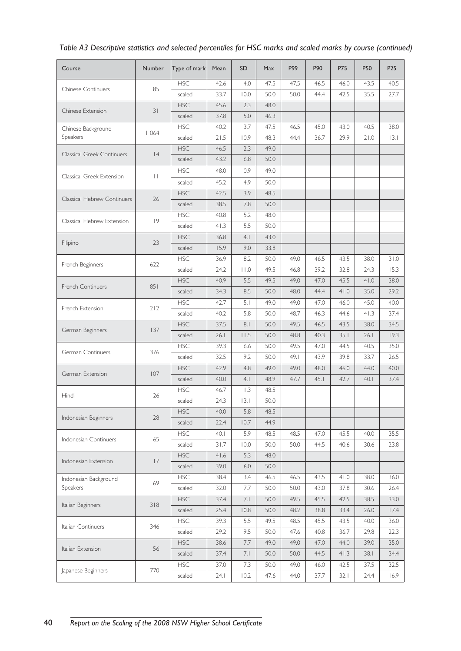| Course                            | Number          | Type of mark | Mean | <b>SD</b>       | <b>Max</b> | P99  | P90  | <b>P75</b> | P50  | P <sub>25</sub> |
|-----------------------------------|-----------------|--------------|------|-----------------|------------|------|------|------------|------|-----------------|
|                                   |                 | <b>HSC</b>   | 42.6 | 4.0             | 47.5       | 47.5 | 46.5 | 46.0       | 43.5 | 40.5            |
| <b>Chinese Continuers</b>         | 85              | scaled       | 33.7 | 10.0            | 50.0       | 50.0 | 44.4 | 42.5       | 35.5 | 27.7            |
|                                   |                 | <b>HSC</b>   | 45.6 | 2.3             | 48.0       |      |      |            |      |                 |
| Chinese Extension                 | 31              | scaled       | 37.8 | 5.0             | 46.3       |      |      |            |      |                 |
| Chinese Background                |                 | <b>HSC</b>   | 40.2 | 3.7             | 47.5       | 46.5 | 45.0 | 43.0       | 40.5 | 38.0            |
| Speakers                          | 1064            | scaled       | 21.5 | 10.9            | 48.3       | 44.4 | 36.7 | 29.9       | 21.0 | 3.1             |
| <b>Classical Greek Continuers</b> | 4               | <b>HSC</b>   | 46.5 | 2.3             | 49.0       |      |      |            |      |                 |
|                                   |                 | scaled       | 43.2 | 6.8             | 50.0       |      |      |            |      |                 |
|                                   | $\vert \ \vert$ | <b>HSC</b>   | 48.0 | 0.9             | 49.0       |      |      |            |      |                 |
| Classical Greek Extension         |                 | scaled       | 45.2 | 4.9             | 50.0       |      |      |            |      |                 |
|                                   |                 | <b>HSC</b>   | 42.5 | 3.9             | 48.5       |      |      |            |      |                 |
| Classical Hebrew Continuers       | 26              | scaled       | 38.5 | 7.8             | 50.0       |      |      |            |      |                 |
|                                   |                 | <b>HSC</b>   | 40.8 | 5.2             | 48.0       |      |      |            |      |                 |
| Classical Hebrew Extension        | 9               | scaled       | 41.3 | 5.5             | 50.0       |      |      |            |      |                 |
|                                   |                 | <b>HSC</b>   | 36.8 | 4.1             | 43.0       |      |      |            |      |                 |
| Filipino                          | 23              | scaled       | 15.9 | 9.0             | 33.8       |      |      |            |      |                 |
|                                   |                 | <b>HSC</b>   | 36.9 | 8.2             | 50.0       | 49.0 | 46.5 | 43.5       | 38.0 | 31.0            |
| French Beginners                  | 622             | scaled       | 24.2 | $ $ $ $ $ $ $ $ | 49.5       | 46.8 | 39.2 | 32.8       | 24.3 | 15.3            |
|                                   |                 | <b>HSC</b>   | 40.9 | 5.5             | 49.5       | 49.0 | 47.0 | 45.5       | 41.0 | 38.0            |
| <b>French Continuers</b>          | 851             | scaled       | 34.3 | 8.5             | 50.0       | 48.0 | 44.4 | 41.0       | 35.0 | 29.2            |
|                                   |                 | <b>HSC</b>   | 42.7 | 5.1             | 49.0       | 49.0 | 47.0 | 46.0       | 45.0 | 40.0            |
| French Extension                  | 212             | scaled       | 40.2 | 5.8             | 50.0       | 48.7 | 46.3 | 44.6       | 41.3 | 37.4            |
|                                   |                 | <b>HSC</b>   | 37.5 | 8.1             | 50.0       | 49.5 | 46.5 | 43.5       | 38.0 | 34.5            |
| German Beginners                  | 137             | scaled       | 26.1 | 11.5            | 50.0       | 48.8 | 40.3 | 35.1       | 26.1 | 19.3            |
|                                   |                 | <b>HSC</b>   | 39.3 | 6.6             | 50.0       | 49.5 | 47.0 | 44.5       | 40.5 | 35.0            |
| German Continuers                 | 376             | scaled       | 32.5 | 9.2             | 50.0       | 49.1 | 43.9 | 39.8       | 33.7 | 26.5            |
|                                   |                 | <b>HSC</b>   | 42.9 | 4.8             | 49.0       | 49.0 | 48.0 | 46.0       | 44.0 | 40.0            |
| German Extension                  | 107             | scaled       | 40.0 | 4.1             | 48.9       | 47.7 | 45.1 | 42.7       | 40.1 | 37.4            |
|                                   |                 | <b>HSC</b>   | 46.7 | 1.3             | 48.5       |      |      |            |      |                 |
| Hindi                             | 26              | scaled       | 24.3 | 3.1             | 50.0       |      |      |            |      |                 |
|                                   |                 | <b>HSC</b>   | 40.0 | 5.8             | 48.5       |      |      |            |      |                 |
| Indonesian Beginners              | 28              | scaled       | 22.4 | 10.7            | 44.9       |      |      |            |      |                 |
|                                   |                 | <b>HSC</b>   | 40.1 | 5.9             | 48.5       | 48.5 | 47.0 | 45.5       | 40.0 | 35.5            |
| Indonesian Continuers             | 65              | scaled       | 31.7 | 10.0            | 50.0       | 50.0 | 44.5 | 40.6       | 30.6 | 23.8            |
|                                   |                 | <b>HSC</b>   | 41.6 | 5.3             | 48.0       |      |      |            |      |                 |
| Indonesian Extension              | 7               | scaled       | 39.0 | 6.0             | 50.0       |      |      |            |      |                 |
| Indonesian Background             |                 | <b>HSC</b>   | 38.4 | 3.4             | 46.5       | 46.5 | 43.5 | 41.0       | 38.0 | 36.0            |
| Speakers                          | 69              | scaled       | 32.0 | 7.7             | 50.0       | 50.0 | 43.0 | 37.8       | 30.6 | 26.4            |
|                                   |                 | <b>HSC</b>   | 37.4 | 7.1             | 50.0       | 49.5 | 45.5 | 42.5       | 38.5 | 33.0            |
| Italian Beginners                 | 318             | scaled       | 25.4 | 10.8            | 50.0       | 48.2 | 38.8 | 33.4       | 26.0 | 17.4            |
|                                   |                 | <b>HSC</b>   | 39.3 | 5.5             | 49.5       | 48.5 | 45.5 | 43.5       | 40.0 | 36.0            |
| Italian Continuers                | 346             | scaled       | 29.2 | 9.5             | 50.0       | 47.6 | 40.8 | 36.7       | 29.8 | 22.3            |
|                                   |                 | <b>HSC</b>   | 38.6 | 7.7             | 49.0       | 49.0 | 47.0 | 44.0       | 39.0 | 35.0            |
| Italian Extension                 | 56              | scaled       | 37.4 | 7.1             | 50.0       | 50.0 | 44.5 | 41.3       | 38.1 | 34.4            |
|                                   |                 | <b>HSC</b>   | 37.0 | 7.3             | 50.0       | 49.0 | 46.0 | 42.5       | 37.5 | 32.5            |
| Japanese Beginners                | 770             | scaled       | 24.1 | 10.2            | 47.6       | 44.0 | 37.7 | 32.1       | 24.4 | 16.9            |

*Table A3 Descriptive statistics and selected percentiles for HSC marks and scaled marks by course (continued)*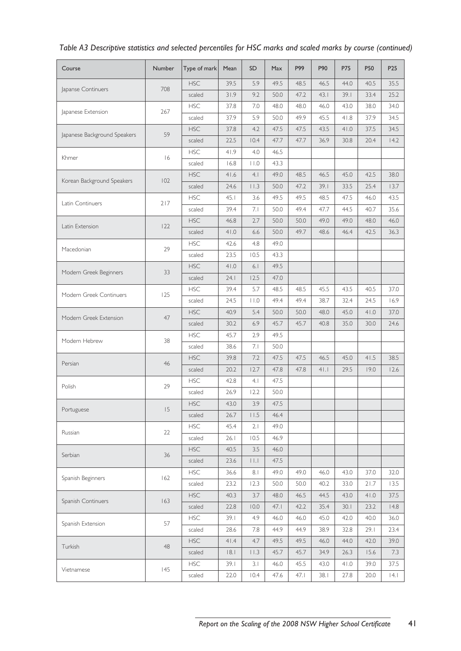| Course                       | Number | Type of mark | Mean | <b>SD</b>               | Max  | P99  | P90   | <b>P75</b> | P50  | P <sub>25</sub> |
|------------------------------|--------|--------------|------|-------------------------|------|------|-------|------------|------|-----------------|
|                              |        | <b>HSC</b>   | 39.5 | 5.9                     | 49.5 | 48.5 | 46.5  | 44.0       | 40.5 | 35.5            |
| Japanse Continuers           | 708    | scaled       | 31.9 | 9.2                     | 50.0 | 47.2 | 43.1  | 39.1       | 33.4 | 25.2            |
|                              |        | <b>HSC</b>   | 37.8 | 7.0                     | 48.0 | 48.0 | 46.0  | 43.0       | 38.0 | 34.0            |
| Japanese Extension           | 267    | scaled       | 37.9 | 5.9                     | 50.0 | 49.9 | 45.5  | 41.8       | 37.9 | 34.5            |
|                              |        | <b>HSC</b>   | 37.8 | 4.2                     | 47.5 | 47.5 | 43.5  | 41.0       | 37.5 | 34.5            |
| Japanese Background Speakers | 59     | scaled       | 22.5 | 10.4                    | 47.7 | 47.7 | 36.9  | 30.8       | 20.4 | 14.2            |
|                              |        | <b>HSC</b>   | 41.9 | 4.0                     | 46.5 |      |       |            |      |                 |
| Khmer                        | 16     | scaled       | 16.8 | $  \cdot   \cdot 0$     | 43.3 |      |       |            |      |                 |
|                              |        | <b>HSC</b>   | 41.6 | 4.1                     | 49.0 | 48.5 | 46.5  | 45.0       | 42.5 | 38.0            |
| Korean Background Speakers   | 102    | scaled       | 24.6 | $ $ $ $ .3              | 50.0 | 47.2 | 39.1  | 33.5       | 25.4 | 13.7            |
|                              |        | <b>HSC</b>   | 45.1 | 3.6                     | 49.5 | 49.5 | 48.5  | 47.5       | 46.0 | 43.5            |
| Latin Continuers             | 217    | scaled       | 39.4 | 7.1                     | 50.0 | 49.4 | 47.7  | 44.5       | 40.7 | 35.6            |
|                              |        | <b>HSC</b>   | 46.8 | 2.7                     | 50.0 | 50.0 | 49.0  | 49.0       | 48.0 | 46.0            |
| Latin Extension              | 122    | scaled       | 41.0 | 6.6                     | 50.0 | 49.7 | 48.6  | 46.4       | 42.5 | 36.3            |
|                              |        | <b>HSC</b>   | 42.6 | 4.8                     | 49.0 |      |       |            |      |                 |
| Macedonian                   | 29     | scaled       | 23.5 | 10.5                    | 43.3 |      |       |            |      |                 |
|                              |        | <b>HSC</b>   | 41.0 | 6.1                     | 49.5 |      |       |            |      |                 |
| Modern Greek Beginners       | 33     | scaled       | 24.1 | 12.5                    | 47.0 |      |       |            |      |                 |
|                              |        | <b>HSC</b>   | 39.4 | 5.7                     | 48.5 | 48.5 | 45.5  | 43.5       | 40.5 | 37.0            |
| Modern Greek Continuers      | 125    | scaled       | 24.5 | $  \cdot   \cdot 0$     | 49.4 | 49.4 | 38.7  | 32.4       | 24.5 | 16.9            |
|                              |        | <b>HSC</b>   | 40.9 | 5.4                     | 50.0 | 50.0 | 48.0  | 45.0       | 41.0 | 37.0            |
| Modern Greek Extension       | 47     | scaled       | 30.2 | 6.9                     | 45.7 | 45.7 | 40.8  | 35.0       | 30.0 | 24.6            |
|                              |        | <b>HSC</b>   | 45.7 | 2.9                     | 49.5 |      |       |            |      |                 |
| Modern Hebrew                | 38     | scaled       | 38.6 | 7.1                     | 50.0 |      |       |            |      |                 |
|                              |        | <b>HSC</b>   | 39.8 | 7.2                     | 47.5 | 47.5 | 46.5  | 45.0       | 41.5 | 38.5            |
| Persian                      | 46     | scaled       | 20.2 | 12.7                    | 47.8 | 47.8 | $4$ . | 29.5       | 19.0 | 12.6            |
|                              |        | <b>HSC</b>   | 42.8 | 4.1                     | 47.5 |      |       |            |      |                 |
| Polish                       | 29     | scaled       | 26.9 | 12.2                    | 50.0 |      |       |            |      |                 |
|                              |        | <b>HSC</b>   | 43.0 | 3.9                     | 47.5 |      |       |            |      |                 |
| Portuguese                   | 15     | scaled       | 26.7 | 11.5                    | 46.4 |      |       |            |      |                 |
|                              |        | <b>HSC</b>   | 45.4 | 2.1                     | 49.0 |      |       |            |      |                 |
| Russian                      | 22     | scaled       | 26.1 | 10.5                    | 46.9 |      |       |            |      |                 |
|                              |        | <b>HSC</b>   | 40.5 | 3.5                     | 46.0 |      |       |            |      |                 |
| Serbian                      | 36     | scaled       | 23.6 | $\vert \ \vert \ \vert$ | 47.5 |      |       |            |      |                 |
|                              |        | <b>HSC</b>   | 36.6 | 8.1                     | 49.0 | 49.0 | 46.0  | 43.0       | 37.0 | 32.0            |
| Spanish Beginners            | 162    | scaled       | 23.2 | 12.3                    | 50.0 | 50.0 | 40.2  | 33.0       | 21.7 | 13.5            |
|                              |        | <b>HSC</b>   | 40.3 | 3.7                     | 48.0 | 46.5 | 44.5  | 43.0       | 41.0 | 37.5            |
| Spanish Continuers           | 163    | scaled       | 22.8 | 10.0                    | 47.1 | 42.2 | 35.4  | 30.1       | 23.2 | 4.8             |
|                              |        | <b>HSC</b>   | 39.1 | 4.9                     | 46.0 | 46.0 | 45.0  | 42.0       | 40.0 | 36.0            |
| Spanish Extension            | 57     | scaled       | 28.6 | 7.8                     | 44.9 | 44.9 | 38.9  | 32.8       | 29.1 | 23.4            |
|                              |        | <b>HSC</b>   | 41.4 | 4.7                     | 49.5 | 49.5 | 46.0  | 44.0       | 42.0 | 39.0            |
| Turkish                      | 48     | scaled       | 8.1  | $ $ $ $ $ $ $.3$        | 45.7 | 45.7 | 34.9  | 26.3       | 15.6 | 7.3             |
|                              |        | <b>HSC</b>   | 39.1 | 3.1                     | 46.0 | 45.5 | 43.0  | 41.0       | 39.0 | 37.5            |
| Vietnamese                   | 145    | scaled       | 22.0 | 10.4                    | 47.6 | 47.1 | 38.1  | 27.8       | 20.0 | 4.1             |

*Table A3 Descriptive statistics and selected percentiles for HSC marks and scaled marks by course (continued)*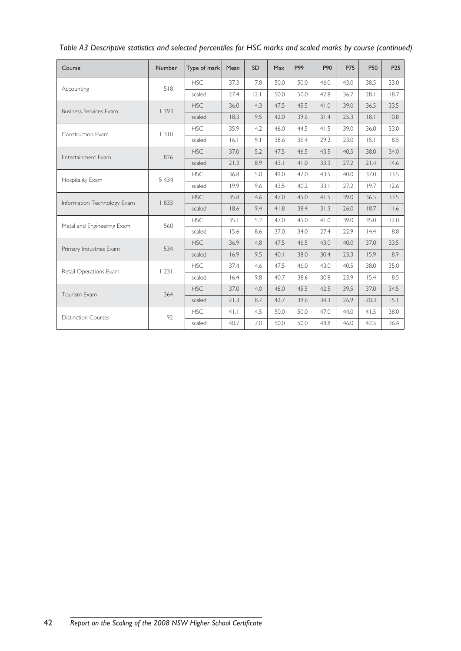| Course                        | Number  | Type of mark | Mean  | <b>SD</b> | Max  | P99  | P90  | <b>P75</b> | P50  | P <sub>25</sub> |
|-------------------------------|---------|--------------|-------|-----------|------|------|------|------------|------|-----------------|
| Accounting                    | 518     | <b>HSC</b>   | 37.3  | 7.8       | 50.0 | 50.0 | 46.0 | 43.0       | 38.5 | 33.0            |
|                               |         | scaled       | 27.4  | 2.1       | 50.0 | 50.0 | 42.8 | 36.7       | 28.1 | 18.7            |
| <b>Business Services Exam</b> | 1393    | <b>HSC</b>   | 36.0  | 4.3       | 47.5 | 45.5 | 41.0 | 39.0       | 36.5 | 33.5            |
|                               |         | scaled       | 18.3  | 9.5       | 42.0 | 39.6 | 31.4 | 25.3       | 8.1  | 10.8            |
| Construction Exam             | 1310    | <b>HSC</b>   | 35.9  | 4.2       | 46.0 | 44.5 | 41.5 | 39.0       | 36.0 | 33.0            |
|                               |         | scaled       | 16.1  | 9.1       | 38.6 | 36.4 | 29.2 | 23.0       | 15.1 | 8.5             |
| Entertainment Exam            | 826     | <b>HSC</b>   | 37.0  | 5.2       | 47.5 | 46.5 | 43.5 | 40.5       | 38.0 | 34.0            |
|                               |         | scaled       | 21.3  | 8.9       | 43.1 | 41.0 | 33.3 | 27.2       | 21.4 | 14.6            |
| Hospitality Exam              | 5 4 3 4 | <b>HSC</b>   | 36.8  | 5.0       | 49.0 | 47.0 | 43.5 | 40.0       | 37.0 | 33.5            |
|                               |         | scaled       | 19.9  | 9.6       | 43.5 | 40.2 | 33.1 | 27.2       | 19.7 | 12.6            |
| Information Technology Exam   | 833     | <b>HSC</b>   | 35.8  | 4.6       | 47.0 | 45.0 | 41.5 | 39.0       | 36.5 | 33.5            |
|                               |         | scaled       | 18.6  | 9.4       | 41.8 | 38.4 | 31.3 | 26.0       | 18.7 | $ $ .6          |
| Metal and Engineering Exam    | 560     | <b>HSC</b>   | 35.1  | 5.2       | 47.0 | 45.0 | 41.0 | 39.0       | 35.0 | 32.0            |
|                               |         | scaled       | 15.6  | 8.6       | 37.0 | 34.0 | 27.4 | 22.9       | 14.4 | 8.8             |
|                               | 534     | <b>HSC</b>   | 36.9  | 4.8       | 47.5 | 46.5 | 43.0 | 40.0       | 37.0 | 33.5            |
| Primary Industries Exam       |         | scaled       | 16.9  | 9.5       | 40.1 | 38.0 | 30.4 | 23.3       | 15.9 | 8.9             |
| Retail Operations Exam        | 23      | <b>HSC</b>   | 37.4  | 4.6       | 47.5 | 46.0 | 43.0 | 40.5       | 38.0 | 35.0            |
|                               |         | scaled       | 16.4  | 9.8       | 40.7 | 38.6 | 30.8 | 23.9       | 15.4 | 8.5             |
| Tourism Exam                  | 364     | <b>HSC</b>   | 37.0  | 4.0       | 48.0 | 45.5 | 42.5 | 39.5       | 37.0 | 34.5            |
|                               |         | scaled       | 21.3  | 8.7       | 42.7 | 39.6 | 34.3 | 26.9       | 20.3 | 15.1            |
|                               | 92      | <b>HSC</b>   | $4$ . | 4.5       | 50.0 | 50.0 | 47.0 | 44.0       | 41.5 | 38.0            |
| <b>Distinction Courses</b>    |         | scaled       | 40.7  | 7.0       | 50.0 | 50.0 | 48.8 | 46.0       | 42.5 | 36.4            |

*Table A3 Descriptive statistics and selected percentiles for HSC marks and scaled marks by course (continued)*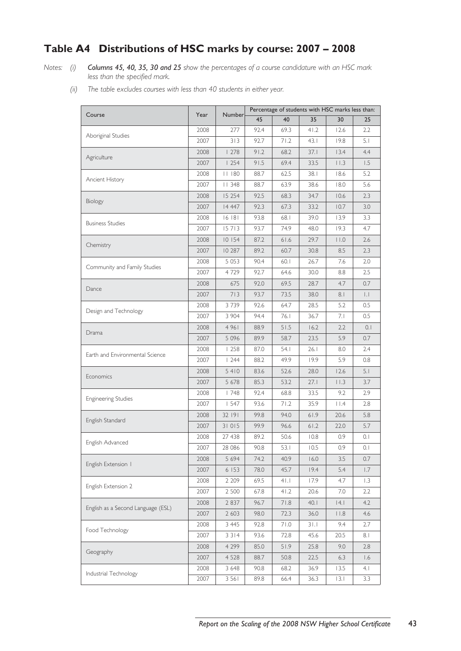# **Table A4 Distributions of HSC marks by course: 2007 – 2008**

*Notes: (i) Columns 45, 40, 35, 30 and 25 show the percentages of a course candidature with an HSC mark less than the specified mark.*

*(ii) The table excludes courses with less than 40 students in either year.*

|                                    | Year<br>Number |         | Percentage of students with HSC marks less than: |       |        |                |      |  |  |
|------------------------------------|----------------|---------|--------------------------------------------------|-------|--------|----------------|------|--|--|
| Course                             |                |         | 45                                               | 40    | 35     | 30             | 25   |  |  |
| Aboriginal Studies                 | 2008           | 277     | 92.4                                             | 69.3  | 41.2   | 12.6           | 2.2  |  |  |
|                                    | 2007           | 313     | 92.7                                             | 71.2  | 43.1   | 19.8           | 5.1  |  |  |
| Agriculture                        | 2008           | 1278    | 91.2                                             | 68.2  | 37.1   | 13.4           | 4.4  |  |  |
|                                    | 2007           | 1254    | 91.5                                             | 69.4  | 33.5   | $ $ $ $ .3     | 1.5  |  |  |
| Ancient History                    | 2008           | 11180   | 88.7                                             | 62.5  | 38.I   | 18.6           | 5.2  |  |  |
|                                    | 2007           | 348     | 88.7                                             | 63.9  | 38.6   | 18.0           | 5.6  |  |  |
|                                    | 2008           | 15 254  | 92.5                                             | 68.3  | 34.7   | 10.6           | 2.3  |  |  |
| Biology                            | 2007           | 14 447  | 92.3                                             | 67.3  | 33.2   | 10.7           | 3.0  |  |  |
| <b>Business Studies</b>            | 2008           | 16 18 1 | 93.8                                             | 68.1  | 39.0   | 13.9           | 3.3  |  |  |
|                                    | 2007           | 15713   | 93.7                                             | 74.9  | 48.0   | 19.3           | 4.7  |  |  |
|                                    | 2008           | 10 154  | 87.2                                             | 61.6  | 29.7   | 11.0           | 2.6  |  |  |
| Chemistry                          | 2007           | 10 287  | 89.2                                             | 60.7  | 30.8   | 8.5            | 2.3  |  |  |
|                                    | 2008           | 5 0 5 3 | 90.4                                             | 60.1  | 26.7   | 7.6            | 2.0  |  |  |
| Community and Family Studies       | 2007           | 4729    | 92.7                                             | 64.6  | 30.0   | 8.8            | 2.5  |  |  |
|                                    | 2008           | 675     | 92.0                                             | 69.5  | 28.7   | 4.7            | 0.7  |  |  |
| Dance                              | 2007           | 713     | 93.7                                             | 73.5  | 38.0   | 8.1            | IJ.  |  |  |
|                                    | 2008           | 3739    | 92.6                                             | 64.7  | 28.5   | 5.2            | 0.5  |  |  |
| Design and Technology              | 2007           | 3 904   | 94.4                                             | 76. I | 36.7   | 7.1            | 0.5  |  |  |
|                                    | 2008           | 4961    | 88.9                                             | 51.5  | 16.2   | 2.2            | 0.1  |  |  |
| Drama                              | 2007           | 5 0 9 6 | 89.9                                             | 58.7  | 23.5   | 5.9            | 0.7  |  |  |
|                                    | 2008           | 1258    | 87.0                                             | 54. I | 26.1   | 8.0            | 2.4  |  |  |
| Earth and Environmental Science    | 2007           | 1244    | 88.2                                             | 49.9  | 19.9   | 5.9            | 0.8  |  |  |
|                                    | 2008           | 5410    | 83.6                                             | 52.6  | 28.0   | 12.6           | 5.1  |  |  |
| Economics                          | 2007           | 5 678   | 85.3                                             | 53.2  | 27.1   | $ $ $ $ .3     | 3.7  |  |  |
|                                    | 2008           | 1748    | 92.4                                             | 68.8  | 33.5   | 9.2            | 2.9  |  |  |
| <b>Engineering Studies</b>         | 2007           | 1547    | 93.6                                             | 71.2  | 35.9   | $  \cdot  $ .4 | 2.8  |  |  |
|                                    | 2008           | 32 191  | 99.8                                             | 94.0  | 61.9   | 20.6           | 5.8  |  |  |
| English Standard                   | 2007           | 31015   | 99.9                                             | 96.6  | $61.2$ | 22.0           | 5.7  |  |  |
|                                    | 2008           | 27 438  | 89.2                                             | 50.6  | 10.8   | 0.9            | 0.1  |  |  |
| English Advanced                   | 2007           | 28 086  | 90.8                                             | 53. I | 10.5   | 0.9            | 0.1  |  |  |
|                                    | 2008           | 5 6 9 4 | 74.2                                             | 40.9  | 16.0   | 3.5            | 0.7  |  |  |
| English Extension 1                | 2007           | 6 153   | 78.0                                             | 45.7  | 19.4   | 5.4            | 1.7  |  |  |
|                                    | 2008           | 2 2 0 9 | 69.5                                             | 41.1  | 17.9   | 4.7            | 1.3  |  |  |
| English Extension 2                | 2007           | 2 500   | 67.8                                             | 41.2  | 20.6   | 7.0            | 2.2  |  |  |
|                                    | 2008           | 2 8 3 7 | 96.7                                             | 71.8  | 40.1   | 4.             | 4.2  |  |  |
| English as a Second Language (ESL) | 2007           | 2 6 0 3 | 98.0                                             | 72.3  | 36.0   | $  \cdot  $ .8 | 4.6  |  |  |
|                                    | 2008           | 3 4 4 5 | 92.8                                             | 71.0  | 31.1   | 9.4            | 2.7  |  |  |
| Food Technology                    | 2007           | 3 3 1 4 | 93.6                                             | 72.8  | 45.6   | 20.5           | 8.1  |  |  |
|                                    | 2008           | 4 2 9 9 | 85.0                                             | 51.9  | 25.8   | 9.0            | 2.8  |  |  |
| Geography                          | 2007           | 4 5 2 8 | 88.7                                             | 50.8  | 22.5   | 6.3            | 1.6  |  |  |
|                                    | 2008           | 3 6 4 8 | 90.8                                             | 68.2  | 36.9   | 13.5           | 4. I |  |  |
| Industrial Technology              | 2007           | 3 5 6 1 | 89.8                                             | 66.4  | 36.3   | 3.1            | 3.3  |  |  |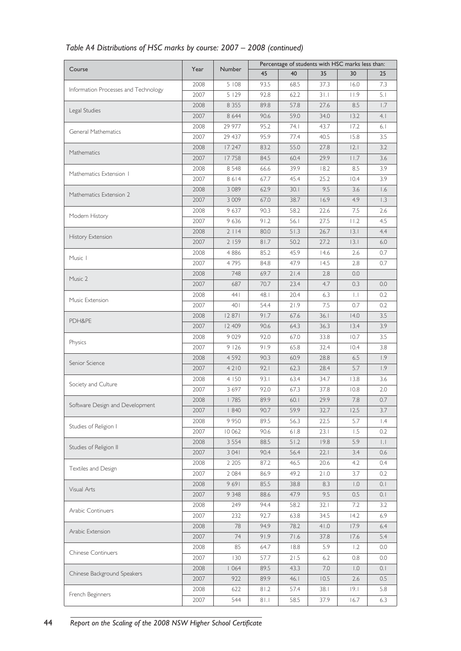|                                      | Year | <b>Number</b> | Percentage of students with HSC marks less than: |        |         |                     |                       |  |  |
|--------------------------------------|------|---------------|--------------------------------------------------|--------|---------|---------------------|-----------------------|--|--|
| Course                               |      |               | 45                                               | 40     | 35      | 30                  | 25                    |  |  |
|                                      | 2008 | 5 108         | 93.5                                             | 68.5   | 37.3    | 16.0                | 7.3                   |  |  |
| Information Processes and Technology | 2007 | 5129          | 92.8                                             | 62.2   | 31.1    | 11.9                | 5.1                   |  |  |
|                                      | 2008 | 8 3 5 5       | 89.8                                             | 57.8   | 27.6    | 8.5                 | 1.7                   |  |  |
| Legal Studies                        | 2007 | 8 6 4 4       | 90.6                                             | 59.0   | 34.0    | 13.2                | 4.1                   |  |  |
|                                      | 2008 | 29 977        | 95.2                                             | 74. I  | 43.7    | 17.2                | 6.1                   |  |  |
| General Mathematics                  | 2007 | 29 437        | 95.9                                             | 77.4   | 40.5    | 15.8                | 3.5                   |  |  |
|                                      | 2008 | 17 247        | 83.2                                             | 55.0   | 27.8    | 2.1                 | 3.2                   |  |  |
| Mathematics                          | 2007 | 17758         | 84.5                                             | 60.4   | 29.9    | 11.7                | 3.6                   |  |  |
|                                      | 2008 | 8 5 4 8       | 66.6                                             | 39.9   | 18.2    | 8.5                 | 3.9                   |  |  |
| Mathematics Extension 1              | 2007 | 8614          | 67.7                                             | 45.4   | 25.2    | 10.4                | 3.9                   |  |  |
|                                      | 2008 | 3 0 8 9       | 62.9                                             | 30.1   | 9.5     | 3.6                 | 1.6                   |  |  |
| Mathematics Extension 2              | 2007 | 3 0 0 9       | 67.0                                             | 38.7   | 16.9    | 4.9                 | 1.3                   |  |  |
|                                      | 2008 | 9 637         | 90.3                                             | 58.2   | 22.6    | 7.5                 | 2.6                   |  |  |
| Modern History                       | 2007 | 9 6 3 6       | 91.2                                             | 56.1   | 27.5    | 11.2                | 4.5                   |  |  |
|                                      | 2008 | 2114          | 80.0                                             | 51.3   | 26.7    | 3.1                 | 4.4                   |  |  |
| History Extension                    | 2007 | 2 159         | 81.7                                             | 50.2   | 27.2    | 3.1                 | 6.0                   |  |  |
|                                      | 2008 | 4886          | 85.2                                             | 45.9   | 14.6    | 2.6                 | 0.7                   |  |  |
| Music 1                              |      |               |                                                  |        |         | 2.8                 |                       |  |  |
|                                      | 2007 | 4795          | 84.8                                             | 47.9   | 14.5    |                     | 0.7                   |  |  |
| Music 2                              | 2008 | 748           | 69.7                                             | 21.4   | 2.8     | 0.0                 |                       |  |  |
|                                      | 2007 | 687           | 70.7                                             | 23.4   | 4.7     | 0.3                 | 0.0                   |  |  |
| Music Extension                      | 2008 | 441           | 48.1                                             | 20.4   | 6.3     | $\vert \cdot \vert$ | 0.2                   |  |  |
|                                      | 2007 | 401           | 54.4                                             | 21.9   | 7.5     | 0.7                 | 0.2                   |  |  |
| PDH&PE                               | 2008 | 12 871        | 91.7                                             | 67.6   | 36.1    | 14.0                | 3.5                   |  |  |
|                                      | 2007 | 12 409        | 90.6                                             | 64.3   | 36.3    | 13.4                | 3.9                   |  |  |
| Physics                              | 2008 | 9 0 2 9       | 92.0                                             | 67.0   | 33.8    | 10.7                | 3.5                   |  |  |
|                                      | 2007 | 9126          | 91.9                                             | 65.8   | 32.4    | 10.4                | 3.8                   |  |  |
| Senior Science                       | 2008 | 4 5 9 2       | 90.3                                             | 60.9   | 28.8    | 6.5                 | 1.9                   |  |  |
|                                      | 2007 | 4210          | 92.1                                             | 62.3   | 28.4    | 5.7                 | 1.9                   |  |  |
| Society and Culture                  | 2008 | 4 150         | 93.1                                             | 63.4   | 34.7    | 13.8                | 3.6                   |  |  |
|                                      | 2007 | 3 6 9 7       | 92.0                                             | 67.3   | 37.8    | 10.8                | 2.0                   |  |  |
| Software Design and Development      | 2008 | 1785          | 89.9                                             | 60.1   | 29.9    | 7.8                 | 0.7                   |  |  |
|                                      | 2007 | 1840          | 90.7                                             | 59.9   | 32.7    | 12.5                | 3.7                   |  |  |
| Studies of Religion I                | 2008 | 9950          | 89.5                                             | 56.3   | 22.5    | 5.7                 | $\mathsf{I}$ .4       |  |  |
|                                      | 2007 | 10 062        | 90.6                                             | $61.8$ | 23.1    | 1.5                 | 0.2                   |  |  |
|                                      | 2008 | 3 5 5 4       | 88.5                                             | 51.2   | 19.8    | 5.9                 | $\vert \, . \, \vert$ |  |  |
| Studies of Religion II               | 2007 | 3 0 4 1       | 90.4                                             | 56.4   | 22.1    | 3.4                 | 0.6                   |  |  |
| Textiles and Design                  | 2008 | 2 2 0 5       | 87.2                                             | 46.5   | 20.6    | 4.2                 | 0.4                   |  |  |
|                                      | 2007 | 2 0 8 4       | 86.9                                             | 49.2   | 21.0    | 3.7                 | 0.2                   |  |  |
|                                      | 2008 | 9691          | 85.5                                             | 38.8   | 8.3     | $\overline{0}$ .    | 0.1                   |  |  |
| Visual Arts                          | 2007 | 9 3 4 8       | 88.6                                             | 47.9   | 9.5     | 0.5                 | 0.1                   |  |  |
|                                      | 2008 | 249           | 94.4                                             | 58.2   | 32.1    | 7.2                 | 3.2                   |  |  |
| Arabic Continuers                    | 2007 | 232           | 92.7                                             | 63.8   | 34.5    | 14.2                | 6.9                   |  |  |
|                                      | 2008 | 78            | 94.9                                             | 78.2   | 41.0    | 17.9                | 6.4                   |  |  |
| Arabic Extension                     | 2007 | 74            | 91.9                                             | 71.6   | 37.8    | 17.6                | 5.4                   |  |  |
|                                      | 2008 | 85            | 64.7                                             | 18.8   | 5.9     | 1.2                 | 0.0                   |  |  |
| <b>Chinese Continuers</b>            | 2007 | 130           | 57.7                                             | 21.5   | 6.2     | 0.8                 | 0.0                   |  |  |
|                                      | 2008 | 1064          | 89.5                                             | 43.3   | $7.0\,$ | $\overline{0}$ .    | 0.1                   |  |  |
| Chinese Background Speakers          | 2007 | 922           | 89.9                                             | 46.1   | 10.5    | 2.6                 | 0.5                   |  |  |
|                                      | 2008 | 622           | 81.2                                             | 57.4   | 38.1    | 9.1                 | 5.8                   |  |  |
| French Beginners                     | 2007 | 544           | 81.1                                             | 58.5   | 37.9    | 16.7                | 6.3                   |  |  |
|                                      |      |               |                                                  |        |         |                     |                       |  |  |

# *Table A4 Distributions of HSC marks by course: 2007 – 2008 (continued)*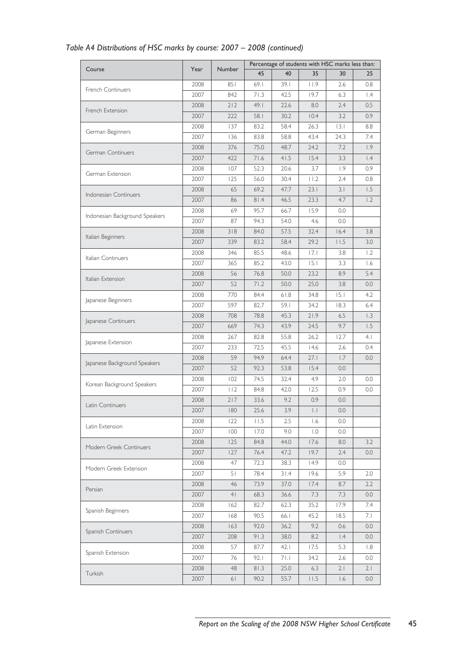|                                |      | <b>Number</b>        | Percentage of students with HSC marks less than: |       |                       |                         |                 |  |  |
|--------------------------------|------|----------------------|--------------------------------------------------|-------|-----------------------|-------------------------|-----------------|--|--|
| Course                         | Year |                      | 45                                               | 40    | 35                    | 30                      | 25              |  |  |
|                                | 2008 | 851                  | 69.1                                             | 39. I | 11.9                  | 2.6                     | 0.8             |  |  |
| <b>French Continuers</b>       | 2007 | 842                  | 71.3                                             | 42.5  | 19.7                  | 6.3                     | $\mathsf{I}$ .4 |  |  |
|                                | 2008 | 212                  | 49.1                                             | 22.6  | 8.0                   | 2.4                     | 0.5             |  |  |
| French Extension               | 2007 | 222                  | 58.I                                             | 30.2  | 10.4                  | 3.2                     | 0.9             |  |  |
|                                | 2008 | 137                  | 83.2                                             | 58.4  | 26.3                  | 3.1                     | 8.8             |  |  |
| German Beginners               | 2007 | 136                  | 83.8                                             | 58.8  | 43.4                  | 24.3                    | 7.4             |  |  |
|                                | 2008 | 376                  | 75.0                                             | 48.7  | 24.2                  | 7.2                     | 1.9             |  |  |
| German Continuers              | 2007 | 422                  | 71.6                                             | 41.5  | 15.4                  | 3.3                     | $\vert A$       |  |  |
|                                | 2008 | 107                  | 52.3                                             | 20.6  | 3.7                   | 1.9                     | 0.9             |  |  |
| German Extension               | 2007 | 125                  | 56.0                                             | 30.4  | 11.2                  | 2.4                     | 0.8             |  |  |
|                                | 2008 | 65                   | 69.2                                             | 47.7  | 23.1                  | 3.1                     | 1.5             |  |  |
| Indonesian Continuers          | 2007 | 86                   | 81.4                                             | 46.5  | 23.3                  | 4.7                     | 1.2             |  |  |
|                                | 2008 | 69                   | 95.7                                             | 66.7  | 15.9                  | 0.0                     |                 |  |  |
| Indonesian Background Speakers | 2007 | 87                   | 94.3                                             | 54.0  | 4.6                   | 0.0                     |                 |  |  |
|                                | 2008 | 318                  | 84.0                                             | 57.5  | 32.4                  | 16.4                    | 3.8             |  |  |
| Italian Beginners              | 2007 | 339                  | 83.2                                             | 58.4  | 29.2                  | 11.5                    | 3.0             |  |  |
|                                | 2008 | 346                  | 85.5                                             | 48.6  | 7.1                   | 3.8                     | 1.2             |  |  |
| Italian Continuers             | 2007 | 365                  | 85.2                                             | 43.0  | 15.1                  | 3.3                     | 1.6             |  |  |
|                                | 2008 | 56                   | 76.8                                             | 50.0  | 23.2                  | 8.9                     | 5.4             |  |  |
| Italian Extension              | 2007 | 52                   | 71.2                                             | 50.0  | 25.0                  | 3.8                     | 0.0             |  |  |
|                                | 2008 | 770                  | 84.4                                             | 61.8  | 34.8                  | 15.1                    | 4.2             |  |  |
| Japanese Beginners             | 2007 | 597                  | 82.7                                             | 59.1  | 34.2                  | 18.3                    | 6.4             |  |  |
|                                | 2008 | 708                  | 78.8                                             | 45.3  | 21.9                  | 6.5                     | 1.3             |  |  |
| Japanese Continuers            | 2007 | 669                  | 74.3                                             | 43.9  | 24.5                  | 9.7                     | 1.5             |  |  |
|                                | 2008 | 267                  | 82.8                                             | 55.8  | 26.2                  | 12.7                    | 4.1             |  |  |
| Japanese Extension             | 2007 | 233                  | 72.5                                             | 45.5  | 14.6                  | 2.6                     | 0.4             |  |  |
|                                | 2008 | 59                   | 94.9                                             | 64.4  | 27.1                  | 1.7                     | 0.0             |  |  |
| Japanese Background Speakers   | 2007 | 52                   | 92.3                                             | 53.8  | 15.4                  | 0.0                     |                 |  |  |
|                                | 2008 | 102                  | 74.5                                             | 32.4  | 4.9                   | 2.0                     | 0.0             |  |  |
| Korean Background Speakers     | 2007 | 112                  | 84.8                                             | 42.0  | 12.5                  | 0.9                     | 0.0             |  |  |
|                                | 2008 | 217                  | 33.6                                             | 9.2   | 0.9                   | 0.0                     |                 |  |  |
| Latin Continuers               | 2007 | 180                  | 25.6                                             | 3.9   | $\vert \, . \, \vert$ | 0.0                     |                 |  |  |
|                                | 2008 | 122                  | 11.5                                             | 2.5   | 1.6                   | 0.0                     |                 |  |  |
| Latin Extension                | 2007 | 100                  | 17.0                                             | 9.0   | $\overline{1.0}$      | 0.0                     |                 |  |  |
|                                | 2008 | 125                  | 84.8                                             | 44.0  | 17.6                  | 8.0                     | 3.2             |  |  |
| Modern Greek Continuers        | 2007 | 127                  | 76.4                                             | 47.2  | 19.7                  | 2.4                     | 0.0             |  |  |
|                                | 2008 | 47                   | 72.3                                             | 38.3  | 14.9                  | 0.0                     |                 |  |  |
| Modern Greek Extension         | 2007 | 51                   | 78.4                                             | 31.4  | 19.6                  | 5.9                     | 2.0             |  |  |
|                                | 2008 |                      | 73.9                                             | 37.0  | 17.4                  | 8.7                     | 2.2             |  |  |
| Persian                        | 2007 | 46<br>4 <sub>1</sub> | 68.3                                             | 36.6  | 7.3                   | 7.3                     | 0.0             |  |  |
|                                |      |                      |                                                  |       |                       |                         |                 |  |  |
| Spanish Beginners              | 2008 | 162                  | 82.7                                             | 62.3  | 35.2                  | 17.9                    | 7.4             |  |  |
|                                | 2007 | 168                  | 90.5                                             | 66.1  | 45.2                  | 18.5                    | 7. I            |  |  |
| Spanish Continuers             | 2008 | 163                  | 92.0                                             | 36.2  | 9.2                   | 0.6                     | 0.0             |  |  |
|                                | 2007 | 208                  | 91.3                                             | 38.0  | 8.2                   | $\mathsf{I}.\mathsf{4}$ | 0.0             |  |  |
| Spanish Extension              | 2008 | 57                   | 87.7                                             | 42.1  | 17.5                  | 5.3                     | 1.8             |  |  |
|                                | 2007 | 76                   | 92.1                                             | 71.1  | 34.2                  | 2.6                     | 0.0             |  |  |
| Turkish                        | 2008 | 48                   | 81.3                                             | 25.0  | 6.3                   | 2.1                     | 2.1             |  |  |
|                                | 2007 | 61                   | 90.2                                             | 55.7  | $\vert\ \vert$ .5     | 1.6                     | 0.0             |  |  |

# *Table A4 Distributions of HSC marks by course: 2007 – 2008 (continued)*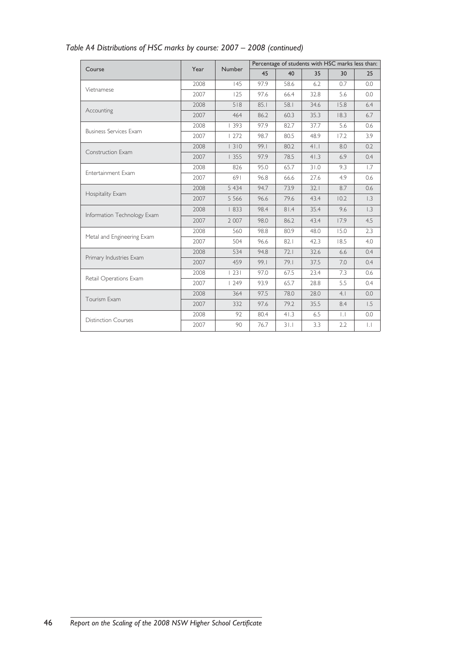|                               |      |         | Percentage of students with HSC marks less than: |      |       |                 |                     |  |  |
|-------------------------------|------|---------|--------------------------------------------------|------|-------|-----------------|---------------------|--|--|
| Course                        | Year | Number  | 45                                               | 40   | 35    | 30              | 25                  |  |  |
|                               | 2008 | 145     | 97.9                                             | 58.6 | 6.2   | 0.7             | 0.0                 |  |  |
| Vietnamese                    | 2007 | 125     | 97.6                                             | 66.4 | 32.8  | 5.6             | 0.0                 |  |  |
| Accounting                    | 2008 | 518     | 85.1                                             | 58.1 | 34.6  | 15.8            | 6.4                 |  |  |
|                               | 2007 | 464     | 86.2                                             | 60.3 | 35.3  | 18.3            | 6.7                 |  |  |
| <b>Business Services Exam</b> | 2008 | 1393    | 97.9                                             | 82.7 | 37.7  | 5.6             | 0.6                 |  |  |
|                               | 2007 | 1272    | 98.7                                             | 80.5 | 48.9  | 17.2            | 3.9                 |  |  |
| Construction Exam             | 2008 | 1310    | 99.1                                             | 80.2 | $4$ . | 8.0             | 0.2                 |  |  |
|                               | 2007 | 1355    | 97.9                                             | 78.5 | 41.3  | 6.9             | 0.4                 |  |  |
| Entertainment Exam            | 2008 | 826     | 95.0                                             | 65.7 | 31.0  | 9.3             | 1.7                 |  |  |
|                               | 2007 | 691     | 96.8                                             | 66.6 | 27.6  | 4.9             | 0.6                 |  |  |
|                               | 2008 | 5 4 3 4 | 94.7                                             | 73.9 | 32.1  | 8.7             | 0.6                 |  |  |
| Hospitality Exam              | 2007 | 5 5 6 6 | 96.6                                             | 79.6 | 43.4  | 10.2            | 1.3                 |  |  |
| Information Technology Exam   | 2008 | 1833    | 98.4                                             | 81.4 | 35.4  | 9.6             | $\overline{1.3}$    |  |  |
|                               | 2007 | 2 0 0 7 | 98.0                                             | 86.2 | 43.4  | 17.9            | 4.5                 |  |  |
| Metal and Engineering Exam    | 2008 | 560     | 98.8                                             | 80.9 | 48.0  | 15.0            | 2.3                 |  |  |
|                               | 2007 | 504     | 96.6                                             | 82.1 | 42.3  | 18.5            | 4.0                 |  |  |
| Primary Industries Exam       | 2008 | 534     | 94.8                                             | 72.1 | 32.6  | 6.6             | 0.4                 |  |  |
|                               | 2007 | 459     | 99.1                                             | 79.1 | 37.5  | 7.0             | 0.4                 |  |  |
| Retail Operations Exam        | 2008 | 231     | 97.0                                             | 67.5 | 23.4  | 7.3             | 0.6                 |  |  |
|                               | 2007 | 1249    | 93.9                                             | 65.7 | 28.8  | 5.5             | 0.4                 |  |  |
| Tourism Exam                  | 2008 | 364     | 97.5                                             | 78.0 | 28.0  | 4.1             | 0.0                 |  |  |
|                               | 2007 | 332     | 97.6                                             | 79.2 | 35.5  | 8.4             | 1.5                 |  |  |
| <b>Distinction Courses</b>    | 2008 | 92      | 80.4                                             | 41.3 | 6.5   | $\vert . \vert$ | 0.0                 |  |  |
|                               | 2007 | 90      | 76.7                                             | 31.1 | 3.3   | 2.2             | $\vert \cdot \vert$ |  |  |

# *Table A4 Distributions of HSC marks by course: 2007 – 2008 (continued)*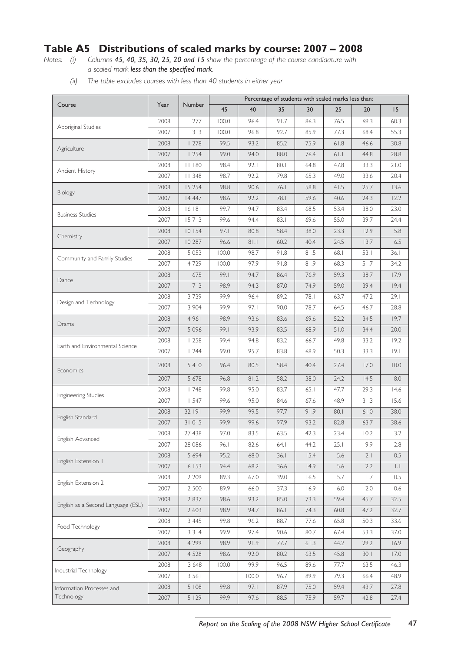# **Table A5 Distributions of scaled marks by course: 2007 – 2008**

*Notes: (i) Columns 45, 40, 35, 30, 25, 20 and 15 show the percentage of the course candidature with a scaled mark less than the specified mark.*

*(ii) The table excludes courses with less than 40 students in either year.*

|                                    | Percentage of students with scaled marks less than: |                  |              |              |              |              |              |              |                    |
|------------------------------------|-----------------------------------------------------|------------------|--------------|--------------|--------------|--------------|--------------|--------------|--------------------|
| Course                             | Year                                                | <b>Number</b>    | 45           | 40           | 35           | 30           | 25           | 20           | 15                 |
|                                    | 2008                                                | 277              | 100.0        | 96.4         | 91.7         | 86.3         | 76.5         | 69.3         | 60.3               |
| Aboriginal Studies                 | 2007                                                | 313              | 100.0        | 96.8         | 92.7         | 85.9         | 77.3         | 68.4         | 55.3               |
|                                    | 2008                                                | 1278             | 99.5         | 93.2         | 85.2         | 75.9         | 61.8         | 46.6         | 30.8               |
| Agriculture                        | 2007                                                | 254              | 99.0         | 94.0         | 88.0         | 76.4         | 61.1         | 44.8         | 28.8               |
| Ancient History                    | 2008                                                | 11180            | 98.4         | 92.1         | 80.1         | 64.8         | 47.8         | 33.3         | 21.0               |
|                                    | 2007                                                | 11348            | 98.7         | 92.2         | 79.8         | 65.3         | 49.0         | 33.6         | 20.4               |
| Biology                            | 2008                                                | 15 254           | 98.8         | 90.6         | 76.1         | 58.8         | 41.5         | 25.7         | 13.6               |
|                                    | 2007                                                | 14 4 47          | 98.6         | 92.2         | 78.1         | 59.6         | 40.6         | 24.3         | 12.2               |
| <b>Business Studies</b>            | 2008                                                | 16 181           | 99.7         | 94.7         | 83.4         | 68.5         | 53.4         | 38.0         | 23.0               |
|                                    | 2007                                                | 15713            | 99.6         | 94.4         | 83.1         | 69.6         | 55.0         | 39.7         | 24.4               |
| Chemistry                          | 2008                                                | 10 154           | 97.1         | 80.8         | 58.4         | 38.0         | 23.3         | 12.9         | 5.8                |
|                                    | 2007                                                | 10 287           | 96.6         | 81.1         | 60.2         | 40.4         | 24.5         | 13.7         | 6.5                |
| Community and Family Studies       | 2008                                                | 5 0 5 3          | 100.0        | 98.7         | 91.8         | 81.5         | 68.1         | 53.1         | 36.1               |
|                                    | 2007                                                | 4729             | 100.0        | 97.9         | 91.8         | 81.9         | 68.3         | 51.7         | 34.2               |
| Dance                              | 2008                                                | 675              | 99.1         | 94.7         | 86.4         | 76.9         | 59.3         | 38.7         | 17.9               |
|                                    | 2007                                                | 713              | 98.9         | 94.3         | 87.0         | 74.9         | 59.0         | 39.4         | 19.4               |
| Design and Technology              | 2008                                                | 3739             | 99.9         | 96.4         | 89.2         | 78.1         | 63.7         | 47.2         | 29.1               |
|                                    | 2007                                                | 3 904            | 99.9         | 97.1         | 90.0         | 78.7         | 64.5         | 46.7         | 28.8               |
| Drama                              | 2008<br>2007                                        | 4961<br>5 0 9 6  | 98.9<br>99.1 | 93.6<br>93.9 | 83.6<br>83.5 | 69.6<br>68.9 | 52.2<br>51.0 | 34.5<br>34.4 | 19.7<br>20.0       |
|                                    | 2008                                                | 1258             | 99.4         | 94.8         | 83.2         | 66.7         | 49.8         | 33.2         | 19.2               |
| Earth and Environmental Science    | 2007                                                | 1244             | 99.0         | 95.7         | 83.8         | 68.9         | 50.3         | 33.3         | 19.1               |
|                                    |                                                     |                  |              |              |              |              |              |              |                    |
| Economics                          | 2008                                                | 5410             | 96.4         | 80.5         | 58.4         | 40.4         | 27.4         | 17.0         | 10.0               |
|                                    | 2007                                                | 5 6 7 8          | 96.8         | 81.2         | 58.2         | 38.0         | 24.2         | 14.5         | 8.0                |
| <b>Engineering Studies</b>         | 2008                                                | 1748             | 99.8         | 95.0         | 83.7         | 65.1         | 47.7         | 29.3         | 14.6               |
|                                    | 2007                                                | 1547             | 99.6         | 95.0         | 84.6         | 67.6         | 48.9         | 31.3         | 15.6               |
| English Standard                   | 2008                                                | 32 191           | 99.9         | 99.5         | 97.7         | 91.9         | 80.1         | 61.0         | 38.0               |
|                                    | 2007                                                | 31015            | 99.9         | 99.6         | 97.9         | 93.2         | 82.8         | 63.7         | 38.6               |
| English Advanced                   | 2008                                                | 27 438           | 97.0         | 83.5         | 63.5         | 42.3         | 23.4         | 10.2         | 3.2                |
|                                    | 2007                                                | 28 08 6          | 96.1         | 82.6         | 64. l        | 44.2         | 25.1         | 9.9          | 2.8                |
| English Extension 1                | 2008                                                | 5 6 9 4          | 95.2         | 68.0         | 36.1         | 15.4         | 5.6          | 2.1          | 0.5                |
|                                    | 2007<br>2008                                        | 6 153<br>2 2 0 9 | 94.4<br>89.3 | 68.2         | 36.6<br>39.0 | 14.9<br>16.5 | 5.6<br>5.7   | 2.2          | $  \cdot  $<br>0.5 |
| English Extension 2                | 2007                                                | 2 500            | 89.9         | 67.0<br>66.0 | 37.3         | 16.9         | 6.0          | 1.7<br>2.0   | 0.6                |
|                                    | 2008                                                | 2 8 3 7          | 98.6         | 93.2         | 85.0         | 73.3         | 59.4         | 45.7         | 32.5               |
| English as a Second Language (ESL) | 2007                                                | 2 6 0 3          | 98.9         | 94.7         | 86.1         | 74.3         | 60.8         | 47.2         | 32.7               |
|                                    | 2008                                                | 3 4 4 5          | 99.8         | 96.2         | 88.7         | 77.6         | 65.8         | 50.3         | 33.6               |
| Food Technology                    | 2007                                                | 3 3 1 4          | 99.9         | 97.4         | 90.6         | 80.7         | 67.4         | 53.3         | 37.0               |
|                                    | 2008                                                | 4 2 9 9          | 98.9         | 91.9         | 77.7         | 61.3         | 44.2         | 29.2         | 16.9               |
| Geography                          | 2007                                                | 4 5 2 8          | 98.6         | 92.0         | 80.2         | 63.5         | 45.8         | 30.1         | 17.0               |
|                                    | 2008                                                | 3 6 4 8          | 100.0        | 99.9         | 96.5         | 89.6         | 77.7         | 63.5         | 46.3               |
| Industrial Technology              | 2007                                                | 3 5 6 1          |              | 100.0        | 96.7         | 89.9         | 79.3         | 66.4         | 48.9               |
| Information Processes and          | 2008                                                | 5 108            | 99.8         | 97.1         | 87.9         | 75.0         | 59.4         | 43.7         | 27.8               |
| Technology                         | 2007                                                | 5129             | 99.9         | 97.6         | 88.5         | 75.9         | 59.7         | 42.8         | 27.4               |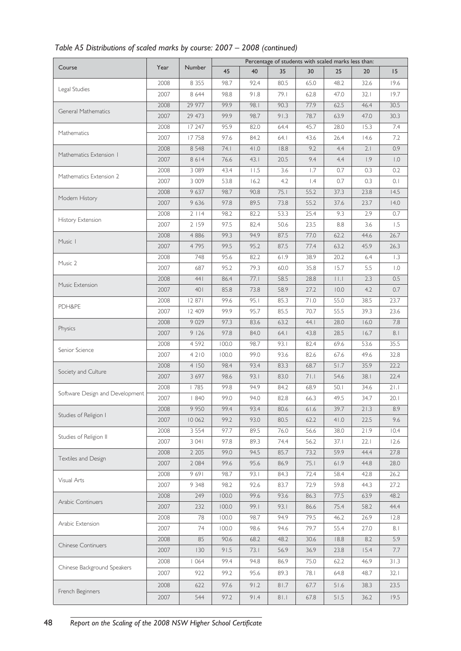| Table A5 Distributions of scaled marks by course: 2007 - 2008 (continued) |  |  |
|---------------------------------------------------------------------------|--|--|
|---------------------------------------------------------------------------|--|--|

|                                 |      |               | Percentage of students with scaled marks less than: |      |       |                  |      |                                                                                                                                                                                                                                                                                                                                                                                         |                  |  |
|---------------------------------|------|---------------|-----------------------------------------------------|------|-------|------------------|------|-----------------------------------------------------------------------------------------------------------------------------------------------------------------------------------------------------------------------------------------------------------------------------------------------------------------------------------------------------------------------------------------|------------------|--|
| Course                          | Year | <b>Number</b> | 45                                                  | 40   | 35    | 30               | 25   | 20<br>32.6<br>32.1<br>46.4<br>47.0<br>15.3<br>14.6<br>2.1<br>1.9<br>0.3<br>0.3<br>23.8<br>23.7<br>2.9<br>3.6<br>44.6<br>45.9<br>6.4<br>5.5<br>2.3<br>4.2<br>38.5<br>39.3<br>16.0<br>16.7<br>53.6<br>49.6<br>35.9<br>38.1<br>34.6<br>34.7<br>21.3<br>22.5<br>21.9<br>22.1<br>44.4<br>44.8<br>42.8<br>44.3<br>63.9<br>58.2<br>26.9<br>27.0<br>8.2<br>15.4<br>46.9<br>48.7<br>38.3<br>36.2 | 15               |  |
|                                 | 2008 | 8 3 5 5       | 98.7                                                | 92.4 | 80.5  | 65.0             | 48.2 |                                                                                                                                                                                                                                                                                                                                                                                         | 19.6             |  |
| Legal Studies                   | 2007 | 8 6 4 4       | 98.8                                                | 91.8 | 79.1  | 62.8             | 47.0 |                                                                                                                                                                                                                                                                                                                                                                                         | 19.7             |  |
|                                 | 2008 | 29 977        | 99.9                                                | 98.1 | 90.3  | 77.9             | 62.5 |                                                                                                                                                                                                                                                                                                                                                                                         | 30.5             |  |
| General Mathematics             | 2007 | 29 473        | 99.9                                                | 98.7 | 91.3  | 78.7             | 63.9 |                                                                                                                                                                                                                                                                                                                                                                                         | 30.3             |  |
|                                 | 2008 | 17 247        | 95.9                                                | 82.0 | 64.4  | 45.7             | 28.0 |                                                                                                                                                                                                                                                                                                                                                                                         | 7.4              |  |
| Mathematics                     | 2007 | 17758         | 97.6                                                | 84.2 | 64. l | 43.6             | 26.4 |                                                                                                                                                                                                                                                                                                                                                                                         | 7.2              |  |
|                                 | 2008 | 8 5 4 8       | 74.1                                                | 41.0 | 18.8  | 9.2              | 4.4  |                                                                                                                                                                                                                                                                                                                                                                                         | 0.9              |  |
| Mathematics Extension 1         | 2007 | 8614          | 76.6                                                | 43.1 | 20.5  | 9.4              | 4.4  |                                                                                                                                                                                                                                                                                                                                                                                         | $\overline{1.0}$ |  |
|                                 | 2008 | 3 0 8 9       | 43.4                                                | 11.5 | 3.6   | 1.7              | 0.7  |                                                                                                                                                                                                                                                                                                                                                                                         | 0.2              |  |
| Mathematics Extension 2         | 2007 | 3 0 0 9       | 53.8                                                | 16.2 | 4.2   | $\overline{1.4}$ | 0.7  |                                                                                                                                                                                                                                                                                                                                                                                         | 0.1              |  |
|                                 | 2008 | 9 637         | 98.7                                                | 90.8 | 75.1  | 55.2             | 37.3 |                                                                                                                                                                                                                                                                                                                                                                                         | 14.5             |  |
| Modern History                  | 2007 | 9636          | 97.8                                                | 89.5 | 73.8  | 55.2             | 37.6 |                                                                                                                                                                                                                                                                                                                                                                                         | 14.0             |  |
|                                 | 2008 | 2114          | 98.2                                                | 82.2 | 53.3  | 25.4             | 9.3  | 8.8<br>62.2<br>63.2<br>20.2<br>15.7<br>$\vert \ \vert \ . \vert$<br>10.0<br>55.0<br>55.5<br>28.0<br>28.5<br>69.6<br>67.6<br>51.7<br>54.6<br>50.1<br>49.5<br>39.7<br>41.0<br>38.0<br>37.1                                                                                                                                                                                                | 0.7              |  |
| History Extension               | 2007 | 2 159         | 97.5                                                | 82.4 | 50.6  | 23.5             |      |                                                                                                                                                                                                                                                                                                                                                                                         | 1.5              |  |
|                                 | 2008 | 4 8 8 6       | 99.3                                                | 94.9 | 87.5  | 77.0             |      |                                                                                                                                                                                                                                                                                                                                                                                         | 26.7             |  |
| Music I                         | 2007 | 4795          | 99.5                                                | 95.2 | 87.5  | 77.4             |      |                                                                                                                                                                                                                                                                                                                                                                                         | 26.3             |  |
|                                 | 2008 | 748           | 95.6                                                | 82.2 | 61.9  | 38.9             |      |                                                                                                                                                                                                                                                                                                                                                                                         | 1.3              |  |
| Music 2                         | 2007 | 687           | 95.2                                                | 79.3 | 60.0  | 35.8             |      |                                                                                                                                                                                                                                                                                                                                                                                         | $\overline{1.0}$ |  |
|                                 | 2008 | 441           | 86.4                                                | 77.1 | 58.5  | 28.8             |      |                                                                                                                                                                                                                                                                                                                                                                                         | 0.5              |  |
| Music Extension                 | 2007 | 401           | 85.8                                                | 73.8 | 58.9  | 27.2             |      |                                                                                                                                                                                                                                                                                                                                                                                         | 0.7              |  |
|                                 | 2008 | 12 871        | 99.6                                                | 95.1 | 85.3  | 71.0             |      |                                                                                                                                                                                                                                                                                                                                                                                         | 23.7             |  |
| PDH&PE                          | 2007 | 12 409        | 99.9                                                | 95.7 | 85.5  | 70.7             |      |                                                                                                                                                                                                                                                                                                                                                                                         | 23.6             |  |
|                                 | 2008 | 9 0 2 9       | 97.3                                                | 83.6 | 63.2  | 44.1             |      |                                                                                                                                                                                                                                                                                                                                                                                         | 7.8              |  |
| Physics                         | 2007 | 9126          | 97.8                                                | 84.0 | 64.1  | 43.8             |      |                                                                                                                                                                                                                                                                                                                                                                                         | 8.1              |  |
|                                 | 2008 | 4 5 9 2       | 100.0                                               | 98.7 | 93.1  | 82.4             |      |                                                                                                                                                                                                                                                                                                                                                                                         | 35.5             |  |
| Senior Science                  | 2007 | 4210          | 100.0                                               | 99.0 | 93.6  | 82.6             |      |                                                                                                                                                                                                                                                                                                                                                                                         | 32.8             |  |
|                                 | 2008 | 4 150         | 98.4                                                | 93.4 | 83.3  | 68.7             |      |                                                                                                                                                                                                                                                                                                                                                                                         | 22.2             |  |
| Society and Culture             | 2007 | 3 6 9 7       | 98.6                                                | 93.1 | 83.0  | 71.1             |      |                                                                                                                                                                                                                                                                                                                                                                                         | 22.4             |  |
|                                 | 2008 | 785           | 99.8                                                | 94.9 | 84.2  | 68.9             |      |                                                                                                                                                                                                                                                                                                                                                                                         | 21.1             |  |
| Software Design and Development | 2007 | 1840          | 99.0                                                | 94.0 | 82.8  | 66.3             |      |                                                                                                                                                                                                                                                                                                                                                                                         | 20.1             |  |
|                                 | 2008 | 9 9 5 0       | 99.4                                                | 93.4 | 80.6  | 61.6             |      |                                                                                                                                                                                                                                                                                                                                                                                         | 8.9              |  |
| Studies of Religion I           | 2007 | 10 062        | 99.2                                                | 93.0 | 80.5  | 62.2             |      |                                                                                                                                                                                                                                                                                                                                                                                         | 9.6              |  |
|                                 | 2008 | 3 5 5 4       | 97.7                                                | 89.5 | 76.0  | 56.6             |      |                                                                                                                                                                                                                                                                                                                                                                                         | 10.4             |  |
| Studies of Religion II          | 2007 | 3 0 4 1       | 97.8                                                | 89.3 | 74.4  | 56.2             |      |                                                                                                                                                                                                                                                                                                                                                                                         | 12.6             |  |
|                                 | 2008 | 2 2 0 5       | 99.0                                                | 94.5 | 85.7  | 73.2             | 59.9 |                                                                                                                                                                                                                                                                                                                                                                                         | 27.8             |  |
| Textiles and Design             | 2007 | 2 0 8 4       | 99.6                                                | 95.6 | 86.9  | 75.1             | 61.9 |                                                                                                                                                                                                                                                                                                                                                                                         | 28.0             |  |
|                                 | 2008 | 9691          | 98.7                                                | 93.1 | 84.3  | 72.4             | 58.4 |                                                                                                                                                                                                                                                                                                                                                                                         | 26.2             |  |
| Visual Arts                     | 2007 | 9 3 4 8       | 98.2                                                | 92.6 | 83.7  | 72.9             | 59.8 |                                                                                                                                                                                                                                                                                                                                                                                         | 27.2             |  |
|                                 | 2008 | 249           | 100.0                                               | 99.6 | 93.6  | 86.3             | 77.5 |                                                                                                                                                                                                                                                                                                                                                                                         | 48.2             |  |
| Arabic Continuers               | 2007 | 232           | 100.0                                               | 99.1 | 93.1  | 86.6             | 75.4 |                                                                                                                                                                                                                                                                                                                                                                                         | 44.4             |  |
|                                 | 2008 | 78            | 100.0                                               | 98.7 | 94.9  | 79.5             | 46.2 |                                                                                                                                                                                                                                                                                                                                                                                         | 12.8             |  |
| Arabic Extension                | 2007 | 74            | 100.0                                               | 98.6 | 94.6  | 79.7             | 55.4 |                                                                                                                                                                                                                                                                                                                                                                                         | 8.1              |  |
|                                 | 2008 | 85            | 90.6                                                | 68.2 | 48.2  | 30.6             | 18.8 |                                                                                                                                                                                                                                                                                                                                                                                         | 5.9              |  |
| <b>Chinese Continuers</b>       | 2007 | 130           | 91.5                                                | 73.1 | 56.9  | 36.9             | 23.8 |                                                                                                                                                                                                                                                                                                                                                                                         | 7.7              |  |
|                                 | 2008 | 1064          | 99.4                                                | 94.8 | 86.9  | 75.0             | 62.2 |                                                                                                                                                                                                                                                                                                                                                                                         | 31.3             |  |
| Chinese Background Speakers     | 2007 | 922           | 99.2                                                | 95.6 | 89.3  | 78.1             | 64.8 |                                                                                                                                                                                                                                                                                                                                                                                         | 32.1             |  |
|                                 |      |               |                                                     |      |       |                  |      |                                                                                                                                                                                                                                                                                                                                                                                         |                  |  |
| French Beginners                | 2008 | 622           | 97.6                                                | 91.2 | 81.7  | 67.7             | 51.6 |                                                                                                                                                                                                                                                                                                                                                                                         | 23.5             |  |
|                                 | 2007 | 544           | 97.2                                                | 91.4 | 81.1  | 67.8             | 51.5 |                                                                                                                                                                                                                                                                                                                                                                                         | 19.5             |  |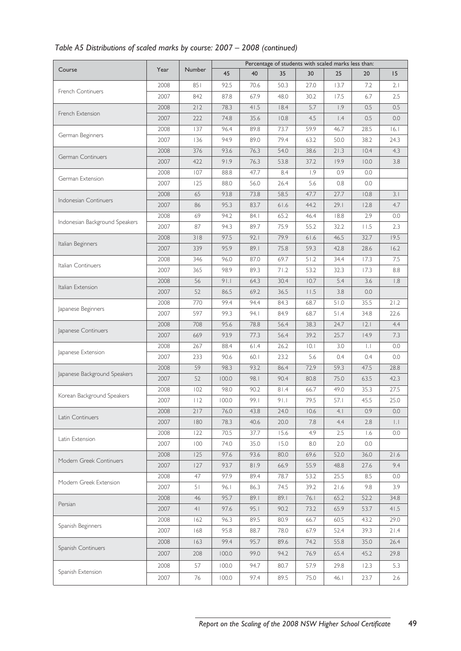|                                |      |                | Percentage of students with scaled marks less than: |      |      |              |      |                                                                                                                                                                                                                                                                                                                                                                                   |             |
|--------------------------------|------|----------------|-----------------------------------------------------|------|------|--------------|------|-----------------------------------------------------------------------------------------------------------------------------------------------------------------------------------------------------------------------------------------------------------------------------------------------------------------------------------------------------------------------------------|-------------|
| Course                         | Year | <b>Number</b>  | 45                                                  | 40   | 35   | 30           | 25   | 20<br>7.2<br>6.7<br>0.5<br>0.5<br>28.5<br>38.2<br>10.4<br>10.0<br>0.0<br>0.0<br>10.8<br>12.8<br>2.9<br>11.5<br>32.7<br>28.6<br>17.3<br>17.3<br>3.6<br>0.0<br>35.5<br>34.8<br> 2.1<br>14.9<br>$\vert \cdot \vert$<br>0.4<br>47.5<br>63.5<br>35.3<br>45.5<br>0.9<br>2.8<br>1.6<br>0.0<br>36.0<br>27.6<br>8.5<br>9.8<br>52.2<br>53.7<br>43.2<br>39.3<br>35.0<br>45.2<br>12.3<br>23.7 | 15          |
|                                | 2008 | 851            | 92.5                                                | 70.6 | 50.3 | 27.0         | 13.7 |                                                                                                                                                                                                                                                                                                                                                                                   | 2.1         |
| French Continuers              | 2007 | 842            | 87.8                                                | 67.9 | 48.0 | 30.2         | 17.5 |                                                                                                                                                                                                                                                                                                                                                                                   | 2.5         |
|                                | 2008 | 212            | 78.3                                                | 41.5 | 18.4 | 5.7          | 1.9  |                                                                                                                                                                                                                                                                                                                                                                                   | 0.5         |
| French Extension               | 2007 | 222            | 74.8                                                | 35.6 | 10.8 | 4.5          | 1.4  |                                                                                                                                                                                                                                                                                                                                                                                   | 0.0         |
|                                | 2008 | 137            | 96.4                                                | 89.8 | 73.7 | 59.9         | 46.7 |                                                                                                                                                                                                                                                                                                                                                                                   | 16.1        |
| German Beginners               | 2007 | 136            | 94.9                                                | 89.0 | 79.4 | 63.2         | 50.0 |                                                                                                                                                                                                                                                                                                                                                                                   | 24.3        |
|                                | 2008 | 376            | 93.6                                                | 76.3 | 54.0 | 38.6         | 21.3 |                                                                                                                                                                                                                                                                                                                                                                                   | 4.3         |
| German Continuers              | 2007 | 422            | 91.9                                                | 76.3 | 53.8 | 37.2         | 19.9 |                                                                                                                                                                                                                                                                                                                                                                                   | 3.8         |
|                                | 2008 | 107            | 88.8                                                | 47.7 | 8.4  | 1.9          | 0.9  |                                                                                                                                                                                                                                                                                                                                                                                   |             |
| German Extension               | 2007 | 125            | 88.0                                                | 56.0 | 26.4 | 5.6          | 0.8  |                                                                                                                                                                                                                                                                                                                                                                                   |             |
|                                | 2008 | 65             | 93.8                                                | 73.8 | 58.5 | 47.7         | 27.7 |                                                                                                                                                                                                                                                                                                                                                                                   | 3.1         |
| Indonesian Continuers          | 2007 | 86             | 95.3                                                | 83.7 | 61.6 | 44.2         | 29.1 |                                                                                                                                                                                                                                                                                                                                                                                   | 4.7         |
|                                | 2008 | 69             | 94.2                                                | 84.1 | 65.2 | 46.4         | 18.8 |                                                                                                                                                                                                                                                                                                                                                                                   | 0.0         |
| Indonesian Background Speakers | 2007 | 87             | 94.3                                                | 89.7 | 75.9 | 55.2         | 32.2 |                                                                                                                                                                                                                                                                                                                                                                                   | 2.3         |
|                                | 2008 | 318            | 97.5                                                | 92.1 | 79.9 | 61.6         | 46.5 |                                                                                                                                                                                                                                                                                                                                                                                   | 19.5        |
| Italian Beginners              | 2007 | 339            | 95.9                                                | 89.1 | 75.8 | 59.3         | 42.8 |                                                                                                                                                                                                                                                                                                                                                                                   | 16.2        |
|                                | 2008 | 346            | 96.0                                                | 87.0 | 69.7 | 51.2         | 34.4 | 5.4<br>3.8                                                                                                                                                                                                                                                                                                                                                                        | 7.5         |
| Italian Continuers             | 2007 | 365            | 98.9                                                | 89.3 | 71.2 | 53.2         | 32.3 |                                                                                                                                                                                                                                                                                                                                                                                   | 8.8         |
|                                | 2008 | 56             | 91.1                                                | 64.3 | 30.4 | 10.7         |      |                                                                                                                                                                                                                                                                                                                                                                                   | 1.8         |
| Italian Extension              | 2007 | 52             | 86.5                                                | 69.2 | 36.5 | 11.5         |      |                                                                                                                                                                                                                                                                                                                                                                                   |             |
|                                | 2008 | 770            | 99.4                                                | 94.4 | 84.3 | 68.7         | 51.0 |                                                                                                                                                                                                                                                                                                                                                                                   | 21.2        |
| Japanese Beginners             | 2007 | 597            | 99.3                                                | 94.1 | 84.9 | 68.7<br>38.3 | 51.4 |                                                                                                                                                                                                                                                                                                                                                                                   | 22.6        |
|                                | 2008 | 708            | 95.6                                                | 78.8 | 56.4 |              | 24.7 |                                                                                                                                                                                                                                                                                                                                                                                   | 4.4         |
| Japanese Continuers            | 2007 | 669            | 93.9                                                | 77.3 | 56.4 | 39.2         | 25.7 |                                                                                                                                                                                                                                                                                                                                                                                   | 7.3         |
|                                | 2008 | 267            | 88.4                                                | 61.4 | 26.2 | 0.1          | 3.0  |                                                                                                                                                                                                                                                                                                                                                                                   | 0.0         |
| Japanese Extension             | 2007 | 233            | 90.6                                                | 60.1 | 23.2 | 5.6          | 0.4  |                                                                                                                                                                                                                                                                                                                                                                                   | 0.0         |
|                                | 2008 | 59             | 98.3                                                | 93.2 | 86.4 | 72.9         | 59.3 |                                                                                                                                                                                                                                                                                                                                                                                   | 28.8        |
| Japanese Background Speakers   | 2007 | 52             | 100.0                                               | 98.1 | 90.4 | 80.8         | 75.0 |                                                                                                                                                                                                                                                                                                                                                                                   | 42.3        |
|                                | 2008 | 102            | 98.0                                                | 90.2 | 81.4 | 66.7         | 49.0 |                                                                                                                                                                                                                                                                                                                                                                                   | 27.5        |
| Korean Background Speakers     | 2007 | 112            | 100.0                                               | 99.1 | 91.1 | 79.5         | 57.1 |                                                                                                                                                                                                                                                                                                                                                                                   | 25.0        |
|                                | 2008 | 217            | 76.0                                                | 43.8 | 24.0 | 10.6         | 4.1  |                                                                                                                                                                                                                                                                                                                                                                                   | 0.0         |
| Latin Continuers               | 2007 | 180            | 78.3                                                | 40.6 | 20.0 | 7.8          | 4.4  |                                                                                                                                                                                                                                                                                                                                                                                   | $  \cdot  $ |
|                                | 2008 | 122            | 70.5                                                | 37.7 | 15.6 | 4.9          | 2.5  |                                                                                                                                                                                                                                                                                                                                                                                   | 0.0         |
| Latin Extension                | 2007 | 100            | 74.0                                                | 35.0 | 15.0 | 8.0          | 2.0  |                                                                                                                                                                                                                                                                                                                                                                                   |             |
|                                | 2008 | 125            | 97.6                                                | 93.6 | 80.0 | 69.6         | 52.0 |                                                                                                                                                                                                                                                                                                                                                                                   | 21.6        |
| Modern Greek Continuers        | 2007 | 127            | 93.7                                                | 81.9 | 66.9 | 55.9         | 48.8 |                                                                                                                                                                                                                                                                                                                                                                                   | 9.4         |
|                                | 2008 | 47             | 97.9                                                | 89.4 | 78.7 | 53.2         | 25.5 |                                                                                                                                                                                                                                                                                                                                                                                   | 0.0         |
| Modern Greek Extension         | 2007 | 51             | 96.1                                                | 86.3 | 74.5 | 39.2         | 21.6 |                                                                                                                                                                                                                                                                                                                                                                                   | 3.9         |
|                                | 2008 | 46             | 95.7                                                | 89.1 | 89.1 | 76.1         | 65.2 |                                                                                                                                                                                                                                                                                                                                                                                   | 34.8        |
| Persian                        | 2007 | 4 <sup>1</sup> | 97.6                                                | 95.1 | 90.2 | 73.2         | 65.9 |                                                                                                                                                                                                                                                                                                                                                                                   | 41.5        |
|                                | 2008 | 162            | 96.3                                                | 89.5 | 80.9 | 66.7         | 60.5 |                                                                                                                                                                                                                                                                                                                                                                                   | 29.0        |
| Spanish Beginners              | 2007 | 168            | 95.8                                                | 88.7 | 78.0 | 67.9         | 52.4 |                                                                                                                                                                                                                                                                                                                                                                                   | 21.4        |
|                                | 2008 | 163            | 99.4                                                | 95.7 | 89.6 | 74.2         | 55.8 |                                                                                                                                                                                                                                                                                                                                                                                   | 26.4        |
| Spanish Continuers             | 2007 | 208            | 100.0                                               | 99.0 | 94.2 | 76.9         | 65.4 |                                                                                                                                                                                                                                                                                                                                                                                   | 29.8        |
|                                | 2008 | 57             | 100.0                                               | 94.7 | 80.7 | 57.9         | 29.8 |                                                                                                                                                                                                                                                                                                                                                                                   | 5.3         |
| Spanish Extension              | 2007 | 76             | 100.0                                               | 97.4 | 89.5 | 75.0         | 46.1 |                                                                                                                                                                                                                                                                                                                                                                                   | 2.6         |
|                                |      |                |                                                     |      |      |              |      |                                                                                                                                                                                                                                                                                                                                                                                   |             |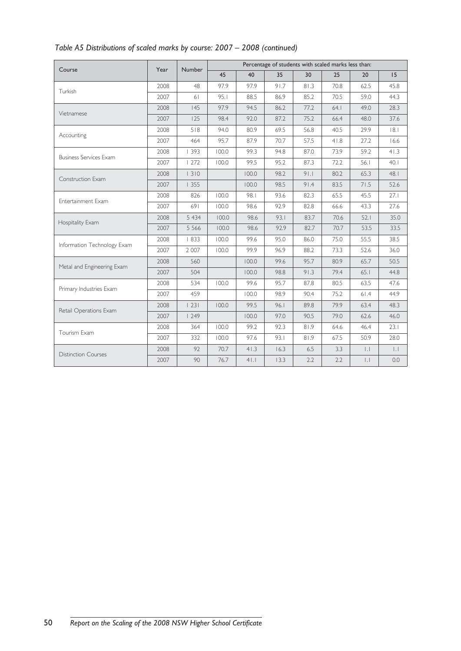|                               |      | <b>Number</b>                |       |       | Percentage of students with scaled marks less than: |      |                                                                                                                                                                                                                                                                                                                                                                                                        |                                                                                                                                                                    |      |
|-------------------------------|------|------------------------------|-------|-------|-----------------------------------------------------|------|--------------------------------------------------------------------------------------------------------------------------------------------------------------------------------------------------------------------------------------------------------------------------------------------------------------------------------------------------------------------------------------------------------|--------------------------------------------------------------------------------------------------------------------------------------------------------------------|------|
| Course                        | Year |                              | 45    | 40    | 35                                                  | 30   | 25                                                                                                                                                                                                                                                                                                                                                                                                     | 20                                                                                                                                                                 | 15   |
| Turkish                       | 2008 | 48                           | 97.9  | 97.9  | 91.7                                                | 81.3 | 70.8                                                                                                                                                                                                                                                                                                                                                                                                   | 62.5                                                                                                                                                               | 45.8 |
|                               | 2007 | 61                           | 95.1  | 88.5  | 86.9                                                | 85.2 | 70.5                                                                                                                                                                                                                                                                                                                                                                                                   | 59.0                                                                                                                                                               | 44.3 |
| Vietnamese                    | 2008 | 145                          | 97.9  | 94.5  | 86.2                                                | 77.2 | 64.1                                                                                                                                                                                                                                                                                                                                                                                                   | 49.0                                                                                                                                                               | 28.3 |
|                               | 2007 | 125                          | 98.4  | 92.0  | 87.2                                                | 75.2 | 66.4                                                                                                                                                                                                                                                                                                                                                                                                   | 48.0                                                                                                                                                               | 37.6 |
|                               | 2008 | 518                          | 94.0  | 80.9  | 69.5                                                | 56.8 | 40.5                                                                                                                                                                                                                                                                                                                                                                                                   | 29.9                                                                                                                                                               | 8.1  |
| Accounting                    | 2007 | 464                          | 95.7  | 87.9  | 70.7                                                | 57.5 | 41.8                                                                                                                                                                                                                                                                                                                                                                                                   | 27.2                                                                                                                                                               | 16.6 |
|                               | 2008 | 393                          | 100.0 | 99.3  | 94.8                                                | 87.0 | 73.9                                                                                                                                                                                                                                                                                                                                                                                                   | 59.2<br>56.1<br>65.3<br>71.5<br>45.5<br>43.3<br>52.1<br>53.5<br>55.5<br>52.6<br>65.7<br>65.1<br>63.5<br>61.4<br>63.4<br>62.6<br>46.4<br>50.9<br> . <br>$  \cdot  $ | 41.3 |
| <b>Business Services Exam</b> | 2007 | 1272                         | 100.0 | 99.5  | 95.2                                                | 87.3 | 72.2                                                                                                                                                                                                                                                                                                                                                                                                   |                                                                                                                                                                    | 40.1 |
|                               | 2008 | 1310                         |       | 100.0 | 98.2                                                | 91.1 | 80.2                                                                                                                                                                                                                                                                                                                                                                                                   |                                                                                                                                                                    | 48.1 |
| Construction Exam             | 2007 | 1355                         |       | 100.0 | 98.5                                                | 91.4 | 83.5<br>52.6<br>82.3<br>65.5<br>27.1<br>82.8<br>27.6<br>66.6<br>83.7<br>70.6<br>35.0<br>82.7<br>70.7<br>33.5<br>38.5<br>86.0<br>75.0<br>88.2<br>73.3<br>36.0<br>95.7<br>50.5<br>80.9<br>91.3<br>79.4<br>44.8<br>80.5<br>87.8<br>47.6<br>90.4<br>75.2<br>44.9<br>89.8<br>79.9<br>48.3<br>90.5<br>79.0<br>46.0<br>81.9<br>23.1<br>64.6<br>81.9<br>67.5<br>28.0<br>6.5<br>3.3<br> . <br>2.2<br>2.2<br>0.0 |                                                                                                                                                                    |      |
|                               | 2008 | 826                          | 100.0 | 98.1  | 93.6                                                |      |                                                                                                                                                                                                                                                                                                                                                                                                        |                                                                                                                                                                    |      |
| Entertainment Exam            | 2007 | 691                          | 100.0 | 98.6  | 92.9                                                |      |                                                                                                                                                                                                                                                                                                                                                                                                        |                                                                                                                                                                    |      |
|                               | 2008 | 5 4 3 4                      | 100.0 | 98.6  | 93.1                                                |      |                                                                                                                                                                                                                                                                                                                                                                                                        |                                                                                                                                                                    |      |
| Hospitality Exam              | 2007 | 5 5 6 6                      | 100.0 | 98.6  | 92.9                                                |      |                                                                                                                                                                                                                                                                                                                                                                                                        |                                                                                                                                                                    |      |
|                               | 2008 | 833                          | 100.0 | 99.6  | 95.0                                                |      |                                                                                                                                                                                                                                                                                                                                                                                                        |                                                                                                                                                                    |      |
| Information Technology Exam   | 2007 | 2 0 0 7                      | 100.0 | 99.9  | 96.9                                                |      |                                                                                                                                                                                                                                                                                                                                                                                                        |                                                                                                                                                                    |      |
|                               | 2008 | 560                          |       | 100.0 | 99.6                                                |      |                                                                                                                                                                                                                                                                                                                                                                                                        |                                                                                                                                                                    |      |
| Metal and Engineering Exam    | 2007 | 504                          |       | 100.0 | 98.8                                                |      |                                                                                                                                                                                                                                                                                                                                                                                                        |                                                                                                                                                                    |      |
|                               | 2008 | 534                          | 100.0 | 99.6  | 95.7                                                |      |                                                                                                                                                                                                                                                                                                                                                                                                        |                                                                                                                                                                    |      |
| Primary Industries Exam       | 2007 | 459                          |       | 100.0 | 98.9                                                |      |                                                                                                                                                                                                                                                                                                                                                                                                        |                                                                                                                                                                    |      |
|                               | 2008 | 23                           | 100.0 | 99.5  | 96.1                                                |      |                                                                                                                                                                                                                                                                                                                                                                                                        |                                                                                                                                                                    |      |
| Retail Operations Exam        | 2007 | 1249                         |       | 100.0 | 97.0                                                |      |                                                                                                                                                                                                                                                                                                                                                                                                        |                                                                                                                                                                    |      |
|                               | 2008 | 99.2<br>364<br>100.0<br>92.3 |       |       |                                                     |      |                                                                                                                                                                                                                                                                                                                                                                                                        |                                                                                                                                                                    |      |
| Tourism Exam                  | 2007 | 332                          | 100.0 | 97.6  | 93.1                                                |      |                                                                                                                                                                                                                                                                                                                                                                                                        |                                                                                                                                                                    |      |
|                               | 2008 | 92                           | 70.7  | 41.3  | 16.3                                                |      |                                                                                                                                                                                                                                                                                                                                                                                                        |                                                                                                                                                                    |      |
| <b>Distinction Courses</b>    | 2007 | 90                           | 76.7  | 41.1  | 13.3                                                |      |                                                                                                                                                                                                                                                                                                                                                                                                        |                                                                                                                                                                    |      |

# *Table A5 Distributions of scaled marks by course: 2007 – 2008 (continued)*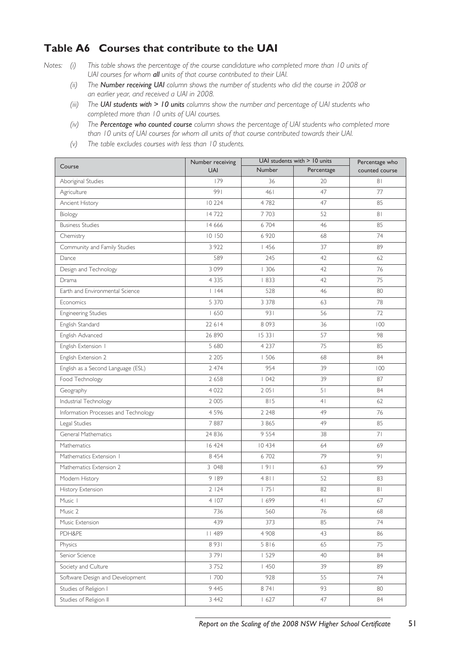# **Table A6 Courses that contribute to the UAI**

- *Notes: (i) This table shows the percentage of the course candidature who completed more than 10 units of UAI courses for whom all units of that course contributed to their UAI.*
	- *(ii) The Number receiving UAI column shows the number of students who did the course in 2008 or an earlier year, and received a UAI in 2008.*
	- *(iii) The UAI students with > 10 units columns show the number and percentage of UAI students who completed more than 10 units of UAI courses.*
	- *(iv) The Percentage who counted course column shows the percentage of UAI students who completed more than 10 units of UAI courses for whom all units of that course contributed towards their UAI.*
	- *(v) The table excludes courses with less than 10 students.*

| Course                               | Number receiving |             | UAI students with > 10 units | Percentage who |
|--------------------------------------|------------------|-------------|------------------------------|----------------|
|                                      | <b>UAI</b>       | Number      | Percentage                   | counted course |
| Aboriginal Studies                   | 179              | 36          | 20                           | 81             |
| Agriculture                          | 991              | 461         | 47                           | 77             |
| Ancient History                      | 10 224           | 4782        | 47                           | 85             |
| Biology                              | 14722            | 7703        | 52                           | 81             |
| <b>Business Studies</b>              | 14 6 6 6         | 6704        | 46                           | 85             |
| Chemistry                            | 10150            | 6 9 20      | 68                           | 74             |
| Community and Family Studies         | 3 9 2 2          | 1456        | 37                           | 89             |
| Dance                                | 589              | 245         | 42                           | 62             |
| Design and Technology                | 3099             | 1306        | 42                           | 76             |
| Drama                                | 4 3 3 5          | 1833        | 42                           | 75             |
| Earth and Environmental Science      | 1144             | 528         | 46                           | 80             |
| Economics                            | 5 3 7 0          | 3 3 7 8     | 63                           | 78             |
| <b>Engineering Studies</b>           | 1650             | 931         | 56                           | 72             |
| English Standard                     | 22 6 14          | 8 0 9 3     | 36                           | 100            |
| English Advanced                     | 26 890           | 15 331      | 57                           | 98             |
| English Extension I                  | 5 680            | 4 2 3 7     | 75                           | 85             |
| English Extension 2                  | 2 2 0 5          | 1506        | 68                           | 84             |
| English as a Second Language (ESL)   | 2 4 7 4          | 954         | 39                           | 100            |
| Food Technology                      | 2 6 5 8          | 1042        | 39                           | 87             |
| Geography                            | 4 0 2 2          | 2051        | 51                           | 84             |
| Industrial Technology                | 2 0 0 5          | 815         | 4 <sub>1</sub>               | 62             |
| Information Processes and Technology | 4596             | 2 2 4 8     | 49                           | 76             |
| Legal Studies                        | 7887             | 3 8 6 5     | 49                           | 85             |
| General Mathematics                  | 24 8 36          | 9 5 5 4     | 38                           | 71             |
| Mathematics                          | 16 424           | 10 434      | 64                           | 69             |
| Mathematics Extension 1              | 8 4 5 4          | 6702        | 79                           | 9 <sub>1</sub> |
| Mathematics Extension 2              | 3 048            | 1911        | 63                           | 99             |
| Modern History                       | 9 189            | 4811        | 52                           | 83             |
| History Extension                    | 2124             | 1751        | 82                           | 81             |
| Music 1                              | 4 107            | 1699        | 4 <sup>1</sup>               | 67             |
| Music 2                              | 736              | 560         | 76                           | 68             |
| Music Extension                      | 439              | 373         | 85                           | 74             |
| PDH&PE                               | 489              | 4 9 0 8     | 43                           | 86             |
| Physics                              | 8931             | 5816        | 65                           | 75             |
| Senior Science                       | 3791             | 1529        | 40                           | 84             |
| Society and Culture                  | 3752             | $\vert$ 450 | 39                           | 89             |
| Software Design and Development      | 1700             | 928         | 55                           | 74             |
| Studies of Religion I                | 9 4 4 5          | 8741        | 93                           | 80             |
| Studies of Religion II               | 3 4 4 2          | 1627        | 47                           | 84             |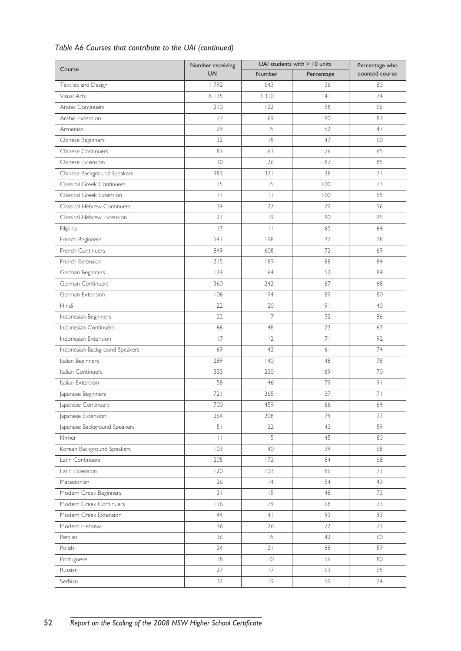# *Table A6 Courses that contribute to the UAI (continued)*

| Course                         | Number receiving |                 | UAI students with $>10$ units | Percentage who |
|--------------------------------|------------------|-----------------|-------------------------------|----------------|
|                                | <b>UAI</b>       | <b>Number</b>   | Percentage                    | counted course |
| Textiles and Design            | 792              | 643             | 36                            | 80             |
| Visual Arts                    | 8   35           | 3310            | 4 <sub>1</sub>                | 74             |
| Arabic Continuers              | 210              | 122             | 58                            | 66             |
| Arabic Extension               | 77               | 69              | 90                            | 83             |
| Armenian                       | 29               | 15              | 52                            | 47             |
| Chinese Beginners              | 32               | 15              | 47                            | 60             |
| Chinese Continuers             | 83               | 63              | 76                            | 65             |
| Chinese Extension              | 30               | 26              | 87                            | 85             |
| Chinese Background Speakers    | 983              | 371             | 38                            | 71             |
| Classical Greek Continuers     | 15               | 15              | 100                           | 73             |
| Classical Greek Extension      | $\mathbf{L}$     | $\mathbf{1}$    | 100                           | 55             |
| Classical Hebrew Continuers    | 34               | 27              | 79                            | 56             |
| Classical Hebrew Extension     | 21               | 9               | 90                            | 95             |
| Filipino                       | 17               | $\vert \ \vert$ | 65                            | 64             |
| French Beginners               | 541              | 198             | 37                            | 78             |
| French Continuers              | 849              | 608             | 72                            | 69             |
| French Extension               | $215$            | 189             | 88                            | 84             |
| German Beginners               | 124              | 64              | 52                            | 84             |
| German Continuers              | 360              | 242             | 67                            | 68             |
| German Extension               | 106              | 94              | 89                            | 80             |
| Hindi                          | 22               | 20              | 9 <sub>1</sub>                | 40             |
| Indonesian Beginners           | 22               | 7               | 32                            | 86             |
| Indonesian Continuers          | 66               | 48              | 73                            | 67             |
| Indonesian Extension           | 17               | 12              | 71                            | 92             |
| Indonesian Background Speakers | 69               | 42              | 61                            | 74             |
| Italian Beginners              | 289              | 40              | 48                            | 78             |
| Italian Continuers             | 333              | 230             | 69                            | 70             |
| Italian Extension              | 58               | 46              | 79                            | 9 <sub>1</sub> |
| Japanese Beginners             | 721              | 265             | 37                            | 71             |
| Japanese Continuers            | 700              | 459             | 66                            | 64             |
| Japanese Extension             | 264              | 208             | 79                            | 77             |
| Japanese Background Speakers   | 5 <sub>1</sub>   | 22              | 43                            | 59             |
| Khmer                          | $\Box$           | 5               | 45                            | 80             |
| Korean Background Speakers     | 103              | 40              | 39                            | 68             |
| Latin Continuers               | 205              | 172             | 84                            | 68             |
| Latin Extension                | 120              | 103             | 86                            | 73             |
| Macedonian                     | 26               | 4               | 54                            | 43             |
| Modern Greek Beginners         | 31               | 15              | 48                            | 73             |
| Modern Greek Continuers        | 116              | 79              | 68                            | 73             |
| Modern Greek Extension         | 44               | 4 <sub>1</sub>  | 93                            | 93             |
| Modern Hebrew                  | 36               | 26              | 72                            | 73             |
| Persian                        | 36               | 15              | 42                            | 60             |
| Polish                         | 24               | 21              | 88                            | 57             |
| Portuguese                     | $\mid 8$         | $\overline{0}$  | 56                            | 80             |
| Russian                        | 27               | 17              | 63                            | 65             |
| Serbian                        | 32               | 9               | 59                            | 74             |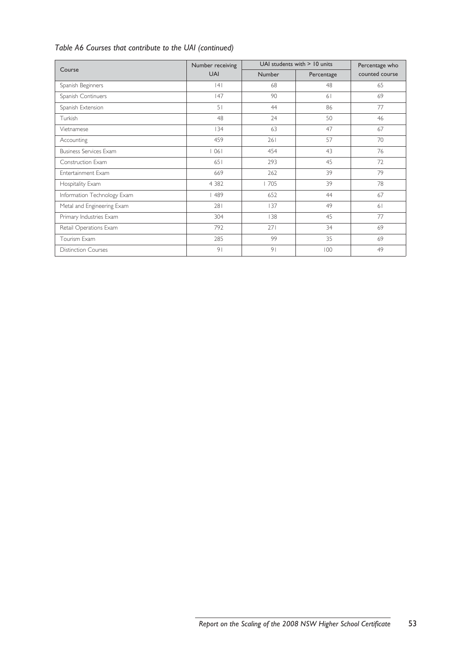# *Table A6 Courses that contribute to the UAI (continued)*

| Course                        | Number receiving | UAI students with $>$ 10 units | Percentage who |                |
|-------------------------------|------------------|--------------------------------|----------------|----------------|
|                               | <b>UAI</b>       | <b>Number</b>                  | Percentage     | counted course |
| Spanish Beginners             | 4                | 68                             | 48             | 65             |
| Spanish Continuers            | 47               | 90                             | 61             | 69             |
| Spanish Extension             | 51               | 44                             | 86             | 77             |
| Turkish                       | 48               | 24                             | 50             | 46             |
| Vietnamese                    | 134              | 63                             | 47             | 67             |
| Accounting                    | 459              | 261                            | 57             | 70             |
| <b>Business Services Exam</b> | 1061             | 454                            | 43             | 76             |
| Construction Exam             | 651              | 293                            | 45             | 72             |
| Entertainment Exam            | 669              | 262                            | 39             | 79             |
| Hospitality Exam              | 4 3 8 2          | 705                            | 39             | 78             |
| Information Technology Exam   | 489              | 652                            | 44             | 67             |
| Metal and Engineering Exam    | 281              | 137                            | 49             | 61             |
| Primary Industries Exam       | 304              | 138                            | 45             | 77             |
| Retail Operations Exam        | 792              | 271                            | 34             | 69             |
| Tourism Exam                  | 285              | 99                             | 35             | 69             |
| <b>Distinction Courses</b>    | 9 <sub>1</sub>   | 9 <sub>1</sub>                 | 100            | 49             |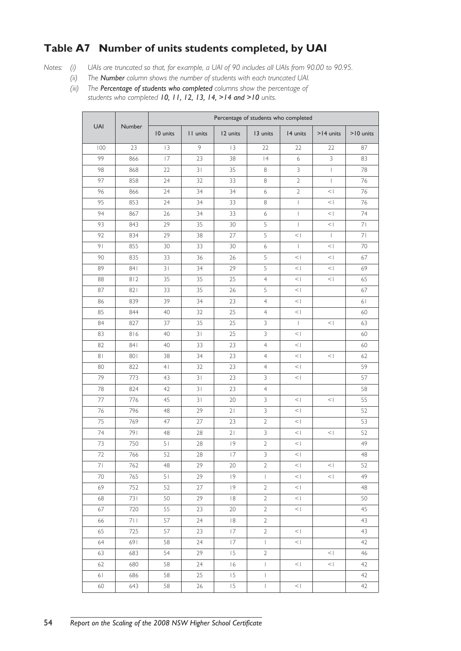# **Table A7 Number of units students completed, by UAI**

- *Notes: (i) UAIs are truncated so that, for example, a UAI of 90 includes all UAIs from 90.00 to 90.95.*
	- *(ii) The Number column shows the number of students with each truncated UAI.*
	- *(iii) The Percentage of students who completed columns show the percentage of students who completed 10, 11, 12, 13, 14, >14 and >10 units.*

|                |        |                |          |          | Percentage of students who completed |                          |                                       |           |  |  |
|----------------|--------|----------------|----------|----------|--------------------------------------|--------------------------|---------------------------------------|-----------|--|--|
| <b>UAI</b>     | Number | 10 units       | II units | 12 units | 13 units                             | 14 units                 | $>14$ units                           | >10 units |  |  |
| 100            | 23     | 3              | 9        | 3        | 22                                   | 22                       | 22                                    | 87        |  |  |
| 99             | 866    | 17             | 23       | 38       | 4                                    | 6                        | $\mathfrak{Z}$                        | 83        |  |  |
| 98             | 868    | 22             | 31       | 35       | 8                                    | $\mathsf 3$              | $\begin{array}{c} \hline \end{array}$ | 78        |  |  |
| 97             | 858    | 24             | 32       | 33       | 8                                    | $\mathbf{2}$             | $\overline{1}$                        | 76        |  |  |
| 96             | 866    | 24             | 34       | 34       | 6                                    | $\sqrt{2}$               | <                                     | 76        |  |  |
| 95             | 853    | 24             | 34       | 33       | 8                                    | $\mathbf{I}$             | $\leq$                                | 76        |  |  |
| 94             | 867    | 26             | 34       | 33       | 6                                    | $\overline{\phantom{a}}$ | $\leq$                                | 74        |  |  |
| 93             | 843    | 29             | 35       | 30       | 5                                    | $\overline{1}$           | $\vert$ $>$                           | 71        |  |  |
| 92             | 834    | 29             | 38       | 27       | 5                                    | <                        | $\overline{\phantom{a}}$              | 71        |  |  |
| 91             | 855    | 30             | 33       | 30       | $\boldsymbol{6}$                     | $\mathbf{I}$             | $\leq$                                | 70        |  |  |
| 90             | 835    | 33             | 36       | 26       | 5                                    | $<\,$ $\,$               | $\leq$                                | 67        |  |  |
| 89             | 841    | 31             | 34       | 29       | 5                                    | $\vert$                  | $\leq$                                | 69        |  |  |
| 88             | 812    | 35             | 35       | 25       | $\overline{4}$                       | <                        | $\vert \rangle$                       | 65        |  |  |
| 87             | 821    | 33             | 35       | 26       | 5                                    | $\vert \rangle$          |                                       | 67        |  |  |
| 86             | 839    | 39             | 34       | 23       | $\overline{4}$                       | $\leq$                   |                                       | 61        |  |  |
| 85             | 844    | 40             | 32       | 25       | $\overline{4}$                       | $\vert \rangle$          |                                       | 60        |  |  |
| 84             | 827    | 37             | 35       | 25       | 3                                    | $\overline{1}$           | $\,<\,$                               | 63        |  |  |
| 83             | 816    | 40             | 31       | 25       | $\mathsf 3$                          | <                        |                                       | 60        |  |  |
| 82             | 841    | 40             | 33       | 23       | $\overline{4}$                       | $\vert \rangle$          |                                       | 60        |  |  |
| 8 <sub>1</sub> | 801    | 38             | 34       | 23       | $\overline{4}$                       | $\leq$                   | $\leq$                                | 62        |  |  |
| 80             | 822    | 4 <sub>1</sub> | 32       | 23       | $\overline{4}$                       | $\vert \rangle$          |                                       | 59        |  |  |
| 79             | 773    | 43             | 31       | 23       | 3                                    | $\vert \rangle$          |                                       | 57        |  |  |
| 78             | 824    | 42             | 31       | 23       | $\overline{4}$                       |                          |                                       | 58        |  |  |
| 77             | 776    | 45             | 31       | 20       | 3                                    | $\vert \rangle$          | $\leq$                                | 55        |  |  |
| 76             | 796    | 48             | 29       | 21       | $\mathfrak{Z}$                       | $\leq$                   |                                       | 52        |  |  |
| 75             | 769    | 47             | 27       | 23       | $\overline{2}$                       | <                        |                                       | 53        |  |  |
| 74             | 791    | 48             | 28       | 21       | 3                                    | $\leq$                   | $\leq$                                | 52        |  |  |
| 73             | 750    | 51             | 28       | 9        | $\mathbf{2}$                         | $\vert \rangle$          |                                       | 49        |  |  |
| 72             | 766    | 52             | 28       | 17       | 3                                    | $<$ $ $                  |                                       | 48        |  |  |
| 71             | 762    | 48             | 29       | 20       | 2                                    | $\vert$                  | $\vert \rangle$                       | 52        |  |  |
| 70             | 765    | 51             | 29       | 9        | $\mathbb{L}$                         | $\vert \rangle$          | $\vert \rangle$                       | 49        |  |  |
| 69             | 752    | 52             | 27       | 9        | $\mathbf{2}$                         | $\vert \rangle$          |                                       | 48        |  |  |
| 68             | 731    | 50             | 29       | 8        | $\mathbf{2}$                         | $\vert \rangle$          |                                       | 50        |  |  |
| 67             | 720    | 55             | 23       | 20       | $\overline{2}$                       | $\vert \rangle$          |                                       | 45        |  |  |
| 66             | 711    | 57             | 24       | 8        | $\mathbf{2}$                         |                          |                                       | 43        |  |  |
| 65             | 725    | 57             | 23       | 17       | $\mathbf{2}$                         | $\vert \rangle$          |                                       | 43        |  |  |
| 64             | 691    | 58             | 24       | 17       | $\mathbb{L}$                         | $\vert \rangle$          |                                       | 42        |  |  |
| 63             | 683    | 54             | 29       | 15       | $\overline{2}$                       |                          | $\vert \rangle$                       | 46        |  |  |
| 62             | 680    | 58             | 24       | 16       | $\mathbb{L}$                         | $\vert \rangle$          | $\vert \rangle$                       | 42        |  |  |
| 61             | 686    | 58             | 25       | 15       | $\ $                                 |                          |                                       | 42        |  |  |
| 60             | 643    | 58             | 26       | 15       | $\mathsf I$                          | $\vert \rangle$          |                                       | 42        |  |  |